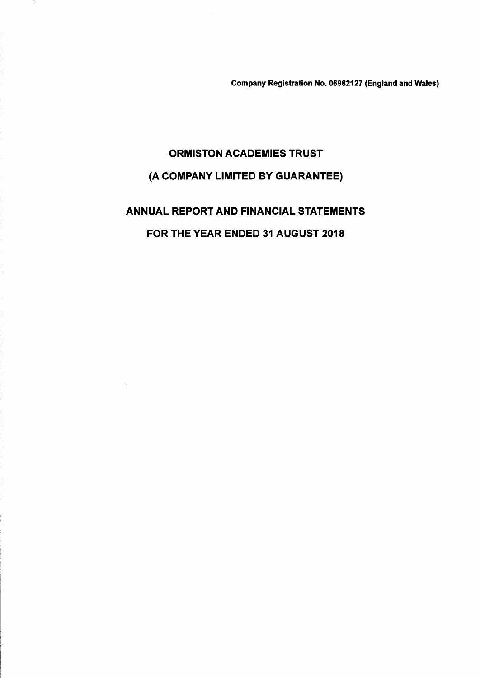Company Registration No. 06982127 (England and Wales)

# ORMISTON ACADEMIES TRUST (A COMPANY LIMITED BY GUARANTEE)

ANNUAL REPORT AND FINANCIAL STATEMENTS FOR THE YEAR ENDED 31 AUGUST 2018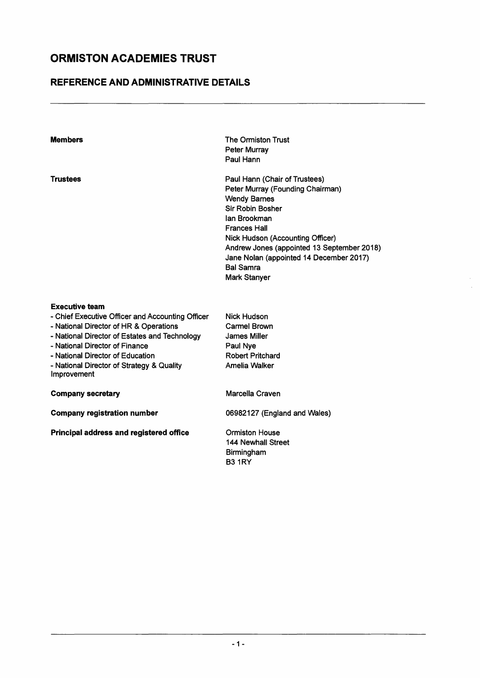### **REFERENCE AND ADMINISTRATIVE DETAILS**

| <b>Members</b>                                                                                                                                                                                                                                                                                         | The Ormiston Trust<br><b>Peter Murrav</b><br>Paul Hann                                                                                                                                                                                                                                                                             |
|--------------------------------------------------------------------------------------------------------------------------------------------------------------------------------------------------------------------------------------------------------------------------------------------------------|------------------------------------------------------------------------------------------------------------------------------------------------------------------------------------------------------------------------------------------------------------------------------------------------------------------------------------|
| <b>Trustees</b>                                                                                                                                                                                                                                                                                        | Paul Hann (Chair of Trustees)<br>Peter Murray (Founding Chairman)<br><b>Wendy Barnes</b><br><b>Sir Robin Bosher</b><br>lan Brookman<br><b>Frances Hall</b><br>Nick Hudson (Accounting Officer)<br>Andrew Jones (appointed 13 September 2018)<br>Jane Nolan (appointed 14 December 2017)<br><b>Bal Samra</b><br><b>Mark Stanyer</b> |
| <b>Executive team</b><br>- Chief Executive Officer and Accounting Officer<br>- National Director of HR & Operations<br>- National Director of Estates and Technology<br>- National Director of Finance<br>- National Director of Education<br>- National Director of Strategy & Quality<br>Improvement | <b>Nick Hudson</b><br>Carmel Brown<br><b>James Miller</b><br>Paul Nye<br><b>Robert Pritchard</b><br>Amelia Walker                                                                                                                                                                                                                  |
| <b>Company secretary</b>                                                                                                                                                                                                                                                                               | Marcella Craven                                                                                                                                                                                                                                                                                                                    |
| <b>Company registration number</b>                                                                                                                                                                                                                                                                     | 06982127 (England and Wales)                                                                                                                                                                                                                                                                                                       |
| Principal address and registered office                                                                                                                                                                                                                                                                | <b>Ormiston House</b><br><b>144 Newhall Street</b><br>Birmingham<br><b>B3 1RY</b>                                                                                                                                                                                                                                                  |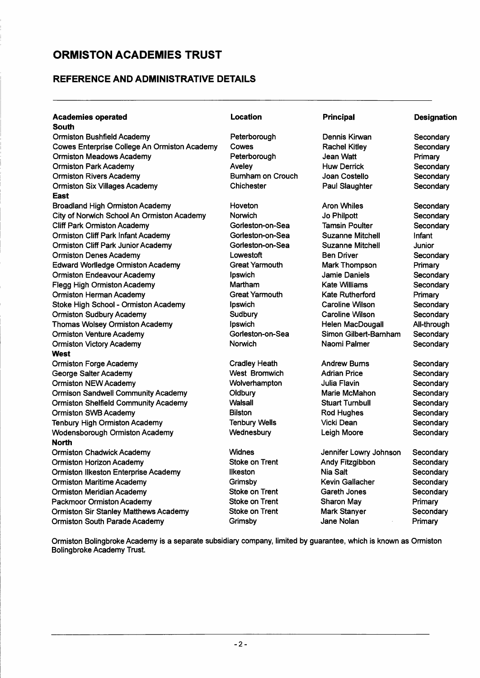### **REFERENCE AND ADMINISTRATIVE DETAILS**

| <b>Academies operated</b>                           | Location              | <b>Principal</b>        | <b>Designation</b> |
|-----------------------------------------------------|-----------------------|-------------------------|--------------------|
| <b>South</b>                                        |                       |                         |                    |
| <b>Ormiston Bushfield Academy</b>                   | Peterborough          | Dennis Kirwan           | Secondary          |
| <b>Cowes Enterprise College An Ormiston Academy</b> | Cowes                 | <b>Rachel Kitley</b>    | Secondary          |
| <b>Ormiston Meadows Academy</b>                     | Peterborough          | Jean Watt               | Primary            |
| <b>Ormiston Park Academy</b>                        | Aveley                | <b>Huw Derrick</b>      | Secondary          |
| <b>Ormiston Rivers Academy</b>                      | Burnham on Crouch     | Joan Costello           | Secondary          |
| <b>Ormiston Six Villages Academy</b>                | Chichester            | Paul Slaughter          | Secondary          |
| East                                                |                       |                         |                    |
| <b>Broadland High Ormiston Academy</b>              | Hoveton               | <b>Aron Whiles</b>      | Secondary          |
| City of Norwich School An Ormiston Academy          | Norwich               | Jo Philpott             | Secondary          |
| <b>Cliff Park Ormiston Academy</b>                  | Gorleston-on-Sea      | <b>Tamsin Poulter</b>   | Secondary          |
| <b>Ormiston Cliff Park Infant Academy</b>           | Gorleston-on-Sea      | <b>Suzanne Mitchell</b> | Infant             |
| <b>Ormiston Cliff Park Junior Academy</b>           | Gorleston-on-Sea      | <b>Suzanne Mitchell</b> | Junior             |
| <b>Ormiston Denes Academy</b>                       | Lowestoft             | <b>Ben Driver</b>       | Secondary          |
| <b>Edward Worlledge Ormiston Academy</b>            | <b>Great Yarmouth</b> | <b>Mark Thompson</b>    | Primary            |
| <b>Ormiston Endeavour Academy</b>                   | Ipswich               | <b>Jamie Daniels</b>    | Secondary          |
| <b>Flegg High Ormiston Academy</b>                  | Martham               | <b>Kate Williams</b>    | Secondary          |
| <b>Ormiston Herman Academy</b>                      | <b>Great Yarmouth</b> | Kate Rutherford         | Primary            |
| Stoke High School - Ormiston Academy                | Ipswich               | <b>Caroline Wilson</b>  | Secondary          |
| <b>Ormiston Sudbury Academy</b>                     | Sudbury               | <b>Caroline Wilson</b>  | Secondary          |
| <b>Thomas Wolsey Ormiston Academy</b>               | Ipswich               | Helen MacDougall        | All-through        |
| <b>Ormiston Venture Academy</b>                     | Gorleston-on-Sea      | Simon Gilbert-Barnham   | Secondary          |
| <b>Ormiston Victory Academy</b>                     | Norwich               | Naomi Palmer            | Secondary          |
| West                                                |                       |                         |                    |
| <b>Ormiston Forge Academy</b>                       | <b>Cradley Heath</b>  | <b>Andrew Burns</b>     | Secondary          |
| George Salter Academy                               | <b>West Bromwich</b>  | <b>Adrian Price</b>     | Secondary          |
| <b>Ormiston NEW Academy</b>                         | Wolverhampton         | <b>Julia Flavin</b>     | Secondary          |
| <b>Ormison Sandwell Community Academy</b>           | Oldbury               | Marie McMahon           | Secondary          |
| <b>Ormiston Shelfield Community Academy</b>         | <b>Walsall</b>        | <b>Stuart Turnbull</b>  | Secondary          |
| <b>Ormiston SWB Academy</b>                         | <b>Bilston</b>        | <b>Rod Hughes</b>       | Secondary          |
| <b>Tenbury High Ormiston Academy</b>                | <b>Tenbury Wells</b>  | <b>Vicki Dean</b>       | Secondary          |
| <b>Wodensborough Ormiston Academy</b>               | Wednesbury            | Leigh Moore             | Secondary          |
| <b>North</b>                                        |                       |                         |                    |
| <b>Ormiston Chadwick Academy</b>                    | <b>Widnes</b>         | Jennifer Lowry Johnson  | Secondary          |
| <b>Ormiston Horizon Academy</b>                     | Stoke on Trent        | Andy Fitzgibbon         | Secondary          |
| <b>Ormiston Ilkeston Enterprise Academy</b>         | likeston              | Nia Salt                | Secondary          |
| <b>Ormiston Maritime Academy</b>                    | Grimsby               | <b>Kevin Gallacher</b>  | Secondary          |
| <b>Ormiston Meridian Academy</b>                    | <b>Stoke on Trent</b> | Gareth Jones            | Secondary          |
| <b>Packmoor Ormiston Academy</b>                    | <b>Stoke on Trent</b> | <b>Sharon May</b>       | Primary            |
| <b>Ormiston Sir Stanley Matthews Academy</b>        | <b>Stoke on Trent</b> | <b>Mark Stanyer</b>     | Secondary          |
| Ormiston South Parade Academy                       | Grimsby               | Jane Nolan              | Primary            |

Ormiston Bolingbroke Academy is a separate subsidiary company, limited by guarantee, which is known as Ormiston Bolingbroke Academy Trust.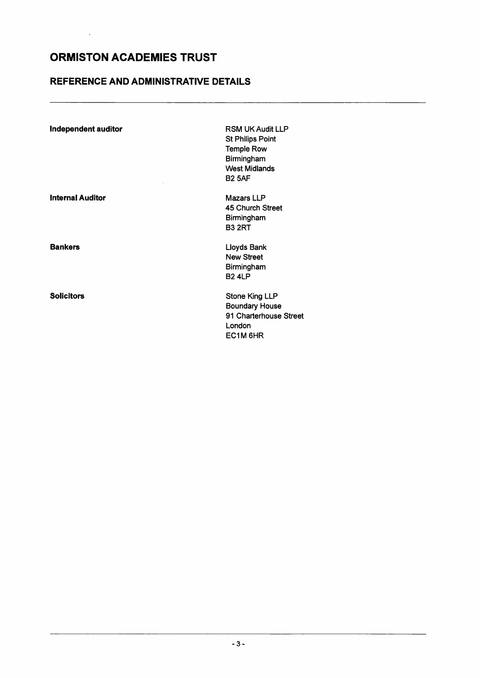$\hat{\boldsymbol{\theta}}$ 

### **REFERENCE AND ADMINISTRATIVE DETAILS**

| <b>Independent auditor</b> | <b>RSM UK Audit LLP</b><br><b>St Philips Point</b><br><b>Temple Row</b><br>Birmingham<br><b>West Midlands</b><br><b>B2 5AF</b> |
|----------------------------|--------------------------------------------------------------------------------------------------------------------------------|
| <b>Internal Auditor</b>    | <b>Mazars LLP</b><br>45 Church Street<br>Birmingham<br><b>B3 2RT</b>                                                           |
| <b>Bankers</b>             | Lloyds Bank<br><b>New Street</b><br>Birmingham<br><b>B24LP</b>                                                                 |
| <b>Solicitors</b>          | <b>Stone King LLP</b><br><b>Boundary House</b><br>91 Charterhouse Street<br>London<br>EC1M 6HR                                 |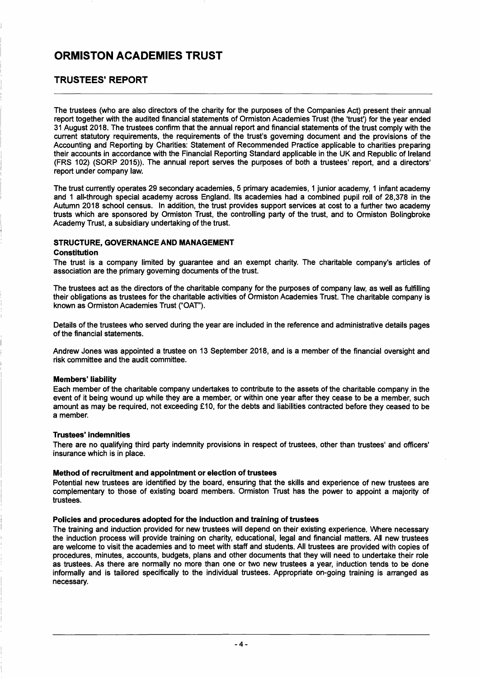### **TRUSTEES' REPORT**

The trustees (who are also directors of the charity for the purposes of the Companies Act) present their annual report together with the audited financial statements of Ormiston Academies Trust (the 'trust') for the year ended 31 August 2018. The trustees confirm that the annual report and financial statements of the trust comply with the current statutory requirements, the requirements of the trust's governing document and the provisions of the Accounting and Reporting by Charities: Statement of Recommended Practice applicable to charities preparing their accounts in accordance with the Financial Reporting Standard applicable in the UK and Republic of Ireland (FRS 102) (SORP 2015». The annual report serves the purposes of both a trustees' report, and a directors' report under company law.

The trust currently operates 29 secondary academies, 5 primary academies, 1 junior academy, 1 infant academy and 1 all-through special academy across England. Its academies had a combined pupil roll of 28,378 in the Autumn 2018 school census. In addition, the trust provides support services at cost to a further two academy trusts which are sponsored by Ormiston Trust, the controlling party of the trust, and to Ormiston Bolingbroke Academy Trust, a subsidiary undertaking of the trust.

#### **STRUCTURE, GOVERNANCE AND MANAGEMENT**

#### **Constitution**

The trust is a company limited by guarantee and an exempt charity. The charitable company's articles of association are the primary governing documents of the trust.

The trustees act as the directors of the charitable company for the purposes of company law, as well as fulfilling their obligations as trustees for the charitable activities of Ormiston Academies Trust. The charitable company is known as Ormiston Academies Trust ("OAT").

Details of the trustees who served during the year are included in the reference and administrative details pages of the financial statements.

Andrew Jones was appointed a trustee on 13 September 2018, and is a member of the financial oversight and risk committee and the audit committee.

#### **Members' liability**

Each member of the charitable company undertakes to contribute to the assets of the charitable company in the event of it being wound up while they are a member, or within one year after they cease to be a member, such amount as may be required, not exceeding £10, for the debts and liabilities contracted before they ceased to be a member.

#### **Trustees'indemnities**

There are no qualifying third party indemnity provisions in respect of trustees, other than trustees' and officers' insurance which is in place.

#### **Method of recruitment and appointment or election of trustees**

Potential new trustees are identified by the board, ensuring that the skills and experience of new trustees are complementary to those of existing board members. Ormiston Trust has the power to appoint a majority of trustees.

#### **Policies and procedures adopted for the induction and training of trustees**

The training and induction provided for new trustees will depend on their existing experience. Where necessary the induction process will provide training on charity, educational, legal and financial matters. All new trustees are welcome to visit the academies and to meet with staff and students. All trustees are provided with copies of procedures, minutes, accounts, budgets, plans and other documents that they will need to undertake their role as trustees. As there are normally no more than one or two new trustees a year, induction tends to be done informally and is tailored specifically to the individual trustees. Appropriate on-going training is arranged as necessary.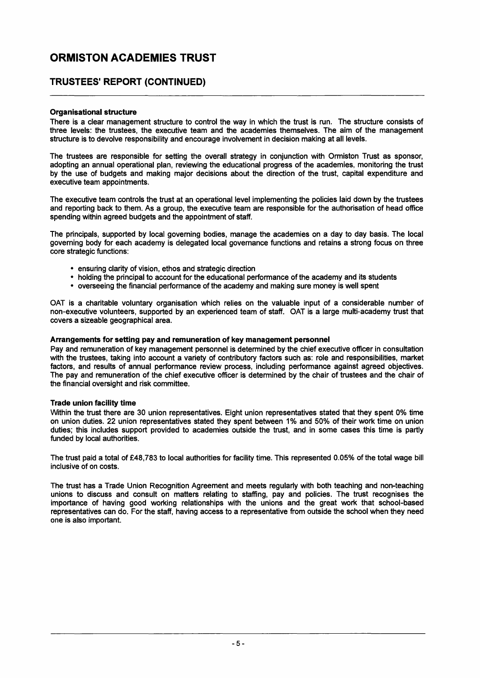### TRUSTEES' REPORT (CONTINUED)

#### Organisational structure

There is a clear management structure to control the way in which the trust is run. The structure consists of three levels: the trustees, the executive team and the academies themselves. The aim of the management structure is to devolve responsibility and encourage involvement in decision making at all levels.

The trustees are responsible for setting the overall strategy in conjunction with Ormiston Trust as sponsor, adopting an annual operational plan, reviewing the educational progress of the academies, monitoring the trust by the use of budgets and making major decisions about the direction of the trust, capital expenditure and executive team appointments.

The executive team controls the trust at an operational level implementing the policies laid down by the trustees and reporting back to them. As a group, the executive team are responsible for the authorisation of head office spending within agreed budgets and the appointment of staff.

The principals, supported by local governing bodies, manage the academies on a day to day basis. The local governing body for each academy is delegated local governance functions and retains a strong focus on three core strategic functions:

- ensuring clarity of vision, ethos and strategic direction
- holding the principal to account for the educational performance of the academy and its students
- overseeing the financial performance of the academy and making sure money is well spent

OAT is a charitable voluntary organisation which relies on the valuable input of a considerable number of non-executive volunteers, supported by an experienced team of staff. OAT is a large multi-academy trust that covers a sizeable geographical area.

#### Arrangements for setting pay and remuneration of key management personnel

Pay and remuneration of key management personnel is determined by the chief executive officer in consultation with the trustees, taking into account a variety of contributory factors such as: role and responsibilities, market factors, and results of annual performance review process, including performance against agreed objectives. The pay and remuneration of the chief executive officer is determined by the chair of trustees and the chair of the financial oversight and risk committee.

#### Trade union facility time

Within the trust there are 30 union representatives. Eight union representatives stated that they spent 0% time on union duties. 22 union representatives stated they spent between 1 % and 50% of their work time on union duties; this includes support provided to academies outside the trust, and in some cases this time is partly funded by local authorities.

The trust paid a total of £48,783 to local authorities for facility time. This represented 0.05% of the total wage bill inclusive of on costs.

The trust has a Trade Union Recognition Agreement and meets regularly with both teaching and non-teaching unions to discuss and consult on matters relating to staffing, pay and policies. The trust recognises the importance of having good working relationships with the unions and the great work that school-based representatives can do. For the staff, having access to a representative from outside the school when they need one is also important.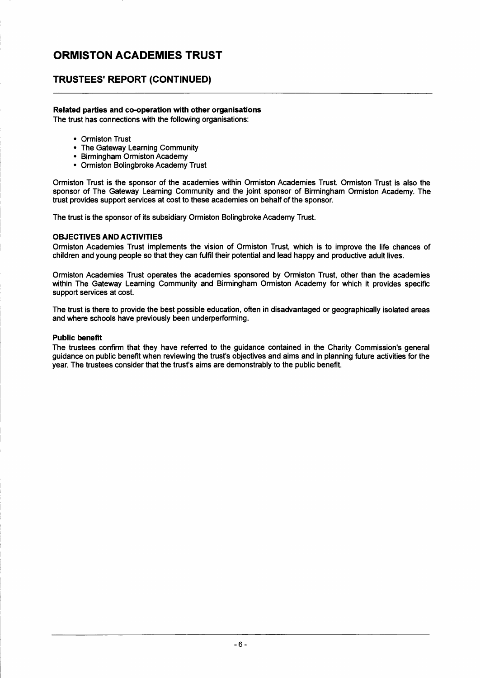### **TRUSTEES' REPORT (CONTINUED)**

#### **Related parties and co-operation with other organisations**

The trust has connections with the following organisations:

- Ormiston Trust
- The Gateway Learning Community
- Birmingham Ormiston Academy
- Ormiston Bolingbroke Academy Trust

Ormiston Trust is the sponsor of the academies within Ormiston Academies Trust. Ormiston Trust is also the sponsor of The Gateway Learning Community and the joint sponsor of Birmingham Ormiston Academy. The trust provides support services at cost to these academies on behalf of the sponsor.

The trust is the sponsor of its subsidiary Ormiston Bolingbroke Academy Trust.

#### **OBJECTIVES AND ACTIVITIES**

Ormiston Academies Trust implements the vision of Ormiston Trust, which is to improve the life chances of children and young people so that they can fulfil their potential and lead happy and productive adult lives.

Ormiston Academies Trust operates the academies sponsored by Ormiston Trust, other than the academ ies within The Gateway Learning Community and Birmingham Ormiston Academy for which it provides specific support services at cost.

The trust is there to provide the best possible education, often in disadvantaged or geographically isolated areas and where schools have previously been underperforming.

#### **Public benefit**

The trustees confirm that they have referred to the guidance contained in the Charity Commission's general guidance on public benefit when reviewing the trust's objectives and aims and in planning future activities for the year. The trustees consider that the trust's aims are demonstrably to the public benefit.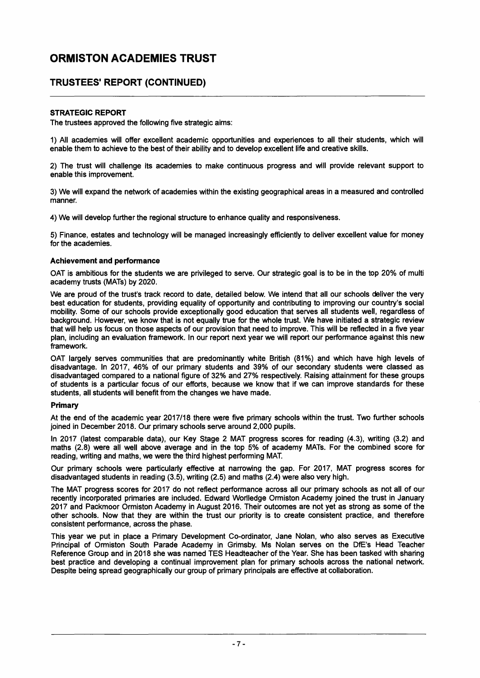### TRUSTEES' REPORT (CONTINUED)

#### STRATEGIC REPORT

The trustees approved the following five strategic aims:

1) All academies will offer excellent academic opportunities and experiences to all their students, which will enable them to achieve to the best of their ability and to develop excellent life and creative skills.

2) The trust will challenge its academies to make continuous progress and will provide relevant support to enable this improvement.

3) We will expand the network of academies within the existing geographical areas in a measured and controlled manner.

4) We will develop further the regional structure to enhance quality and responsiveness.

5) Finance, estates and technology will be managed increasingly efficiently to deliver excellent value for money for the academies.

#### Achievement and performance

OAT is ambitious for the students we are privileged to serve. Our strategic goal is to be in the top 20% of multi academy trusts (MATs) by 2020.

We are proud of the trust's track record to date, detailed below. We intend that all our schools deliver the very best education for students, providing equality of opportunity and contributing to improving our country's social mobility. Some of our schools provide exceptionally good education that serves all students well, regardless of background. However, we know that is not equally true for the whole trust. We have initiated a strategic review that will help us focus on those aspects of our provision that need to improve. This will be reflected in a five year plan, including an evaluation framework. In our report next year we will report our performance against this new framework.

OAT largely serves communities that are predominantly white British (81%) and which have high levels of disadvantage. In 2017, 46% of our primary students and 39% of our secondary students were classed as disadvantaged compared to a national figure of 32% and 27% respectively. Raising attainment for these groups of students is a particular focus of our efforts, because we know that if we can improve standards for these students, all students will benefit from the changes we have made.

#### Primary

At the end of the academic year 2017/18 there were five primary schools within the trust. Two further schools joined in December 2018. Our primary schools serve around 2,000 pupils.

In 2017 (latest comparable data), our Key Stage 2 MAT progress scores for reading (4.3), writing (3.2) and maths (2.8) were all well above average and in the top 5% of academy MATs. For the combined score for reading, writing and maths, we were the third highest performing MAT.

Our primary schools were particularly effective at narrowing the gap. For 2017, MAT progress scores for disadvantaged students in reading (3.5), writing (2.5) and maths (2.4) were also very high.

The MAT progress scores for 2017 do not reflect performance across all our primary schools as not all of our recently incorporated primaries are included. Edward Worlledge Ormiston Academy joined the trust in January 2017 and Packmoor Ormiston Academy in August 2016. Their outcomes are not yet as strong as some of the other schools. Now that they are within the trust our priority is to create consistent practice, and therefore consistent performance, across the phase.

This year we put in place a Primary Development Co-ordinator, Jane Nolan, who also serves as Executive Principal of Ormiston South Parade Academy in Grimsby. Ms Nolan serves on the DfE's Head Teacher Reference Group and in 2018 she was named TES Headteacher of the Year. She has been tasked with sharing best practice and developing a continual improvement plan for primary schools across the national network. Despite being spread geographically our group of primary principals are effective at collaboration.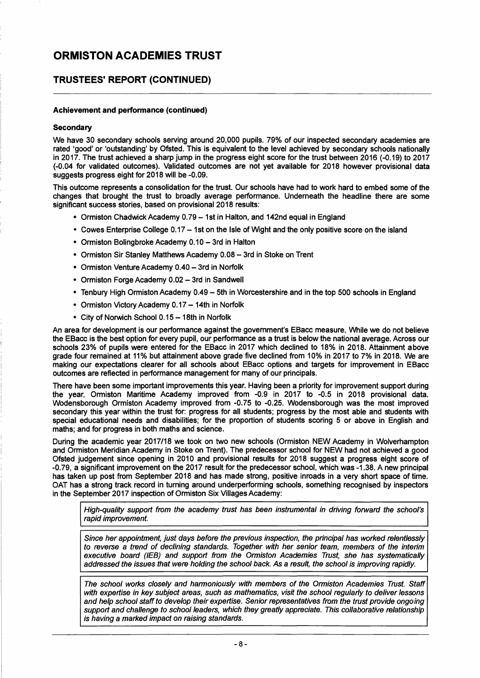### TRUSTEES' REPORT (CONTINUED)

#### Achievement and performance (continued)

#### **Secondary**

We have 30 secondary schools serving around 20,000 pupils. 79% of our inspected secondary academies are rated 'good' or 'outstanding' by Ofsted. This is equivalent to the level achieved by secondary schools nationally in 2017. The trust achieved a sharp jump in the progress eight score for the trust between 2016 (-0.19) to 2017 (-0.04 for validated outcomes). Validated outcomes are not yet available for 2018 however provisional data suggests progress eight for 2018 will be -0.09.

This outcome represents a consolidation for the trust. Our schools have had to work hard to embed some of the changes that brought the trust to broadly average performance. Underneath the headline there are some significant success stories, based on provisional 2018 results:

- Ormiston Chadwick Academy 0.79 1st in Halton, and 142nd equal in England
- Cowes Enterprise College 0.17 1st on the Isle of Wight and the only positive score on the island
- Ormiston Bolingbroke Academy 0.10 3rd in Halton
- Ormiston Sir Stanley Matthews Academy 0.08 3rd in Stoke on Trent
- Ormiston Venture Academy 0.40 3rd in Norfolk
- Ormiston Forge Academy 0.02 3rd in Sandwell
- Tenbury High Ormiston Academy 0.49 5th in Worcestershire and in the top 500 schools in England
- Ormiston Victory Academy 0.17 14th in Norfolk
- $\cdot$  City of Norwich School 0.15 18th in Norfolk

An area for development is our performance against the government's EBacc measure. While we do not believe the EBacc is the best option for every pupil, our performance as a trust is below the national average. Across our schools 23% of pupils were entered for the EBacc in 2017 which declined to 18% in 2018. Attainment above grade four remained at 11% but attainment above grade five declined from 10% in 2017 to 7% in 2018. We are making our expectations clearer for all schools about EBacc options and targets for improvement in EBacc outcomes are reflected in performance management for many of our principals.

There have been some important improvements this year. Having been a priority for improvement support during the year, Ormiston Maritime Academy improved from -0.9 in 2017 to -0.5 in 2018 provisional data. Wodensborough Ormiston Academy improved from -0.75 to -0.25. Wodensborough was the most improved secondary this year within the trust for: progress for all students; progress by the most able and students with special educational needs and disabilities; for the proportion of students scoring 5 or above in English and maths; and for progress in both maths and science.

During the academic year 2017/18 we took on two new schools (Ormiston NEW Academy in Wolverhampton and Ormiston Meridian Academy in Stoke on Trent). The predecessor school for NEW had not achieved a good Ofsted judgement since opening in 2010 and provisional results for 2018 suggest a progress eight score of -0.79, a significant improvement on the 2017 result for the predecessor school, which was -1.38. A new principal has taken up post from September 2018 and has made strong, positive inroads in a very short space of time. OAT has a strong track record in turning around underperforming schools, something recognised by inspectors in the September 2017 inspection of Ormiston Six Villages Academy:

*High-quality support from the academy trust has been instrumental in driving forward the school's rapid improvement.* 

*Since her appointment, just days before the previous inspection, the principal has worked relentlessly to reverse* a *trend of declining standards. Together with her senior team, members of the interim executive board (lEB) and support from the Ormiston Academies Trust, she has systematically addressed the issues that were holding the school back. As* a *result, the school is improving rapidly.* 

*The school works closely and harmoniously with members of the Ormiston Academies Trust. Staff with expertise in key subject areas, such as mathematics, visit the school regularly to deliver lessons and help school staff to develop their expertise. Senior representatives from the trust provide ongoing support and challenge to school leaders, which they greatly appreciate. This collaborative relationship is having* a *marked impact on raising standards.*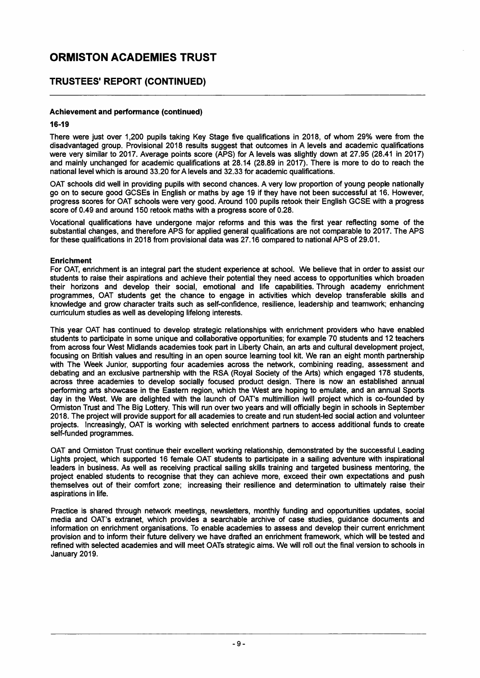### **TRUSTEES' REPORT (CONTINUED)**

#### **Achievement and peñormance (continued)**

#### **16-19**

There were just over 1,200 pupils taking Key Stage five qualifications in 2018, of whom 29% were from the disadvantaged group. Provisional 2018 results suggest that outcomes in A levels and academic qualifications were very similar to 2017. Average points score (APS) for A levels was slightly down at 27.95 (28.41 in 2017) and mainly unchanged for academic qualifications at 28.14 (28.89 in 2017). There is more to do to reach the national level which is around 33.20 for A levels and 32.33 for academic qualifications.

OAT schools did well in providing pupils with second chances. A very low proportion of young people nationally go on to secure good GCSEs in English or maths by age 19 if they have not been successful at 16. However, progress scores for OAT schools were very good. Around 100 pupils retook their English GCSE with a progress score of 0.49 and around 150 retook maths with a progress score of 0.28.

Vocational qualifications have undergone major reforms and this was the first year reflecting some of the substantial changes, and therefore APS for applied general qualifications are not comparable to 2017. The APS for these qualifications in 2018 from provisional data was 27.16 compared to national APS of 29.01.

#### **Enrichment**

For OAT, enrichment is an integral part the student experience at school. We believe that in order to assist our students to raise their aspirations and achieve their potential they need access to opportunities which broaden their horizons and develop their social, emotional and life capabilities. Through academy enrichment programmes, OAT students get the chance to engage in activities which develop transferable skills and knowledge and grow character traits such as self-confidence, resilience, leadership and teamwork; enhancing curriculum studies as well as developing lifelong interests.

This year OAT has continued to develop strategic relationships with enrichment providers who have enabled students to participate in some unique and collaborative opportunities; for example 70 students and 12 teachers from across four West Midlands academies took part in Liberty Chain, an arts and cultural development project, focusing on British values and resulting in an open source learning tool kit. We ran an eight month partnership with The Week Junior, supporting four academies across the network, combining reading, assessment and debating and an exclusive partnership with the RSA (Royal Society of the Arts) which engaged 178 students, across three academies to develop socially focused product design. There is now an established annual performing arts showcase in the Eastern region, which the West are hoping to emulate, and an annual Sports day in the West. We are delighted with the launch of OAT's multimillion iwill project which is co-founded by Ormiston Trust and The Big Lottery. This will run over two years and will officially begin in schools in September 2018. The project will provide support for all academies to create and run student-led social action and volunteer projects. Increasingly, OAT is working with selected enrichment partners to access additional funds to create self-funded programmes.

OAT and Ormiston Trust continue their excellent working relationship, demonstrated by the successful Leading Lights project, which supported 16 female OAT students to participate in a sailing adventure with inspirational leaders in business. As well as receiving practical sailing skills training and targeted business mentoring, the project enabled students to recognise that they can achieve more, exceed their own expectations and push themselves out of their comfort zone; increasing their resilience and determination to ultimately raise their aspirations in life.

Practice is shared through network meetings, newsletters, monthly funding and opportunities updates, social media and OAT's extranet, which provides a searchable archive of case studies, guidance documents and information on enrichment organisations. To enable academies to assess and develop their current enrichment provision and to inform their future delivery we have drafted an enrichment framework, which will be tested and refined with selected academies and will meet OATs strategic aims. We will roll out the final version to schools in January 2019.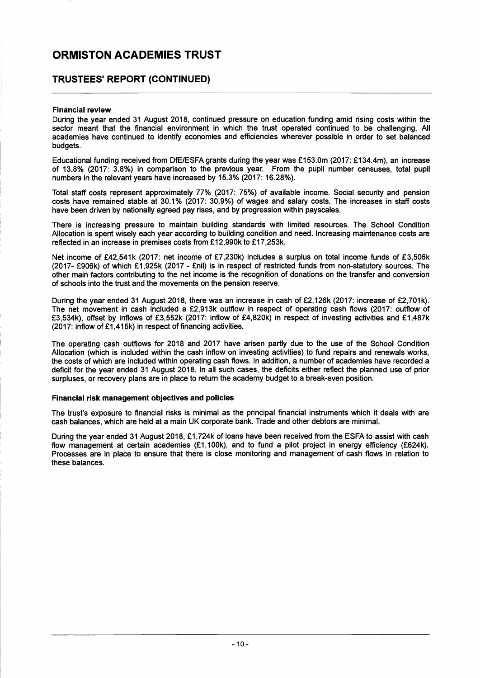### **TRUSTEES' REPORT (CONTINUED)**

#### **Financial review**

During the year ended 31 August 2018, continued pressure on education funding amid rising costs within the sector meant that the financial environment in which the trust operated continued to be challenging. All academies have continued to identify economies and efficiencies wherever possible in order to set balanced budgets.

Educational funding received from DfE/ESFA grants during the year was £153.0m (2017: £134.4m), an increase of 13.8% (2017: 3.8%) in comparison to the previous year. From the pupil number censuses, total pupil numbers in the relevant years have increased by 15.3% (2017: 16.28%).

Total staff costs represent approximately 77% (2017: 75%) of available income. Social security and pension costs have remained stable at 30.1 % (2017: 30.9%) of wages and salary costs. The increases in staff costs have been driven by nationally agreed pay rises, and by progression within payscales.

There is increasing pressure to maintain building standards with limited resources. The School Condition Allocation is spent wisely each year according to building condition and need. Increasing maintenance costs are reflected in an increase in premises costs from £12,990k to £17,253k.

Net income of £42,541k (2017: net income of £7,230k) includes a surplus on total income funds of £3,506k (2017- £906k) of which £1,925k (2017 - £nil) is in respect of restricted funds from non-statutory sources. The other main factors contributing to the net income is the recognition of donations on the transfer and conversion of schools into the trust and the movements on the pension reserve.

During the year ended 31 August 2018, there was an increase in cash of £2,126k (2017: increase of £2,701k). The net movement in cash included a £2,913k outflow in respect of operating cash flows (2017: outflow of £3,534k), offset by inflows of £3,552k (2017: inflow of £4,820k) in respect of investing activities and £1,487k (2017: inflow of £1 ,415k) in respect of financing activities.

The operating cash outflows for 2018 and 2017 have arisen partly due to the use of the School Condition Allocation (which is included within the cash inflow on investing activities) to fund repairs and renewals works, the costs of which are included within operating cash flows. In addition, a number of academies have recorded a deficit for the year ended 31 August 2018. In all such cases, the deficits either reflect the planned use of prior surpluses, or recovery plans are in place to return the academy budget to a break-even position.

#### **Financial risk management objectives and policies**

The trust's exposure to financial risks is minimal as the principal financial instruments which it deals with are cash balances, which are held at a main UK corporate bank. Trade and other debtors are minimal.

During the year ended 31 August 2018, £1,724k of loans have been received from the ESFA to assist with cash flow management at certain academies (£1,100k), and to fund a pilot project in energy efficiency (£624k). Processes are in place to ensure that there is close monitoring and management of cash flows in relation to these balances.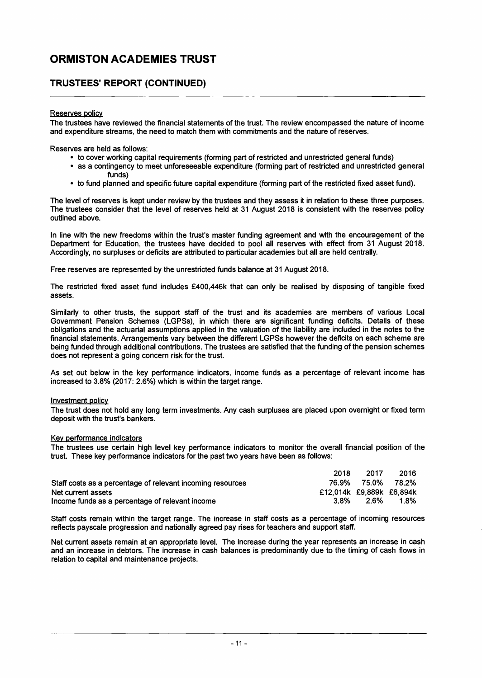### **TRUSTEES' REPORT (CONTINUED)**

#### Reserves policy

The trustees have reviewed the financial statements of the trust. The review encompassed the nature of income and expenditure streams, the need to match them with commitments and the nature of reserves.

Reserves are held as follows:

- to cover working capital requirements (forming part of restricted and unrestricted general funds)
- as a contingency to meet unforeseeable expenditure (forming part of restricted and unrestricted general funds)
- to fund planned and specific future capital expenditure (forming part of the restricted fixed asset fund).

The level of reserves is kept under review by the trustees and they assess it in relation to these three purposes. The trustees consider that the level of reserves held at 31 August 2018 is consistent with the reserves policy outlined above.

In line with the new freedoms within the trust's master funding agreement and with the encouragement of the Department for Education, the trustees have decided to pool all reserves with effect from 31 August 2018. Accordingly, no surpluses or deficits are attributed to particular academies but all are held centrally.

Free reserves are represented by the unrestricted funds balance at 31 August 2018.

The restricted fixed asset fund includes £400,446k that can only be realised by disposing of tangible fixed assets.

Similarly to other trusts, the support staff of the trust and its academies are members of various Local Government Pension Schemes (LGPSs), in which there are significant funding deficits. Details of these obligations and the actuarial assumptions applied in the valuation of the liability are included in the notes to the financial statements. Arrangements vary between the different LGPSs however the deficits on each scheme are being funded through additional contributions. The trustees are satisfied that the funding of the pension schemes does not represent a going concern risk for the trust.

As set out below in the key performance indicators, income funds as a percentage of relevant income has increased to 3.8% (2017: 2.6%) which is within the target range.

#### Investment policy

The trust does not hold any long term investments. Any cash surpluses are placed upon overnight or fixed term deposit with the trust's bankers.

#### Key performance indicators

The trustees use certain high level key performance indicators to monitor the overall financial position of the trust. These key performance indicators for the past two years have been as follows:

|                                                            | 2018                     | -2017             | 2016 |
|------------------------------------------------------------|--------------------------|-------------------|------|
| Staff costs as a percentage of relevant incoming resources |                          | 76.9% 75.0% 78.2% |      |
| Net current assets                                         | £12,014k £9,889k £6,894k |                   |      |
| Income funds as a percentage of relevant income            | 3.8%                     | 2.6%              | 1.8% |

Staff costs remain within the target range. The increase in staff costs as a percentage of incoming resources reflects payscale progression and nationally agreed pay rises for teachers and support staff.

Net current assets remain at an appropriate level. The increase during the year represents an increase in cash and an increase in debtors. The increase in cash balances is predominantly due to the timing of cash flows in relation to capital and maintenance projects.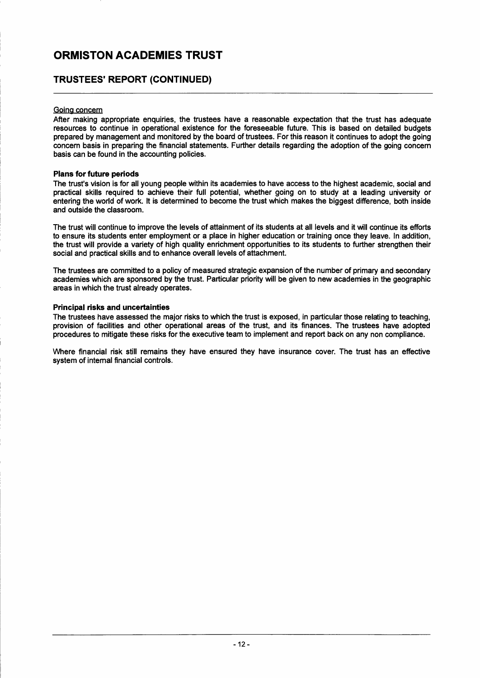### **TRUSTEES' REPORT (CONTINUED)**

#### Going concern

After making appropriate enquiries, the trustees have a reasonable expectation that the trust has adequate resources to continue in operational existence for the foreseeable future. This is based on detailed budgets prepared by management and monitored by the board of trustees. For this reason it continues to adopt the going concern basis in preparing the financial statements. Further details regarding the adoption of the going concern basis can be found in the accounting policies.

#### **Plans for future periods**

The trust's vision is for all young people within its academies to have access to the highest academic, social and practical skills required to achieve their full potential, whether going on to study at a leading university or entering the world of work. It is determined to become the trust which makes the biggest difference, both inside and outside the classroom.

The trust will continue to improve the levels of attainment of its students at all levels and it will continue its efforts to ensure its students enter employment or a place in higher education or training once they leave. In addition, the trust will provide a variety of high quality enrichment opportunities to its students to further strengthen their social and practical skills and to enhance overall levels of attachment.

The trustees are committed to a policy of measured strategic expansion of the number of primary a nd secondary academies which are sponsored by the trust. Particular priority will be given to new academies in the geographic areas in which the trust already operates.

#### **Principal risks and uncertainties**

The trustees have assessed the major risks to which the trust is exposed, in particular those relating to teaching, provision of facilities and other operational areas of the trust, and its finances. The trustees have adopted procedures to mitigate these risks for the executive team to implement and report back on any non compliance.

Where financial risk still remains they have ensured they have insurance cover. The trust has an effective system of internal financial controls.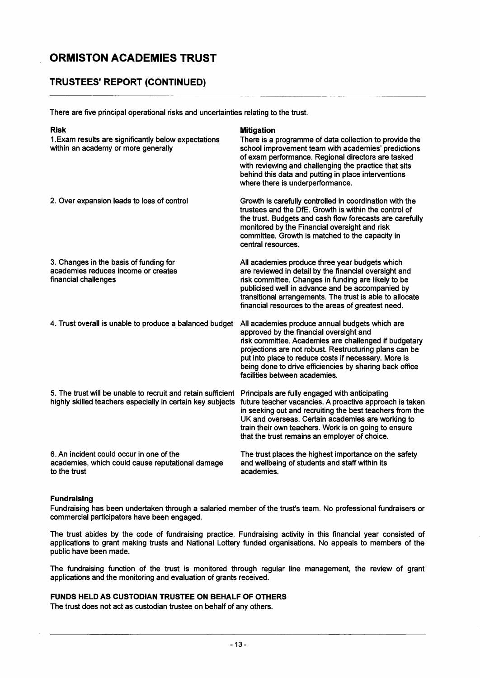### **TRUSTEES' REPORT (CONTINUED)**

There are five principal operational risks and uncertainties relating to the trust.

| <b>Risk</b><br>1. Exam results are significantly below expectations<br>within an academy or more generally                 | <b>Mitigation</b><br>There is a programme of data collection to provide the<br>school improvement team with academies' predictions<br>of exam performance. Regional directors are tasked<br>with reviewing and challenging the practice that sits<br>behind this data and putting in place interventions<br>where there is underperformance.                     |
|----------------------------------------------------------------------------------------------------------------------------|------------------------------------------------------------------------------------------------------------------------------------------------------------------------------------------------------------------------------------------------------------------------------------------------------------------------------------------------------------------|
| 2. Over expansion leads to loss of control                                                                                 | Growth is carefully controlled in coordination with the<br>trustees and the DfE. Growth is within the control of<br>the trust. Budgets and cash flow forecasts are carefully<br>monitored by the Financial oversight and risk<br>committee. Growth is matched to the capacity in<br>central resources.                                                           |
| 3. Changes in the basis of funding for<br>academies reduces income or creates<br>financial challenges                      | All academies produce three year budgets which<br>are reviewed in detail by the financial oversight and<br>risk committee. Changes in funding are likely to be<br>publicised well in advance and be accompanied by<br>transitional arrangements. The trust is able to allocate<br>financial resources to the areas of greatest need.                             |
| 4. Trust overall is unable to produce a balanced budget                                                                    | All academies produce annual budgets which are<br>approved by the financial oversight and<br>risk committee. Academies are challenged if budgetary<br>projections are not robust. Restructuring plans can be<br>put into place to reduce costs if necessary. More is<br>being done to drive efficiencies by sharing back office<br>facilities between academies. |
| 5. The trust will be unable to recruit and retain sufficient<br>highly skilled teachers especially in certain key subjects | Principals are fully engaged with anticipating<br>future teacher vacancies. A proactive approach is taken<br>in seeking out and recruiting the best teachers from the<br>UK and overseas. Certain academies are working to<br>train their own teachers. Work is on going to ensure<br>that the trust remains an employer of choice.                              |
| 6. An incident could occur in one of the<br>academies, which could cause reputational damage<br>to the trust               | The trust places the highest importance on the safety<br>and wellbeing of students and staff within its<br>academies.                                                                                                                                                                                                                                            |

#### **Fundraising**

Fundraising has been undertaken through a salaried member of the trust's team. No professional fundraisers or commercial participators have been engaged.

The trust abides by the code of fundraising practice. Fundraising activity in this financial year consisted of applications to grant making trusts and National Lottery funded organisations. No appeals to members of the public have been made.

The fundraising function of the trust is monitored through regular line management, the review of grant applications and the monitoring and evaluation of grants received.

#### **FUNDS HELD AS CUSTODIAN TRUSTEE ON BEHALF OF OTHERS**

The trust does not act as custodian trustee on behalf of any others.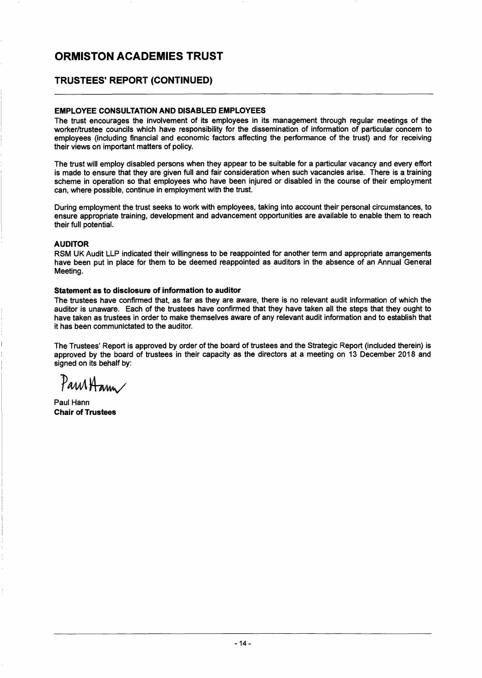### TRUSTEES' REPORT (CONTINUED)

#### EMPLOYEE CONSULTATION AND DISABLED EMPLOYEES

The trust encourages the involvement of its employees in its management through regular meetings of the worker/trustee councils which have responsibility for the dissemination of information of particular concern to employees (including financial and economic factors affecting the performance of the trust) and for receiving their views on important matters of policy.

The trust will employ disabled persons when they appear to be suitable for a particular vacancy and every effort is made to ensure that they are given full and fair consideration when such vacancies arise. There is a training scheme in operation so that employees who have been injured or disabled in the course of their employment can, where possible, continue in employment with the trust.

During employment the trust seeks to work with employees, taking into account their personal circumstances, to ensure appropriate training, development and advancement opportunities are available to enable them to reach their full potential.

#### AUDITOR

RSM UK Audit LLP indicated their willingness to be reappointed for another term and appropriate arrangements have been put in place for them to be deemed reappointed as auditors in the absence of an Annual General Meeting.

#### Statement as to disclosure of information to auditor

The trustees have confirmed that, as far as they are aware, there is no relevant audit information of which the auditor is unaware. Each of the trustees have confirmed that they have taken all the steps that they ought to have taken as trustees in order to make themselves aware of any relevant audit information and to establish that it has been communictated to the auditor.

The Trustees' Report is approved by order of the board of trustees and the Strategic Report (included therein) is approved by the board of trustees in their capacity as the directors at a meeting on 13 December 2018 and signed on its behalf by:

**TAMAL** 

Paul Hann Chair of Trustees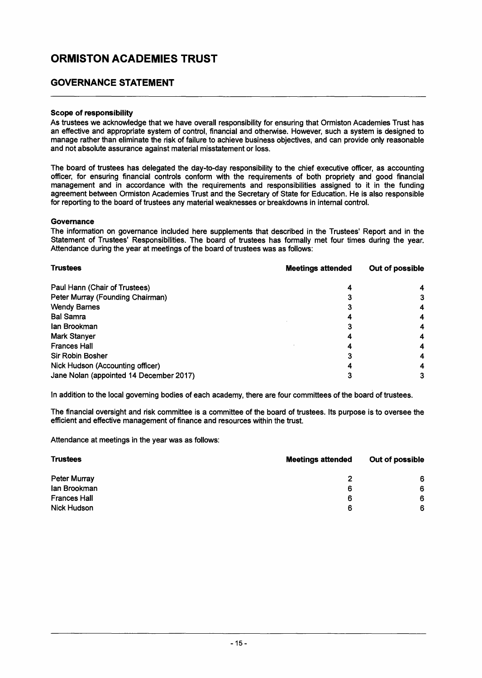### **GOVERNANCE STATEMENT**

#### Scope of responsibility

As trustees we acknowledge that we have overall responsibility for ensuring that Ormiston Academies Trust has an effective and appropriate system of control, financial and otherwise. However, such a system is designed to manage rather than eliminate the risk of failure to achieve business objectives, and can provide only reasonable and not absolute assurance against material misstatement or loss.

The board of trustees has delegated the day-to-day responsibility to the chief executive officer, as accounting officer, for ensuring financial controls conform with the requirements of both propriety and good financial management and in accordance with the requirements and responsibilities assigned to it in the funding agreement between Ormiston Academies Trust and the Secretary of State for Education. He is also responsible for reporting to the board of trustees any material weaknesses or breakdowns in internal control.

#### **Governance**

The information on governance included here supplements that described in the Trustees' Report and in the Statement of Trustees' Responsibilities. The board of trustees has formally met four times during the year. Attendance during the year at meetings of the board of trustees was as follows:

| <b>Trustees</b>                         | <b>Meetings attended</b> | Out of possible |  |
|-----------------------------------------|--------------------------|-----------------|--|
| Paul Hann (Chair of Trustees)           | 4                        |                 |  |
| Peter Murray (Founding Chairman)        |                          |                 |  |
| <b>Wendy Barnes</b>                     |                          |                 |  |
| <b>Bal Samra</b>                        |                          |                 |  |
| lan Brookman                            |                          |                 |  |
| <b>Mark Stanyer</b>                     |                          |                 |  |
| <b>Frances Hall</b>                     |                          |                 |  |
| Sir Robin Bosher                        |                          |                 |  |
| Nick Hudson (Accounting officer)        |                          |                 |  |
| Jane Nolan (appointed 14 December 2017) |                          |                 |  |

In addition to the local governing bodies of each academy, there are four committees of the board of trustees.

The financial oversight and risk committee is a committee of the board of trustees. Its purpose is to oversee the efficient and effective management of finance and resources within the trust.

Attendance at meetings in the year was as follows:

| <b>Trustees</b>     | <b>Meetings attended</b> | Out of possible |  |
|---------------------|--------------------------|-----------------|--|
| <b>Peter Murray</b> |                          | 6               |  |
| lan Brookman        | 6                        | 6               |  |
| <b>Frances Hall</b> | 6                        | 6               |  |
| <b>Nick Hudson</b>  | 6                        | 6               |  |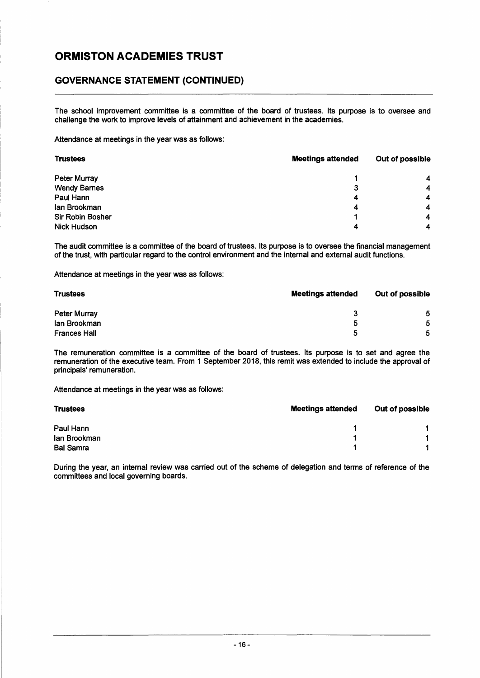### **GOVERNANCE STATEMENT (CONTINUED)**

The school improvement committee is a committee of the board of trustees. Its purpose is to oversee and challenge the work to improve levels of attainment and achievement in the academies.

Attendance at meetings in the year was as follows:

| <b>Trustees</b>     | <b>Meetings attended</b> | Out of possible |
|---------------------|--------------------------|-----------------|
| <b>Peter Murray</b> |                          |                 |
| <b>Wendy Barnes</b> | 3                        | 4               |
| Paul Hann           | 4                        |                 |
| lan Brookman        | 4                        |                 |
| Sir Robin Bosher    |                          | 4               |
| <b>Nick Hudson</b>  | Δ                        |                 |

The audit committee is a committee of the board of trustees. Its purpose is to oversee the financial management of the trust, with particular regard to the control environment and the internal and external audit functions.

Attendance at meetings in the year was as follows:

| <b>Trustees</b>     | <b>Meetings attended</b> | Out of possible |  |
|---------------------|--------------------------|-----------------|--|
| Peter Murray        | 3                        | 5               |  |
| lan Brookman        | b                        | 5               |  |
| <b>Frances Hall</b> |                          | 5               |  |

The remuneration committee is a committee of the board of trustees. Its purpose is to set and agree the remuneration of the executive team. From 1 September 2018, this remit was extended to include the approval of principals' remuneration.

Attendance at meetings in the year was as follows:

| <b>Trustees</b>  | <b>Meetings attended</b> | Out of possible |
|------------------|--------------------------|-----------------|
| Paul Hann        |                          |                 |
| lan Brookman     |                          |                 |
| <b>Bal Samra</b> |                          |                 |

During the year, an internal review was carried out of the scheme of delegation and terms of reference of the committees and local governing boards.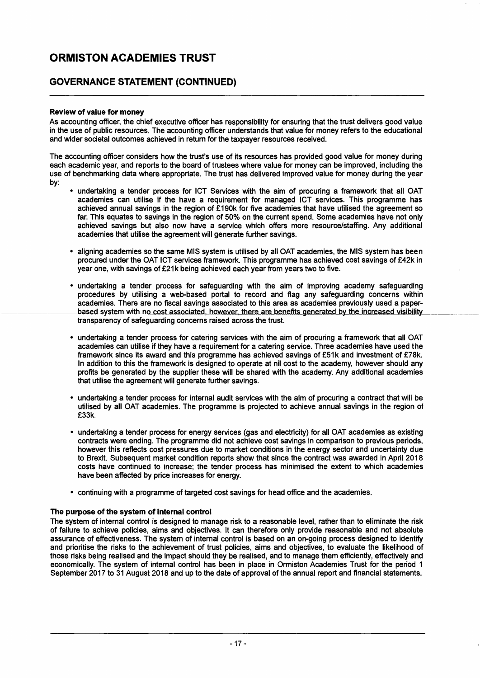### GOVERNANCE STATEMENT (CONTINUED)

#### Review of value for money

As accounting officer, the chief executive officer has responsibility for ensuring that the trust delivers good value in the use of public resources. The accounting officer understands that value for money refers to the educational and wider societal outcomes achieved in return for the taxpayer resources received.

The accounting officer considers how the trust's use of its resources has provided good value for money during each academic year, and reports to the board of trustees where value for money can be improved, including the use of benchmarking data where appropriate. The trust has delivered improved value for money during the year by:

- undertaking a tender process for ICT Services with the aim of procuring a framework that all OAT academies can utilise if the have a requirement for managed ICT services. This programme has achieved annual savings in the region of £190k for five academies that have utilised the agreement so far. This equates to savings in the region of 50% on the current spend. Some academies have not only achieved savings but also now have a service which offers more resource/staffing. Any additional academies that utilise the agreement will generate further savings.
- aligning academies so the same MIS system is utilised by all OAT academies, the MIS system has been procured under the OAT ICT services framework. This programme has achieved cost savings of £42k in year one, with savings of £21k being achieved each year from years two to five.
- undertaking a tender process for safeguarding with the aim of improving academy safeguarding procedures by utilising a web-based portal to record and flag any safeguarding concerns within academies. There are no fiscal savings associated to this area as academies previously used a paper based system with no cost associated, however, there are benefits generated by the increased visibility transparency of safeguarding concerns raised across the trust.
- undertaking a tender process for catering services with the aim of procuring a framework that all OAT academies can utilise if they have a requirement for a catering service. Three academies have used the framework since its award and this programme has achieved savings of £51k and investment of £78k. In addition to this the framework is designed to operate at nil cost to the academy, however should any profits be generated by the supplier these will be shared with the academy. Any additional academies that utilise the agreement will generate further savings.
- undertaking a tender process for internal audit services with the aim of procuring a contract that will be utilised by all OAT academies. The programme is projected to achieve annual savings in the region of £33k.
- undertaking a tender process for energy services (gas and electricity) for all OAT academies as existing contracts were ending. The programme did not achieve cost savings in comparison to previous periods, however this reflects cost pressures due to market conditions in the energy sector and uncertainty due to Brexit. Subsequent market condition reports show that since the contract was awarded in April 2018 costs have continued to increase; the tender process has minimised the extent to which academies have been affected by price increases for energy.
- continuing with a programme of targeted cost savings for head office and the academies.

#### The purpose of the system of internal control

The system of internal control is designed to manage risk to a reasonable level, rather than to eliminate the risk of failure to achieve policies, aims and objectives. It can therefore only provide reasonable and not absolute assurance of effectiveness. The system of internal control is based on an on-going process designed to identify and prioritise the risks to the achievement of trust policies, aims and objectives, to evaluate the likelihood of those risks being realised and the impact should they be realised, and to manage them efficiently, effectively and economically. The system of internal control has been in place in Ormiston Academies Trust for the period 1 September 2017 to 31 August 2018 and up to the date of approval of the annual report and financial statements.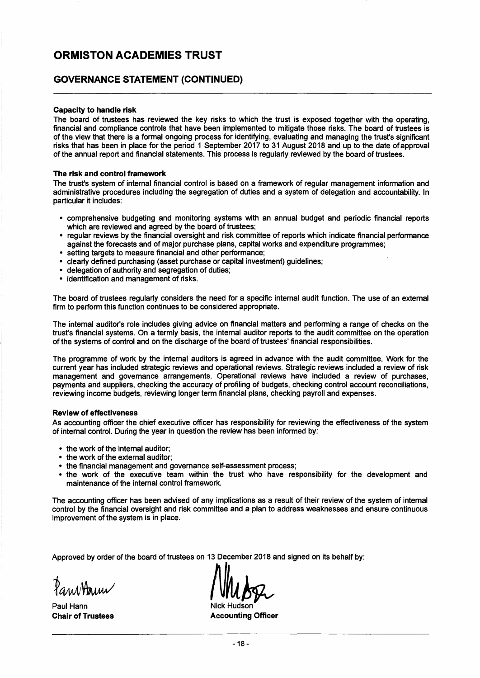#### **GOVERNANCE STATEMENT (CONTINUED)**

#### Capacity to handle risk

The board of trustees has reviewed the key risks to which the trust is exposed together with the operating, financial and compliance controls that have been implemented to mitigate those risks. The board of trustees is of the view that there is a formal ongoing process for identifying, evaluating and managing the trust's significant risks that has been in place for the period 1 September 2017 to 31 August 2018 and up to the date of approval of the annual report and financial statements. This process is regularly reviewed by the board of trustees.

#### The risk and control framework

The trust's system of internal financial control is based on a framework of regular management information and administrative procedures including the segregation of duties and a system of delegation and accountability. In particular it includes:

- comprehensive budgeting and monitoring systems with an annual budget and periodic financial reports which are reviewed and agreed by the board of trustees;
- regular reviews by the financial oversight and risk committee of reports which indicate financial performance against the forecasts and of major purchase plans, capital works and expenditure programmes;
- setting targets to measure financial and other performance;
- clearly defined purchasing (asset purchase or capital investment) guidelines;
- delegation of authority and segregation of duties;
- identification and management of risks.

The board of trustees regularly considers the need for a specific internal audit function. The use of an external firm to perform this function continues to be considered appropriate.

The internal auditor's role includes giving advice on financial matters and performing a range of checks on the trust's financial systems. On a termly basis, the internal auditor reports to the audit committee on the operation of the systems of control and on the discharge of the board of trustees' financial responsibilities.

The programme of work by the internal auditors is agreed in advance with the audit committee. Work for the current year has included strategic reviews and operational reviews. Strategic reviews included a review of risk management and governance arrangements. Operational reviews have included a review of purchases, payments and suppliers, checking the accuracy of profiling of budgets, checking control account reconciliations, reviewing income budgets, reviewing longer term financial plans, checking payroll and expenses.

#### Review of effectiveness

As accounting officer the chief executive officer has responsibility for reviewing the effectiveness of the system of internal control. During the year in question the review has been informed by:

- the work of the internal auditor;
- the work of the external auditor;
- the financial management and governance self-assessment process;
- the work of the executive team within the trust who have responsibility for the development and maintenance of the internal control framework.

The accounting officer has been advised of any implications as a result of their review of the system of internal control by the financial oversight and risk committee and a plan to address weaknesses and ensure continuous improvement of the system is in place.

Approved by order of the board of trustees on 13 December 2018 and signed on its behalf by:

Paul Hann

Chair of Trustees **Accounting Officer** Accounting Officer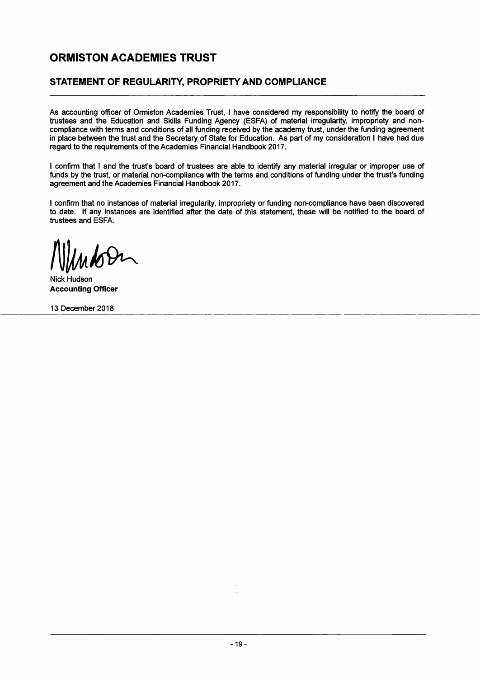### **STATEMENT OF REGULARITY, PROPRIETY AND COMPLIANCE**

As accounting officer of Ormiston Academies Trust, I have considered my responsibility to notify the board of trustees and the Education and Skills Funding Agency (ESFA) of material irregularity, impropriety and noncompliance with terms and conditions of all funding received by the academy trust, under the funding agreement in place between the trust and the Secretary of State for Education. As part of my consideration I have had due regard to the requirements of the Academies Financial Handbook 2017.

I confirm that I and the trust's board of trustees are able to identify any material irregular or improper use of funds by the trust, or material non-compliance with the terms and conditions of funding under the trust's funding agreement and the Academies Financial Handbook 2017.

I confirm that no instances of material irregularity, impropriety or funding non-compliance have been discovered to date. If any instances are identified after the date of this statement, these will be notified to the board of trustees and ESFA.

Nick Hudson **Accounting Officer** 

13 December 2018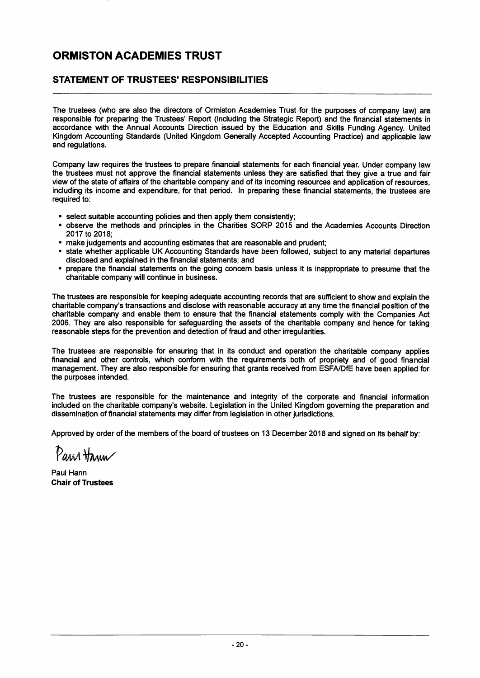### **STATEMENT OF TRUSTEES' RESPONSIBILITIES**

The trustees (who are also the directors of Ormiston Academies Trust for the purposes of company law) are responsible for preparing the Trustees' Report (including the Strategic Report) and the financial statements in accordance with the Annual Accounts Direction issued by the Education and Skills Funding Agency. United Kingdom Accounting Standards (United Kingdom Generally Accepted Accounting Practice) and applicable law and regulations.

Company law requires the trustees to prepare financial statements for each financial year. Under company law the trustees must not approve the financial statements unless they are satisfied that they give a true and fair view of the state of affairs of the charitable company and of its incoming resources and application of resources, including its income and expenditure, for that period. In preparing these financial statements, the trustees are required to:

- select suitable accounting policies and then apply them consistently;
- observe the methods and principles in the Charities SORP 2015 and the Academies Accounts Direction 2017 to 2018;
- make judgements and accounting estimates that are reasonable and prudent;
- state whether applicable UK Accounting Standards have been followed, subject to any material departures disclosed and explained in the financial statements; and
- prepare the financial statements on the going concern basis unless it is inappropriate to presume that the charitable company will continue in business.

The trustees are responsible for keeping adequate accounting records that are sufficient to show and explain the charitable company's transactions and disclose with reasonable accuracy at any time the financial position of the charitable company and enable them to ensure that the financial statements comply with the Companies Act 2006. They are also responsible for safeguarding the assets of the charitable company and hence for taking reasonable steps for the prevention and detection of fraud and other irregularities.

The trustees are responsible for ensuring that in its conduct and operation the charitable company applies financial and other controls, which conform with the requirements both of propriety and of good financial management. They are also responsible for ensuring that grants received from ESFAlDfE have been applied for the purposes intended.

The trustees are responsible for the maintenance and integrity of the corporate and financial information included on the charitable company's website. Legislation in the United Kingdom governing the preparation and dissemination of financial statements may differ from legislation in other jurisdictions.

Approved by order of the members of the board of trustees on 13 December 2018 and signed on its behalf by:

Pana Hann

Paul Hann Chair of Trustees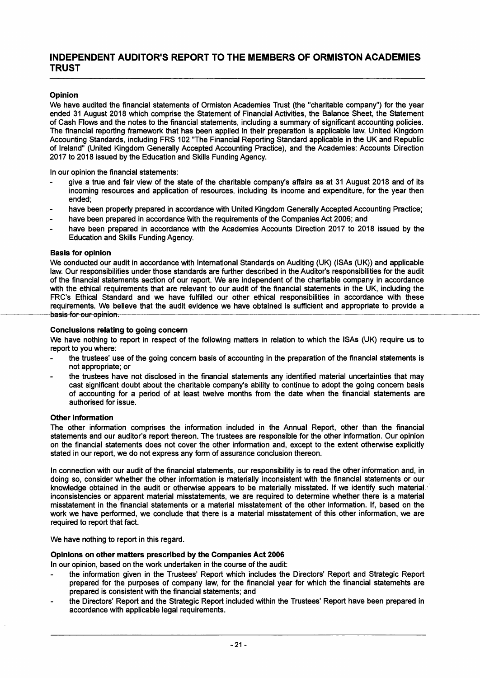#### INDEPENDENT AUDITOR'S REPORT TO THE MEMBERS OF ORMISTON ACADEMIES **TRUST**

#### Opinion

We have audited the financial statements of Ormiston Academies Trust (the "charitable company") for the year ended 31 August 2018 which comprise the Statement of Financial Activities, the Balance Sheet, the Statement of Cash Flows and the notes to the financial statements, including a summary of significant accounting policies. The financial reporting framework that has been applied in their preparation is applicable law, United Kingdom Accounting Standards, including FRS 102 "The Financial Reporting Standard applicable in the UK and Republic of Ireland" (United Kingdom Generally Accepted Accounting Practice), and the Academies: Accounts Direction 2017 to 2018 issued by the Education and Skills Funding Agency.

In our opinion the financial statements:

- give a true and fair view of the state of the charitable company's affairs as at 31 August 2018 and of its incoming resources and application of resources, including its income and expenditure, for the year then ended;
- have been properly prepared in accordance with United Kingdom Generally Accepted Accounting Practice;
- have been prepared in accordance with the requirements of the Companies Act 2006; and
- have been prepared in accordance with the Academies Accounts Direction 2017 to 2018 issued by the Education and Skills Funding Agency.

#### Basis for opinion

We conducted our audit in accordance with International Standards on Auditing (UK) (ISAs (UK)) and applicable law. Our responsibilities under those standards are further described in the Auditor's responsibilities for the audit of the financial statements section of our report. We are independent of the charitable company in accordance with the ethical requirements that are relevant to our audit of the financial statements in the UK, including the FRC's Ethical Standard and we have fulfilled our other ethical responsibilities in accordance with these requirements. We believe that the audit evidence we have obtained is sufficient and appropriate to provide a basis for our opinion.

#### Conclusions relating to going concern

We have nothing to report in respect of the following matters in relation to which the ISAs (UK) require us to report to you where:

- the trustees' use of the going concern basis of accounting in the preparation of the financial statements is not appropriate; or
- the trustees have not disclosed in the financial statements any identified material uncertainties that may cast significant doubt about the charitable company's ability to continue to adopt the going concern basis of accounting for a period of at least twelve months from the date when the financial statements are authorised for issue.

#### Other information

The other information comprises the information included in the Annual Report, other than the financial statements and our auditor's report thereon. The trustees are responsible for the other information. Our opinion on the financial statements does not cover the other information and, except to the extent otherwise explicitly stated in our report, we do not express any form of assurance conclusion thereon.

In connection with our audit of the financial statements, our responsibility is to read the other information and, in doing so, consider whether the other information is materially inconsistent with the financial statements or our knowledge obtained in the audit or otherwise appears to be materially misstated. If we identify such material inconsistencies or apparent material misstatements, we are required to determine whether there is a material misstatement in the financial statements or a material misstatement of the other information. If, based on the work we have performed, we conclude that there is a material misstatement of this other information, we are required to report that fact.

We have nothing to report in this regard.

#### Opinions on other matters prescribed by the Companies Act 2006

In our opinion, based on the work undertaken in the course of the audit:

- the information given in the Trustees' Report which includes the Directors' Report and Strategic Report prepared for the purposes of company law, for the financial year for which the financial statemehts are prepared is consistent with the financial statements; and
- the Directors' Report and the Strategic Report included within the Trustees' Report have been prepared in accordance with applicable legal requirements.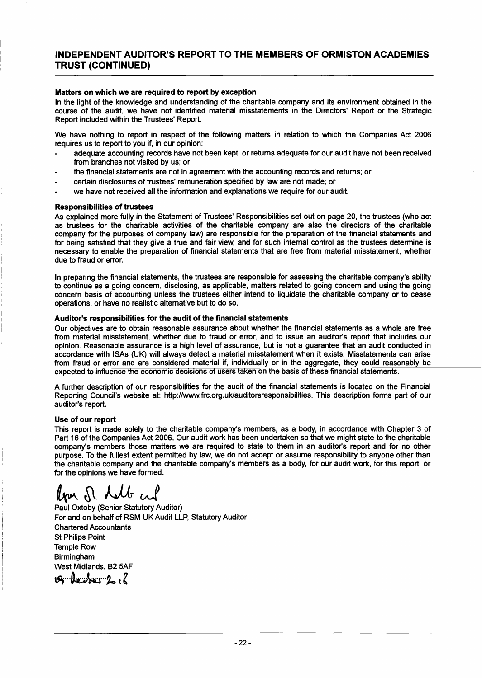### INDEPENDENT AUDITOR'S REPORT TO THE MEMBERS OF ORMISTON ACADEMIES TRUST (CONTINUED)

#### Matters on which we are required to report by exception

In the light of the knowledge and understanding of the charitable company and its environment obtained in the course of the audit, we have not identified material misstatements in the Directors' Report or the Strategic Report included within the Trustees' Report.

We have nothing to report in respect of the following matters in relation to which the Companies Act 2006 requires us to report to you if, in our opinion:

- adequate accounting records have not been kept, or returns adequate for our audit have not been received from branches not visited by us; or
- the financial statements are not in agreement with the accounting records and returns; or
- certain disclosures of trustees' remuneration specified by law are not made; or
- we have not received all the information and explanations we require for our audit.

#### Responsibilities of trustees

As explained more fully in the Statement of Trustees' Responsibilities set out on page 20, the trustees (who act as trustees for the charitable activities of the charitable company are also the directors of the charitable company for the purposes of company law) are responsible for the preparation of the financial statements and for being satisfied that they give a true and fair view, and for such internal control as the trustees determine is necessary to enable the preparation of financial statements that are free from material misstatement, whether due to fraud or error.

In preparing the financial statements, the trustees are responsible for assessing the charitable company's ability to continue as a going concern, disclosing, as applicable, matters related to going concern and using the going concern basis of accounting unless the trustees either intend to liquidate the charitable company or to cease operations, or have no realistic alternative but to do so.

#### Auditor's responsibilities for the audit of the financial statements

Our objectives are to obtain reasonable assurance about whether the financial statements as a whole are free from material misstatement, whether due to fraud or error, and to issue an auditor's report that includes our opinion. Reasonable assurance is a high level of assurance, but is not a guarantee that an audit conducted in accordance with ISAs (UK) will always detect a material misstatement when it exists. Misstatements can arise from fraud or error and are considered material if, individually or in the aggregate, they could reasonably be expected to influence the economic decisions of users taken on the basis of these financial statements.

A further description of our responsibilities for the audit of the financial statements is located on the Financial Reporting Council's website at: http://www.frc.org.uklauditorsresponsibilities.This description forms part of our auditor's report.

#### Use of our report

This report is made solely to the charitable company's members, as a body, in accordance with Chapter 3 of Part 16 of the Companies Act 2006. Our audit work has been undertaken so that we might state to the charitable company's members those matters we are required to state to them in an auditor's report and for no other purpose. To the fullest extent permitted by law, we do not accept or assume responsibility to anyone other than the charitable company and the charitable company's members as a body, for our audit work, for this report, or for the opinions we have formed.

for of holb and

Paul Oxtoby (Senior Statutory Auditor) For and on behalf of RSM UK Audit LLP, Statutory Auditor Chartered Accountants St Philips Point Temple Row Birmingham West Midlands, B2 5AF  $t$ g $\cdot$ ke $\cdot$ / $\cdot$ ke $\cdot$ / $\cdot$ ke $\cdot$ / $\cdot$ ke $\cdot$ / $\cdot$ ke $\cdot$ / $\cdot$ ke $\cdot$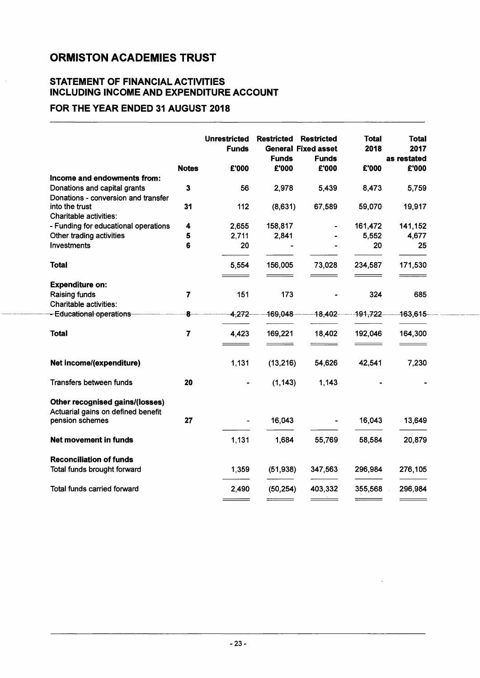### STATEMENT OF FINANCIAL ACTIVITIES INCLUDING INCOME AND EXPENDITURE ACCOUNT

### FOR THE YEAR ENDED 31 AUGUST 2018

|                                                       |                         | <b>Unrestricted</b><br><b>Funds</b> | <b>Restricted</b><br><b>Funds</b> | <b>Restricted</b><br><b>General Fixed asset</b><br><b>Funds</b> | <b>Total</b><br>2018 | <b>Total</b><br>2017<br>as restated |
|-------------------------------------------------------|-------------------------|-------------------------------------|-----------------------------------|-----------------------------------------------------------------|----------------------|-------------------------------------|
|                                                       | <b>Notes</b>            | £'000                               | £'000                             | £'000                                                           | £'000                | £'000                               |
| Income and endowments from:                           |                         |                                     |                                   |                                                                 |                      |                                     |
| Donations and capital grants                          | $\mathbf{3}$            | 56                                  | 2,978                             | 5,439                                                           | 8,473                | 5,759                               |
| Donations - conversion and transfer                   |                         |                                     |                                   |                                                                 |                      |                                     |
| into the trust                                        | 31                      | 112                                 | (8,631)                           | 67,589                                                          | 59,070               | 19,917                              |
| Charitable activities:                                |                         |                                     |                                   |                                                                 |                      |                                     |
| - Funding for educational operations                  | 4                       | 2,655                               | 158,817                           |                                                                 | 161,472              | 141,152                             |
| Other trading activities                              | 5                       | 2,711                               | 2,841                             |                                                                 | 5,552                | 4,677                               |
| <b>Investments</b>                                    | 6                       | 20                                  |                                   |                                                                 | 20                   | 25                                  |
| <b>Total</b>                                          |                         | 5,554                               | 156,005                           | 73,028                                                          | 234,587              | 171,530                             |
| <b>Expenditure on:</b>                                |                         |                                     |                                   |                                                                 |                      |                                     |
| <b>Raising funds</b>                                  | $\overline{7}$          | 151                                 | 173                               |                                                                 | 324                  | 685                                 |
| <b>Charitable activities:</b>                         |                         |                                     |                                   |                                                                 |                      |                                     |
| --Educational operations                              | 8                       | 4,272                               | 169,048                           | 18,402                                                          | 191,722              | 163,615                             |
| <b>Total</b>                                          | $\overline{\mathbf{z}}$ | 4,423                               | 169,221                           | 18,402                                                          | 192,046              | 164,300                             |
| Net income/(expenditure)                              |                         | 1,131                               | (13, 216)                         | 54,626                                                          | 42,541               | 7,230                               |
|                                                       |                         |                                     |                                   |                                                                 |                      |                                     |
| <b>Transfers between funds</b>                        | 20                      |                                     | (1, 143)                          | 1,143                                                           |                      |                                     |
| <b>Other recognised gains/(losses)</b>                |                         |                                     |                                   |                                                                 |                      |                                     |
| Actuarial gains on defined benefit<br>pension schemes | 27                      |                                     | 16,043                            |                                                                 | 16,043               | 13,649                              |
|                                                       |                         |                                     |                                   |                                                                 |                      |                                     |
| <b>Net movement in funds</b>                          |                         | 1,131                               | 1,684                             | 55,769                                                          | 58,584               | 20,879                              |
| <b>Reconciliation of funds</b>                        |                         |                                     |                                   |                                                                 |                      |                                     |
| Total funds brought forward                           |                         | 1,359                               | (51, 938)                         | 347,563                                                         | 296,984              | 276,105                             |
|                                                       |                         |                                     |                                   |                                                                 |                      |                                     |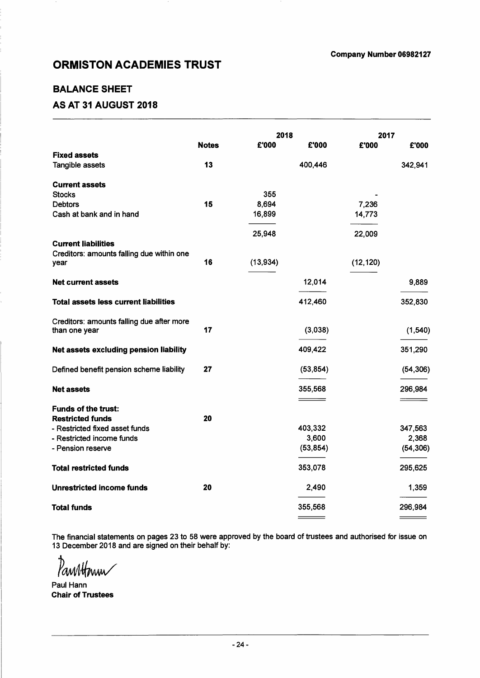### BALANCE SHEET

### AS AT 31 AUGUST 2018

|                                                            |              | 2018      |           | 2017      |           |
|------------------------------------------------------------|--------------|-----------|-----------|-----------|-----------|
|                                                            | <b>Notes</b> | £'000     | £'000     | £'000     | £'000     |
| <b>Fixed assets</b>                                        |              |           |           |           |           |
| Tangible assets                                            | 13           |           | 400,446   |           | 342,941   |
| <b>Current assets</b>                                      |              |           |           |           |           |
| <b>Stocks</b>                                              |              | 355       |           |           |           |
| <b>Debtors</b>                                             | 15           | 8,694     |           | 7,236     |           |
| Cash at bank and in hand                                   |              | 16,899    |           | 14,773    |           |
|                                                            |              | 25,948    |           | 22,009    |           |
| <b>Current liabilities</b>                                 |              |           |           |           |           |
| Creditors: amounts falling due within one<br>year          | 16           | (13, 934) |           | (12, 120) |           |
| <b>Net current assets</b>                                  |              |           | 12,014    |           | 9,889     |
|                                                            |              |           |           |           |           |
| Total assets less current liabilities                      |              |           | 412,460   |           | 352,830   |
| Creditors: amounts falling due after more<br>than one year | 17           |           | (3,038)   |           | (1, 540)  |
|                                                            |              |           |           |           |           |
| Net assets excluding pension liability                     |              |           | 409,422   |           | 351,290   |
| Defined benefit pension scheme liability                   | 27           |           | (53, 854) |           | (54, 306) |
| <b>Net assets</b>                                          |              |           | 355,568   |           | 296,984   |
|                                                            |              |           |           |           |           |
| <b>Funds of the trust:</b>                                 |              |           |           |           |           |
| <b>Restricted funds</b>                                    | 20           |           |           |           |           |
| - Restricted fixed asset funds                             |              |           | 403,332   |           | 347,563   |
| - Restricted income funds                                  |              |           | 3,600     |           | 2,368     |
| - Pension reserve                                          |              |           | (53, 854) |           | (54, 306) |
| <b>Total restricted funds</b>                              |              |           | 353,078   |           | 295,625   |
| <b>Unrestricted income funds</b>                           | 20           |           | 2,490     |           | 1,359     |
| <b>Total funds</b>                                         |              |           | 355,568   |           | 296,984   |
|                                                            |              |           |           |           |           |

The financial statements on pages 23 to 58 were approved by the board of trustees and authorised for issue on 13 December 2018 and are signed on their behalf by:

Panntform

Paul Hann Chair of Trustees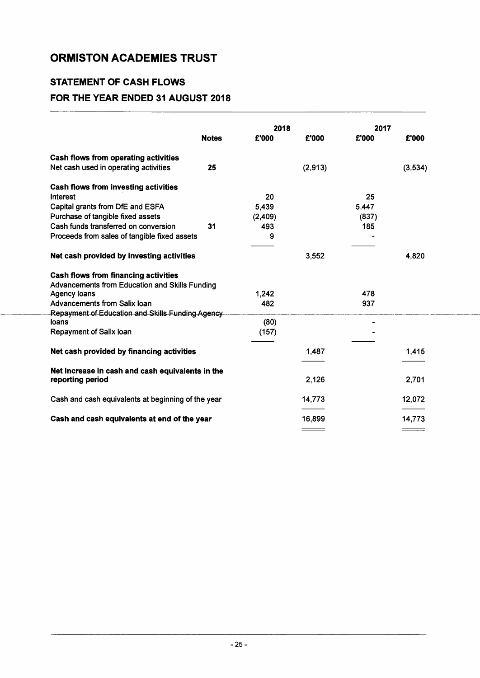### **STATEMENT OF CASH FLOWS FOR THE YEAR ENDED 31 AUGUST 2018**

|                                                    |              | 2018    |         | 2017  |         |
|----------------------------------------------------|--------------|---------|---------|-------|---------|
|                                                    | <b>Notes</b> | £'000   | £'000   | £'000 | £'000   |
| <b>Cash flows from operating activities</b>        |              |         |         |       |         |
| Net cash used in operating activities              | 25           |         | (2,913) |       | (3,534) |
| <b>Cash flows from investing activities</b>        |              |         |         |       |         |
| <b>Interest</b>                                    |              | 20      |         | 25    |         |
| Capital grants from DfE and ESFA                   |              | 5,439   |         | 5,447 |         |
| Purchase of tangible fixed assets                  |              | (2,409) |         | (837) |         |
| Cash funds transferred on conversion               | 31           | 493     |         | 185   |         |
| Proceeds from sales of tangible fixed assets       |              | 9       |         |       |         |
| Net cash provided by investing activities          |              |         | 3,552   |       | 4,820   |
| <b>Cash flows from financing activities</b>        |              |         |         |       |         |
| Advancements from Education and Skills Funding     |              |         |         |       |         |
| Agency loans                                       |              | 1,242   |         | 478   |         |
| Advancements from Salix Ioan                       |              | 482     |         | 937   |         |
| Repayment of Education and Skills Funding Agency-  |              |         |         |       |         |
| loans                                              |              | (80)    |         |       |         |
| Repayment of Salix loan                            |              | (157)   |         |       |         |
| Net cash provided by financing activities          |              |         | 1,487   |       | 1,415   |
| Net increase in cash and cash equivalents in the   |              |         |         |       |         |
| reporting period                                   |              |         | 2,126   |       | 2,701   |
| Cash and cash equivalents at beginning of the year |              |         | 14,773  |       | 12,072  |
| Cash and cash equivalents at end of the year       |              |         | 16,899  |       | 14,773  |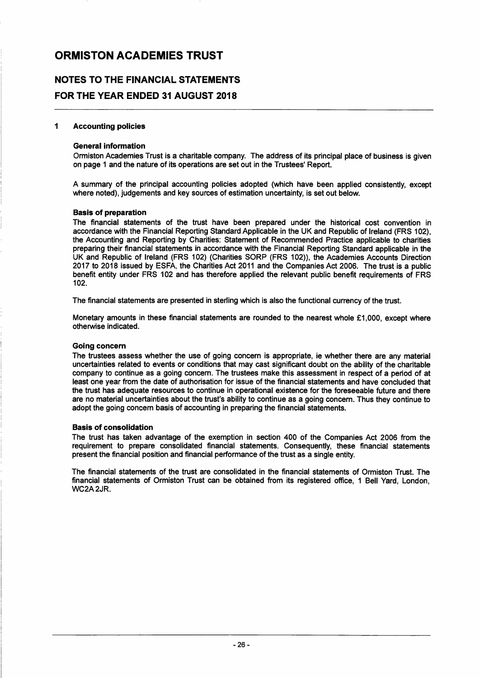### **NOTES TO THE FINANCIAL STATEMENTS FOR THE YEAR ENDED 31 AUGUST 2018**

#### 1 Accounting policies

#### General information

Ormiston Academies Trust is a charitable company. The address of its principal place of business is given on page 1 and the nature of its operations are set out in the Trustees' Report.

A summary of the principal accounting policies adopted (which have been applied consistently, except where noted), judgements and key sources of estimation uncertainty, is set out below.

#### Basis of preparation

The financial statements of the trust have been prepared under the historical cost convention in accordance with the Financial Reporting Standard Applicable in the UK and Republic of Ireland (FRS 102), the Accounting and Reporting by Charities: Statement of Recommended Practice applicable to charities preparing their financial statements in accordance with the Financial Reporting Standard applicable in the UK and Republic of Ireland (FRS 102) (Charities SORP (FRS 102)), the Academies Accounts Direction 2017 to 2018 issued by ESFA, the Charities Act 2011 and the Companies Act 2006. The trust is a public benefit entity under FRS 102 and has therefore applied the relevant public benefit requirements of FRS 102.

The financial statements are presented in sterling which is also the functional currency of the trust.

Monetary amounts in these financial statements are rounded to the nearest whole £1,000, except where otherwise indicated.

#### Going concern

The trustees assess whether the use of going concern is appropriate, ie whether there are any material uncertainties related to events or conditions that may cast significant doubt on the ability of the charitable company to continue as a going concern. The trustees make this assessment in respect of a period of at least one year from the date of authorisation for issue of the financial statements and have concluded that the trust has adequate resources to continue in operational existence for the foreseeable future and there are no material uncertainties about the trust's ability to continue as a going concern. Thus they continue to adopt the going concern basis of accounting in preparing the financial statements.

#### Basis of consolidation

The trust has taken advantage of the exemption in section 400 of the Companies Act 2006 from the requirement to prepare consolidated financial statements. Consequently, these financial statements present the financial position and financial performance of the trust as a single entity.

The financial statements of the trust are consolidated in the financial statements of Ormiston Trust. The financial statements of Ormiston Trust can be obtained from its registered office, 1 Bell Yard, London, WC2A2JR.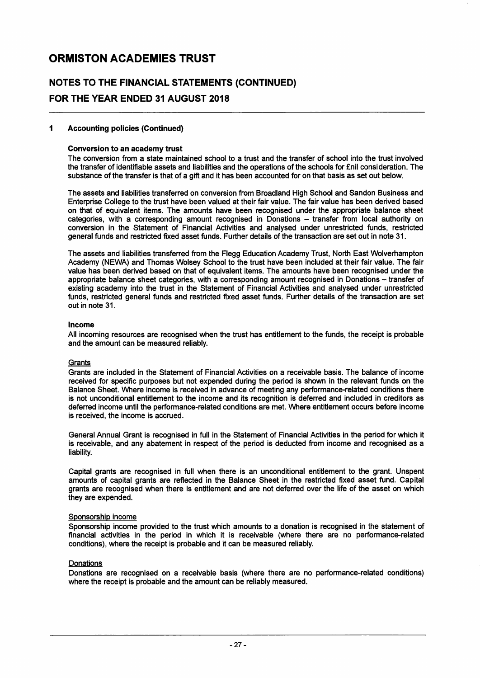### **NOTES TO THE FINANCIAL STATEMENTS (CONTINUED) FOR THE YEAR ENDED 31 AUGUST 2018**

#### **1 Accounting policies (Continued)**

#### **Conversion to an academy trust**

The conversion from a state maintained school to a trust and the transfer of school into the trust involved the transfer of identifiable assets and liabilities and the operations of the schools for £nil consideration. The substance of the transfer is that of a gift and it has been accounted for on that basis as set out below.

The assets and liabilities transferred on conversion from Broadland High School and Sandon Business and Enterprise College to the trust have been valued at their fair value. The fair value has been derived based on that of equivalent items. The amounts have been recognised under the appropriate balance sheet categories, with a corresponding amount recognised in Donations - transfer from local authority on conversion in the Statement of Financial Activities and analysed under unrestricted funds, restricted general funds and restricted fixed asset funds. Further details of the transaction are set out in note 31.

The assets and liabilities transferred from the Flegg Education Academy Trust, North East Wolverhampton Academy (NEWA) and Thomas Wolsey School to the trust have been included at their fair value. The fair value has been derived based on that of equivalent items. The amounts have been recognised under the appropriate balance sheet categories, with a corresponding amount recognised in Donations - transfer of existing academy into the trust in the Statement of Financial Activities and analysed under unrestricted funds, restricted general funds and restricted fixed asset funds. Further details of the transaction are set out in note 31.

#### **Income**

All incoming resources are recognised when the trust has entitlement to the funds, the receipt is probable and the amount can be measured reliably.

#### **Grants**

Grants are included in the Statement of Financial Activities on a receivable basis. The balance of income received for specific purposes but not expended during the period is shown in the relevant funds on the Balance Sheet. Where income is received in advance of meeting any performance-related conditions there is not unconditional entitlement to the income and its recognition is deferred and included in creditors as deferred income until the performance-related conditions are met. Where entitlement occurs before income is received, the income is accrued.

General Annual Grant is recognised in full in the Statement of Financial Activities in the period for which it is receivable, and any abatement in respect of the period is deducted from income and recognised as a liability.

Capital grants are recognised in full when there is an unconditional entitlement to the grant. Unspent amounts of capital grants are reflected in the Balance Sheet in the restricted fixed asset fund. Capital grants are recognised when there is entitlement and are not deferred over the life of the asset on which they are expended.

#### Sponsorship income

Sponsorship income provided to the trust which amounts to a donation is recognised in the statement of financial activities in the period in which it is receivable (where there are no performance-related conditions), where the receipt is probable and it can be measured reliably.

#### Donations

Donations are recognised on a receivable basis (where there are no performance-related conditions) where the receipt is probable and the amount can be reliably measured.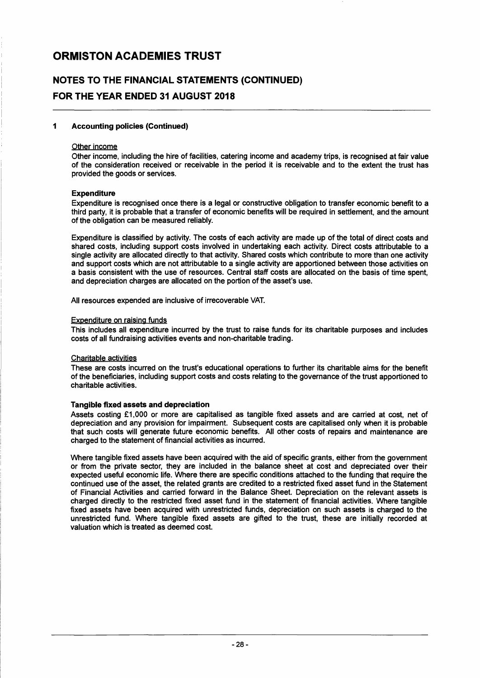### NOTES TO THE FINANCIAL STATEMENTS (CONTINUED) FOR THE YEAR ENDED 31 AUGUST 2018

#### 1 Accounting policies (Continued)

#### Other income

Other income, including the hire of facilities, catering income and academy trips, is recognised at fair value of the consideration received or receivable in the period it is receivable and to the extent the trust has provided the goods or services.

#### **Expenditure**

Expenditure is recognised once there is a legal or constructive obligation to transfer economic benefit to a third party, it is probable that a transfer of economic benefits will be required in settlement, and the amount of the obligation can be measured reliably.

Expenditure is classified by activity. The costs of each activity are made up of the total of direct costs and shared costs, including support costs involved in undertaking each activity. Direct costs attributable to a single activity are allocated directly to that activity. Shared costs which contribute to more than one activity and support costs which are not attributable to a single activity are apportioned between those activities on a basis consistent with the use of resources. Central staff costs are allocated on the basis of time spent, and depreciation charges are allocated on the portion of the asset's use.

All resources expended are inclusive of irrecoverable VAT.

#### Expenditure on raising funds

This includes all expenditure incurred by the trust to raise funds for its charitable purposes and includes costs of all fundraising activities events and non-charitable trading.

#### Charitable activities

These are costs incurred on the trust's educational operations to further its charitable aims for the benefit of the beneficiaries, including support costs and costs relating to the governance of the trust apportioned to charitable activities.

#### Tangible fixed assets and depreciation

Assets costing £1,000 or more are capitalised as tangible fixed assets and are carried at cost, net of depreciation and any provision for impairment. Subsequent costs are capitalised only when it is probable that such costs will generate future economic benefits. All other costs of repairs and maintenance are charged to the statement of financial activities as incurred.

Where tangible fixed assets have been acquired with the aid of specific grants, either from the government or from the private sector, they are included in the balance sheet at cost and depreciated over their expected useful economic life. Where there are specific conditions attached to the funding that require the continued use of the asset, the related grants are credited to a restricted fixed asset fund in the Statement of Financial Activities and carried forward in the Balance Sheet. Depreciation on the relevant assets is charged directly to the restricted fixed asset fund in the statement of financial activities. Where tangible fixed assets have been acquired with unrestricted funds, depreciation on such assets is charged to the unrestricted fund. Where tangible fixed assets are gifted to the trust, these are initially recorded at valuation which is treated as deemed cost.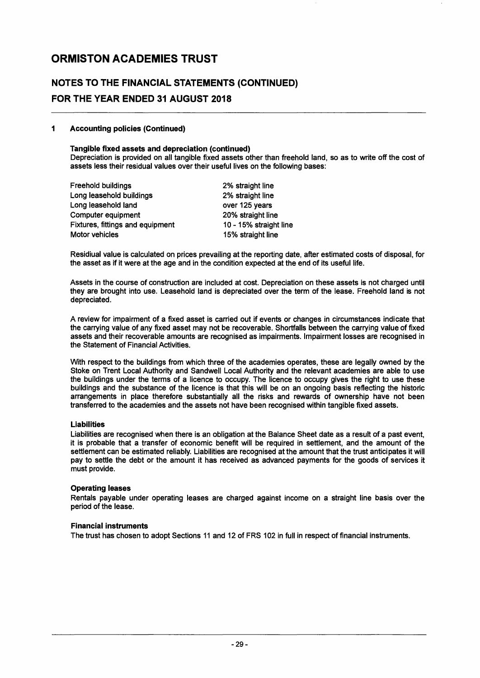### NOTES TO THE FINANCIAL STATEMENTS (CONTINUED) FOR THE YEAR ENDED 31 AUGUST 2018

#### 1 Accounting policies (Continued)

#### Tangible fixed assets and depreciation (continued)

Depreciation is provided on all tangible fixed assets other than freehold land, so as to write off the cost of assets less their residual values over their useful lives on the following bases:

| Freehold buildings               | 2% straight line       |
|----------------------------------|------------------------|
| Long leasehold buildings         | 2% straight line       |
| Long leasehold land              | over 125 years         |
| Computer equipment               | 20% straight line      |
| Fixtures, fittings and equipment | 10 - 15% straight line |
| Motor vehicles                   | 15% straight line      |
|                                  |                        |

Residiual value is calculated on prices prevailing at the reporting date, after estimated costs of disposal, for the asset as if it were at the age and in the condition expected at the end of its useful life.

Assets in the course of construction are included at cost. Depreciation on these assets is not charged until they are brought into use. Leasehold land is depreciated over the term of the lease. Freehold land is not depreciated.

A review for impairment of a fixed asset is carried out if events or changes in circumstances indicate that the carrying value of any fixed asset may not be recoverable. Shortfalls between the carrying value of fixed assets and their recoverable amounts are recognised as impairments. Impairment losses are recognised in the Statement of Financial Activities.

With respect to the buildings from which three of the academies operates, these are legally owned by the Stoke on Trent Local Authority and Sandwell Local Authority and the relevant academies are able to use the buildings under the terms of a licence to occupy. The licence to occupy gives the right to use these buildings and the substance of the licence is that this will be on an ongoing basis reflecting the historic arrangements in place therefore substantially all the risks and rewards of ownership have not been transferred to the academies and the assets not have been recognised within tangible fixed assets.

#### Liabilities

Liabilities are recognised when there is an obligation at the Balance Sheet date as a result of a past event, it is probable that a transfer of economic benefit will be required in settlement, and the amount of the settlement can be estimated reliably. Liabilities are recognised at the amount that the trust anticipates it will pay to settle the debt or the amount it has received as advanced payments for the goods of services it must provide.

#### Operating leases

Rentals payable under operating leases are charged against income on a straight line basis over the period of the lease.

#### Financial instruments

The trust has chosen to adopt Sections 11 and 12 of FRS 102 in full in respect of financial instruments.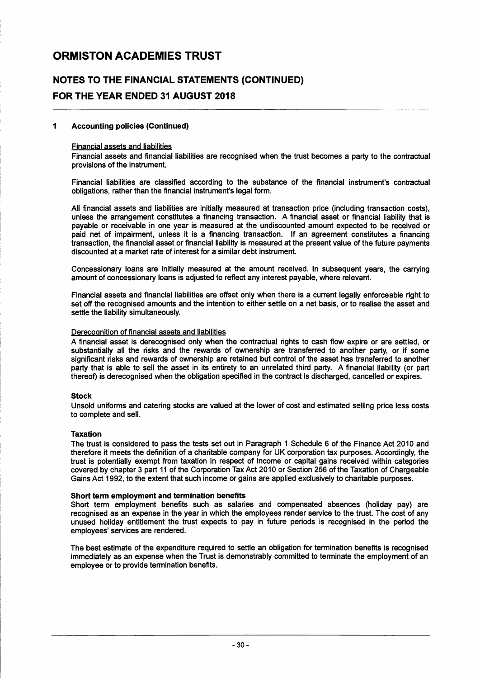### NOTES TO THE FINANCIAL STATEMENTS (CONTINUED) FOR THE YEAR ENDED 31 AUGUST 2018

#### 1 Accounting policies (Continued)

#### Financial assets and liabilities

Financial assets and financial liabilities are recognised when the trust becomes a party to the contractual provisions of the instrument.

Financial liabilities are classified according to the substance of the financial instrument's contractual obligations, rather than the financial instrument's legal form.

All financial assets and liabilities are initially measured at transaction price (including transaction costs), unless the arrangement constitutes a financing transaction. A financial asset or financial liability that is payable or receivable in one year is measured at the undiscounted amount expected to be received or paid net of impairment, unless it is a financing transaction. If an agreement constitutes a financing transaction, the financial asset or financial liability is measured at the present value of the future payments discounted at a market rate of interest for a similar debt instrument.

Concessionary loans are initially measured at the amount received. In subsequent years, the carrying amount of concessionary loans is adjusted to reflect any interest payable, where relevant.

Financial assets and financial liabilities are offset only when there is a current legally enforceable right to set off the recognised amounts and the intention to either settle on a net basis, or to realise the asset and settle the liability simultaneously.

#### Derecognition of financial assets and liabilities

A financial asset is derecognised only when the contractual rights to cash flow expire or are settled, or substantially all the risks and the rewards of ownership are transferred to another party, or if some significant risks and rewards of ownership are retained but control of the asset has transferred to another party that is able to sell the asset in its entirety to an unrelated third party. A financial liability (or part thereof) is derecognised when the obligation specified in the contract is discharged, cancelled or expires.

#### Stock

Unsold uniforms and catering stocks are valued at the lower of cost and estimated selling price less costs to complete and sell.

#### Taxation

The trust is considered to pass the tests set out in Paragraph 1 Schedule 6 of the Finance Act 2010 and therefore it meets the definition of a charitable company for UK corporation tax purposes. Accordingly, the trust is potentially exempt from taxation in respect of income or capital gains received within categories covered by chapter 3 part 11 of the Corporation Tax Act 2010 or Section 256 of the Taxation of Chargeable Gains Act 1992, to the extent that such income or gains are applied exclusively to charitable purposes.

#### Short term employment and termination benefits

Short term employment benefits such as salaries and compensated absences (holiday pay) are recognised as an expense in the year in which the employees render service to the trust. The cost of any unused holiday entitlement the trust expects to pay in future periods is recognised in the period the employees' services are rendered.

The best estimate of the expenditure required to settle an obligation for termination benefits is recognised immediately as an expense when the Trust is demonstrably committed to terminate the employment of an employee or to provide termination benefits.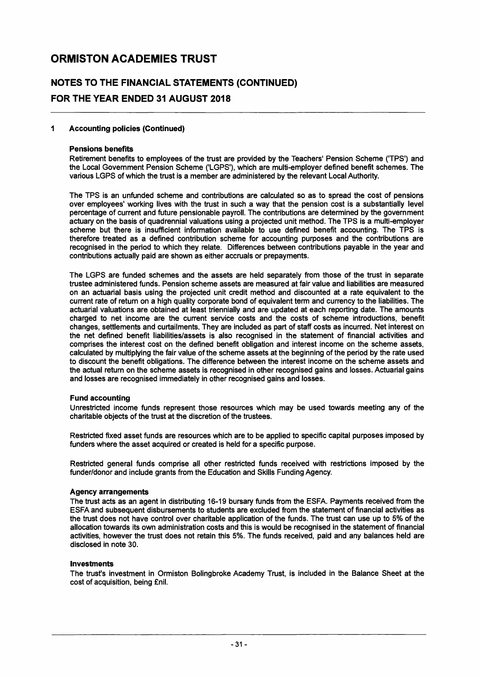### **NOTES TO THE FINANCIAL STATEMENTS (CONTINUED) FOR THE YEAR ENDED 31 AUGUST 2018**

#### 1 Accounting policies (Continued)

#### Pensions benefits

Retirement benefits to employees of the trust are provided by the Teachers' Pension Scheme ('TPS') and the Local Government Pension Scheme ('LGPS'), which are multi-employer defined benefit schemes. The various LGPS of which the trust is a member are administered by the relevant Local Authority.

The TPS is an unfunded scheme and contributions are calculated so as to spread the cost of pensions over employees' working lives with the trust in such a way that the pension cost is a substantially level percentage of current and future pensionable payroll. The contributions are determined by the government actuary on the basis of quadrennial valuations using a projected unit method. The TPS is a multi-employer scheme but there is insufficient information available to use defined benefit accounting. The TPS is therefore treated as a defined contribution scheme for accounting purposes and the contributions are recognised in the period to which they relate. Differences between contributions payable in the year and contributions actually paid are shown as either accruals or prepayments.

The LGPS are funded schemes and the assets are held separately from those of the trust in separate trustee administered funds. Pension scheme assets are measured at fair value and liabilities are measured on an actuarial basis using the projected unit credit method and discounted at a rate equivalent to the current rate of return on a high quality corporate bond of equivalent term and currency to the liabilities. The actuarial valuations are obtained at least triennially and are updated at each reporting date. The amounts charged to net income are the current service costs and the costs of scheme introductions, benefit changes, settlements and curtailments. They are included as part of staff costs as incurred. Net interest on the net defined benefit liabilities/assets is also recognised in the statement of financial activities and comprises the interest cost on the defined benefit obligation and interest income on the scheme assets, calculated by multiplying the fair value of the scheme assets at the beginning of the period by the rate used to discount the benefit obligations. The difference between the interest income on the scheme assets and the actual return on the scheme assets is recognised in other recognised gains and losses. Actuarial gains and losses are recognised immediately in other recognised gains and losses.

#### Fund accounting

Unrestricted income funds represent those resources which may be used towards meeting any of the charitable objects of the trust at the discretion of the trustees.

Restricted fixed asset funds are resources which are to be applied to specific capital purposes imposed by funders where the asset acquired or created is held for a specific purpose.

Restricted general funds comprise all other restricted funds received with restrictions imposed by the funder/donor and include grants from the Education and Skills Funding Agency.

#### Agency arrangements

The trust acts as an agent in distributing 16-19 bursary funds from the ESFA. Payments received from the ESFA and subsequent disbursements to students are excluded from the statement of financial activities as the trust does not have control over charitable application of the funds. The trust can use up to 5% of the allocation towards its own administration costs and this is would be recognised in the statement of financial activities, however the trust does not retain this 5%. The funds received, paid and any balances held are disclosed in note 30.

#### Investments

The trust's investment in Ormiston Bolingbroke Academy Trust, is included in the Balance Sheet at the cost of acquisition, being £nil.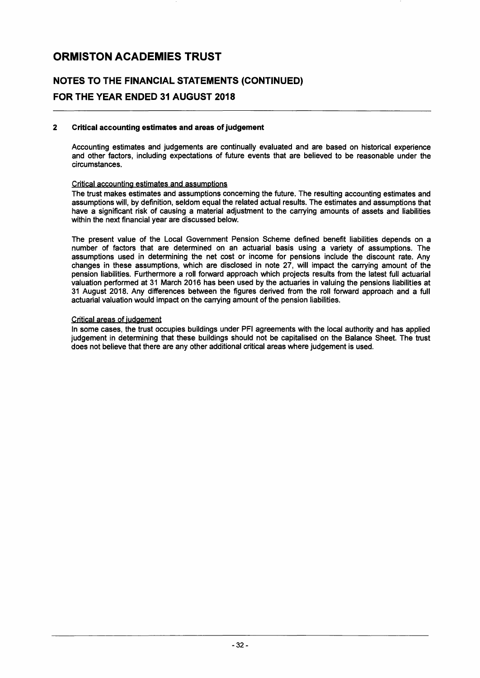### NOTES TO THE FINANCIAL STATEMENTS (CONTINUED) FOR THE YEAR ENDED 31 AUGUST 2018

#### 2 Critical accounting estimates and areas of judgement

Accounting estimates and judgements are continually evaluated and are based on historical experience and other factors, including expectations of future events that are believed to be reasonable under the circumstances.

#### Critical accounting estimates and assumptions

The trust makes estimates and assumptions concerning the future. The resulting accounting estimates and assumptions will, by definition, seldom equal the related actual results. The estimates and assumptions that have a significant risk of causing a material adjustment to the carrying amounts of assets and liabilities within the next financial year are discussed below.

The present value of the Local Government Pension Scheme defined benefit liabilities depends on a number of factors that are determined on an actuarial basis using a variety of assumptions. The assumptions used in determining the net cost or income for pensions include the discount rate. Any changes in these assumptions, which are disclosed in note 27, will impact the carrying amount of the pension liabilities. Furthermore a roll forward approach which projects results from the latest full actuarial valuation performed at 31 March 2016 has been used by the actuaries in valuing the pensions liabilities at 31 August 2018. Any differences between the figures derived from the roll forward approach and a full actuarial valuation would impact on the carrying amount of the pension liabilities.

#### Critical areas of judgement

In some cases, the trust occupies buildings under PFI agreements with the local authority and has applied judgement in determining that these buildings should not be capitalised on the Balance Sheet. The trust does not believe that there are any other additional critical areas where judgement is used.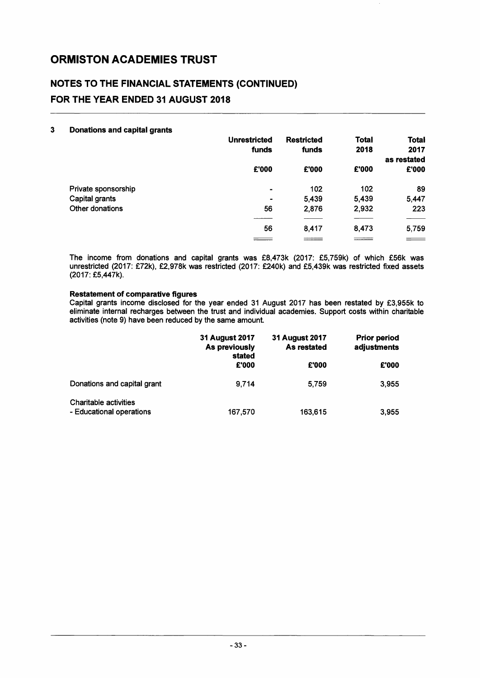### **NOTES TO THE FINANCIAL STATEMENTS (CONTINUED) FOR THE YEAR ENDED 31 AUGUST 2018**

| 3 | <b>Donations and capital grants</b> |                     |                   |              |                   |
|---|-------------------------------------|---------------------|-------------------|--------------|-------------------|
|   |                                     | <b>Unrestricted</b> | <b>Restricted</b> | <b>Total</b> | <b>Total</b>      |
|   |                                     | funds               | funds             | 2018         | 2017              |
|   |                                     |                     |                   |              | as restated       |
|   |                                     | £'000               | £'000             | £'000        | £'000             |
|   | Private sponsorship                 | $\blacksquare$      | 102               | 102          | 89                |
|   | Capital grants                      | $\blacksquare$      | 5,439             | 5,439        | 5,447             |
|   | Other donations                     | 56                  | 2,876             | 2,932        | 223               |
|   |                                     |                     |                   |              |                   |
|   |                                     | 56                  | 8,417             | 8,473        | 5,759             |
|   |                                     |                     | ====              | _______      | $\equiv$ $\equiv$ |

The income from donations and capital grants was £8,473k (2017: £5,759k) of which £56k was unrestricted (2017: £72k), £2,978k was restricted (2017: £240k) and £5,439k was restricted fixed assets (2017: £5,447k).

#### **Restatement of comparative figures**

Capital grants income disclosed for the year ended 31 August 2017 has been restated by £3,955k to eliminate internal recharges between the trust and individual academies. Support costs within charitable activities (note 9) have been reduced by the same amount.

|                                                          | 31 August 2017<br>As previously<br>stated | 31 August 2017<br>As restated | <b>Prior period</b><br>adjustments |
|----------------------------------------------------------|-------------------------------------------|-------------------------------|------------------------------------|
|                                                          | £'000                                     | £'000                         | £'000                              |
| Donations and capital grant                              | 9.714                                     | 5,759                         | 3,955                              |
| <b>Charitable activities</b><br>- Educational operations | 167,570                                   | 163,615                       | 3,955                              |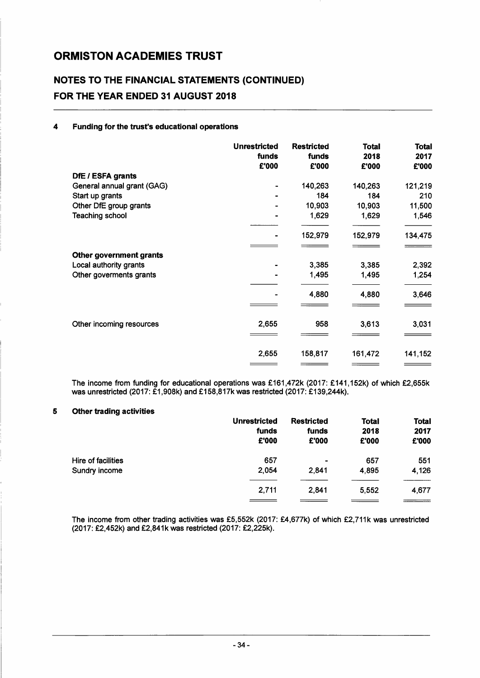### **NOTES TO THE FINANCIAL STATEMENTS (CONTINUED) FOR THE YEAR ENDED 31 AUGUST 2018**

#### 4 **Funding for the trust's educational operations**

|                            | <b>Unrestricted</b><br>funds<br>£'000 | <b>Restricted</b><br>funds<br>£'000 | <b>Total</b><br>2018<br>£'000 | <b>Total</b><br>2017<br>£'000 |
|----------------------------|---------------------------------------|-------------------------------------|-------------------------------|-------------------------------|
| DfE / ESFA grants          |                                       |                                     |                               |                               |
| General annual grant (GAG) |                                       | 140,263                             | 140,263                       | 121,219                       |
| Start up grants            |                                       | 184                                 | 184                           | 210                           |
| Other DfE group grants     |                                       | 10,903                              | 10,903                        | 11,500                        |
| <b>Teaching school</b>     |                                       | 1,629                               | 1,629                         | 1,546                         |
|                            |                                       | 152,979                             | 152,979                       | 134,475                       |
|                            |                                       |                                     |                               |                               |
| Other government grants    |                                       |                                     |                               |                               |
| Local authority grants     |                                       | 3,385                               | 3,385                         | 2,392                         |
| Other goverments grants    |                                       | 1,495                               | 1,495                         | 1,254                         |
|                            |                                       | 4,880                               | 4,880                         | 3,646                         |
|                            |                                       |                                     |                               |                               |
| Other incoming resources   | 2,655                                 | 958                                 | 3,613                         | 3,031                         |
|                            |                                       |                                     |                               |                               |
|                            | 2,655                                 | 158,817                             | 161,472                       | 141,152                       |
|                            |                                       |                                     |                               |                               |

The income from funding for educational operations was £161,472k (2017: £141,152k) of which £2,655k was unrestricted (2017: £1,908k) and £158,817k was restricted (2017: £139,244k).

#### 5 **Other trading activities**

| <b>Unrestricted</b><br>funds<br>£'000 | <b>Restricted</b><br>funds<br>£'000 | <b>Total</b><br>2018<br>£'000 | <b>Total</b><br>2017<br>£'000 |
|---------------------------------------|-------------------------------------|-------------------------------|-------------------------------|
| 657                                   | ٠                                   | 657                           | 551                           |
| 2,054                                 | 2,841                               | 4,895                         | 4,126                         |
| 2,711                                 | 2,841                               | 5 5 5 2                       | 4,677                         |
|                                       |                                     |                               |                               |

The income from other trading activities was £5,552k (2017: £4,677k) of which £2,711k was unrestricted (2017: £2,452k) and £2,841k was restricted (2017: £2,225k).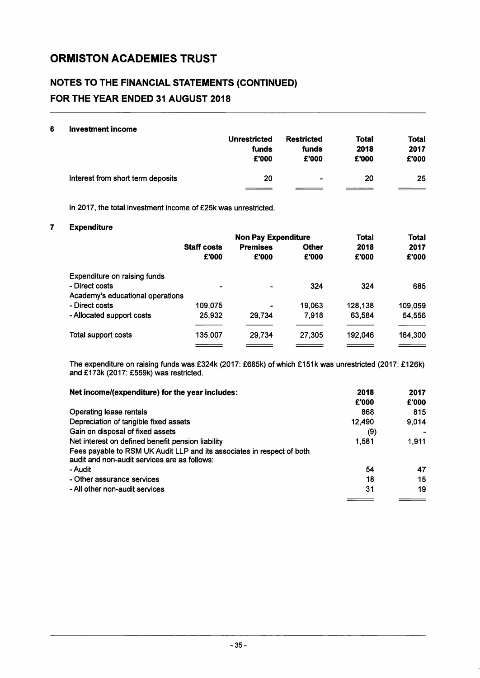### NOTES TO THE FINANCIAL STATEMENTS (CONTINUED) FOR THE YEAR ENDED 31 AUGUST 2018

#### 6 Investment income

|                                   | <b>Unrestricted</b> | Restricted     | <b>Total</b> | Total |
|-----------------------------------|---------------------|----------------|--------------|-------|
|                                   | funds               | funds          | 2018         | 2017  |
|                                   | £'000               | £'000          | £'000        | £'000 |
| Interest from short term deposits | 20                  | $\blacksquare$ | 20           | 25    |

In 2017, the total investment income of £25k was unrestricted.

#### 7 Expenditure

|                                  |                    | <b>Non Pay Expenditure</b> |              |         | <b>Total</b> |
|----------------------------------|--------------------|----------------------------|--------------|---------|--------------|
|                                  | <b>Staff costs</b> | <b>Premises</b>            | <b>Other</b> | 2018    | 2017         |
|                                  | £'000              | £'000                      | £'000        | £'000   | £'000        |
| Expenditure on raising funds     |                    |                            |              |         |              |
| - Direct costs                   |                    | -                          | 324          | 324     | 685          |
| Academy's educational operations |                    |                            |              |         |              |
| - Direct costs                   | 109.075            |                            | 19,063       | 128,138 | 109,059      |
| - Allocated support costs        | 25,932             | 29.734                     | 7.918        | 63,584  | 54,556       |
| Total support costs              | 135.007            | 29.734                     | 27,305       | 192.046 | 164,300      |
|                                  |                    |                            |              |         |              |

The expenditure on raising funds was £324k (2017: £685k) of which £151k was unrestricted (2017: £126k) and £173k (2017: £559k) was restricted. l,

| Net income/(expenditure) for the year includes:                                                                        | 2018   | 2017  |
|------------------------------------------------------------------------------------------------------------------------|--------|-------|
|                                                                                                                        | £'000  | £'000 |
| Operating lease rentals                                                                                                | 868    | 815   |
| Depreciation of tangible fixed assets                                                                                  | 12.490 | 9,014 |
| Gain on disposal of fixed assets                                                                                       | (9)    |       |
| Net interest on defined benefit pension liability                                                                      | 1.581  | 1.911 |
| Fees payable to RSM UK Audit LLP and its associates in respect of both<br>audit and non-audit services are as follows: |        |       |
| - Audit                                                                                                                | 54     | 47    |
| - Other assurance services                                                                                             | 18     | 15    |
| - All other non-audit services                                                                                         | 31     | 19    |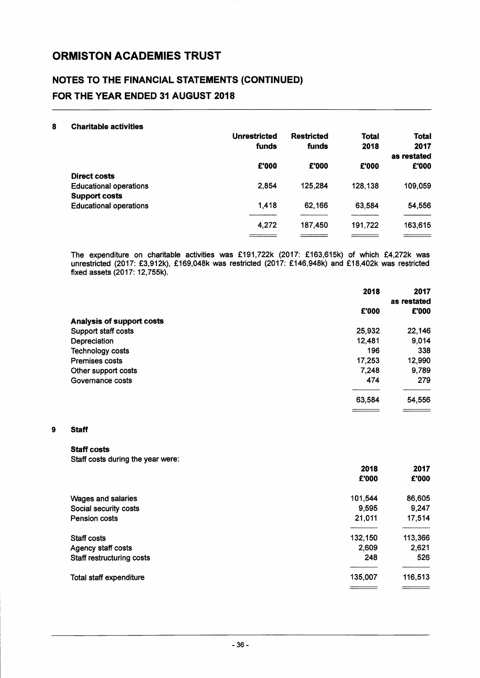### NOTES TO THE FINANCIAL STATEMENTS (CONTINUED) FOR THE YEAR ENDED 31 AUGUST 2018

#### 8 Charitable activities

|                               | <b>Unrestricted</b><br>funds | <b>Restricted</b><br>funds | <b>Total</b><br>2018 | <b>Total</b><br>2017<br>as restated |
|-------------------------------|------------------------------|----------------------------|----------------------|-------------------------------------|
|                               | £'000                        | £'000                      | £'000                | £'000                               |
| Direct costs                  |                              |                            |                      |                                     |
| <b>Educational operations</b> | 2,854                        | 125,284                    | 128,138              | 109,059                             |
| <b>Support costs</b>          |                              |                            |                      |                                     |
| <b>Educational operations</b> | 1,418                        | 62,166                     | 63,584               | 54,556                              |
|                               | 4,272                        | 187,450                    | 191,722              | 163,615                             |
|                               |                              |                            |                      |                                     |

The expenditure on charitable activities was £191,722k (2017: £163,615k) of which £4,272k was unrestricted (2017: £3,912k), £169,048k was restricted (2017: £146,948k) and £18,402k was restricted fixed assets (2017: 12,755k).

|                                  | 2018   | 2017<br>as restated |
|----------------------------------|--------|---------------------|
|                                  | £'000  | £'000               |
| <b>Analysis of support costs</b> |        |                     |
| Support staff costs              | 25,932 | 22,146              |
| Depreciation                     | 12,481 | 9,014               |
| <b>Technology costs</b>          | 196    | 338                 |
| <b>Premises costs</b>            | 17,253 | 12,990              |
| Other support costs              | 7,248  | 9,789               |
| Governance costs                 | 474    | 279                 |
|                                  | 63,584 | 54,556              |
|                                  |        |                     |

#### 9 Staff

#### Staff costs

Staff costs during the year were:

|                           | 2018<br>£'000 | 2017<br>£'000 |
|---------------------------|---------------|---------------|
| Wages and salaries        | 101,544       | 86,605        |
| Social security costs     | 9,595         | 9,247         |
| <b>Pension costs</b>      | 21,011        | 17,514        |
| Staff costs               | 132,150       | 113,366       |
| Agency staff costs        | 2,609         | 2,621         |
| Staff restructuring costs | 248           | 526           |
| Total staff expenditure   | 135,007       | 116,513       |
|                           |               |               |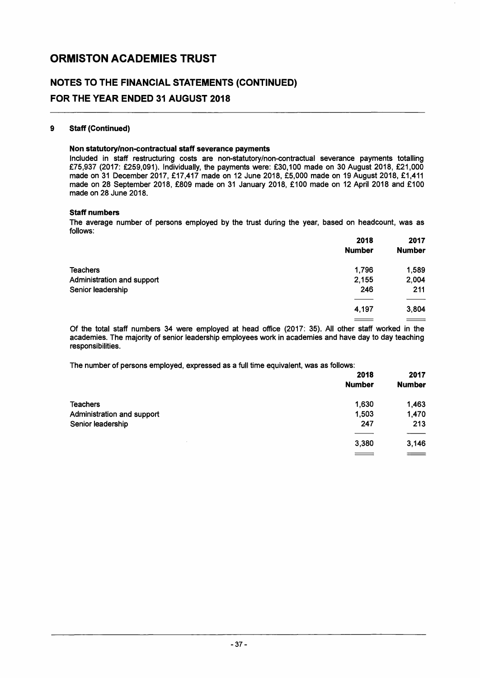### **NOTES TO THE FINANCIAL STATEMENTS (CONTINUED) FOR THE YEAR ENDED 31 AUGUST 2018**

#### **9 Staff (Continued)**

#### **Non statutory/non-contractual staff severance payments**

Included in staff restructuring costs are non-statutory/non-contractual severance payments totalling £75,937 (2017: £259,091). Individually, the payments were: £30,100 made on 30 August 2018, £21,000 made on 31 December 2017, £17,417 made on 12 June 2018, £5,000 made on 19 August 2018, £1,411 made on 28 September 2018, £809 made on 31 January 2018, £100 made on 12 April 2018 and £100 made on 28 June 2018.

#### **Staff numbers**

The average number of persons employed by the trust during the year, based on headcount, was as follows:

|                            | 2018          | 2017                     |
|----------------------------|---------------|--------------------------|
|                            | <b>Number</b> | <b>Number</b>            |
| <b>Teachers</b>            | 1,796         | 1,589                    |
| Administration and support | 2,155         | 2,004                    |
| Senior leadership          | 246           | 211                      |
|                            |               |                          |
|                            | 4,197         | 3,804                    |
|                            |               | $\overline{\phantom{a}}$ |

Of the total staff numbers 34 were employed at head office (2017: 35). All other staff worked in the academies. The majority of senior leadership employees work in academies and have day to day teaching responsibilities.

The number of persons employed, expressed as a full time equivalent, was as follows:

|                            | 2018<br><b>Number</b> | 2017<br><b>Number</b> |
|----------------------------|-----------------------|-----------------------|
| <b>Teachers</b>            | 1,630                 | 1,463                 |
| Administration and support | 1,503                 | 1,470                 |
| Senior leadership          | 247                   | 213                   |
|                            |                       |                       |
|                            | 3,380                 | 3,146                 |
|                            | $\qquad \qquad$       | $\, = \,$             |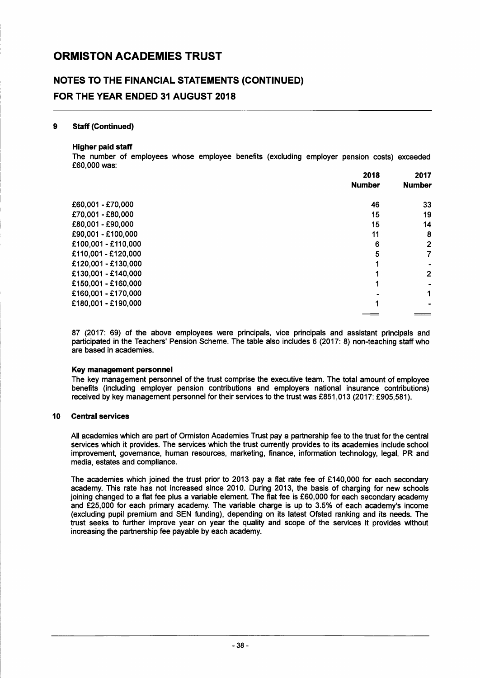### NOTES TO THE FINANCIAL STATEMENTS (CONTINUED) FOR THE YEAR ENDED 31 AUGUST 2018

#### 9 Staff (Continued)

#### Higher paid staff

The number of employees whose employee benefits (excluding employer pension costs) exceeded £60,000 was:

|                     | 2018          | 2017          |
|---------------------|---------------|---------------|
|                     | <b>Number</b> | <b>Number</b> |
| £60,001 - £70,000   | 46            | 33            |
| £70,001 - £80,000   | 15            | 19            |
| £80,001 - £90,000   | 15            | 14            |
| £90,001 - £100,000  | 11            | 8             |
| £100,001 - £110,000 | 6             | 2             |
| £110,001 - £120,000 | 5             |               |
| £120,001 - £130,000 |               |               |
| £130,001 - £140,000 |               | 2             |
| £150,001 - £160,000 |               |               |
| £160,001 - £170,000 |               |               |
| £180,001 - £190,000 |               |               |
|                     |               |               |

87 (2017: 69) of the above employees were principals, vice principals and assistant principals and participated in the Teachers' Pension Scheme. The table also includes 6 (2017: 8) non-teaching staff who are based in academies.

#### Key management personnel

The key management personnel of the trust comprise the executive team. The total amount of employee benefits (including employer pension contributions and employers national insurance contributions) received by key management personnel for their services to the trust was £851,013 (2017: £905,581).

#### 10 Central services

All academies which are part of Ormiston Academies Trust pay a partnership fee to the trust for the central services which it provides. The services which the trust currently provides to its academies include school improvement, governance, human resources, marketing, finance, information technology, legal, PR and media, estates and compliance.

The academies which joined the trust prior to 2013 pay a flat rate fee of £140,000 for each secondary academy. This rate has not increased since 2010. During 2013, the basis of charging for new schools joining changed to a flat fee plus a variable element. The flat fee is £60,000 for each secondary academy and £25,000 for each primary academy. The variable charge is up to 3.5% of each academy's income (excluding pupil premium and SEN funding), depending on its latest Ofsted ranking and its needs. The trust seeks to further improve year on year the quality and scope of the services it provides without increasing the partnership fee payable by each academy.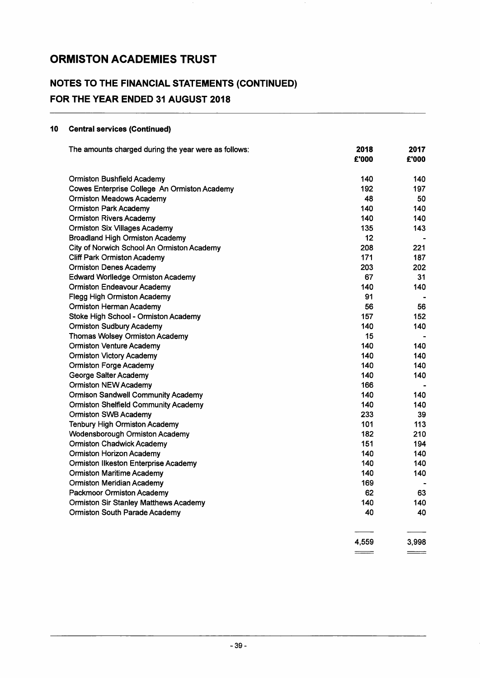### NOTES TO THE FINANCIAL STATEMENTS (CONTINUED) FOR THE YEAR ENDED 31 AUGUST 2018

#### 10 Central services (Continued)

| The amounts charged during the year were as follows: | 2018<br>£'000 | 2017<br>£'000  |
|------------------------------------------------------|---------------|----------------|
|                                                      |               |                |
| <b>Ormiston Bushfield Academy</b>                    | 140           | 140            |
| Cowes Enterprise College An Ormiston Academy         | 192           | 197            |
| <b>Ormiston Meadows Academy</b>                      | 48            | 50             |
| <b>Ormiston Park Academy</b>                         | 140           | 140            |
| <b>Ormiston Rivers Academy</b>                       | 140           | 140            |
| <b>Ormiston Six Villages Academy</b>                 | 135           | 143            |
| <b>Broadland High Ormiston Academy</b>               | $12 \,$       |                |
| City of Norwich School An Ormiston Academy           | 208           | 221            |
| <b>Cliff Park Ormiston Academy</b>                   | 171           | 187            |
| <b>Ormiston Denes Academy</b>                        | 203           | 202            |
| <b>Edward Worlledge Ormiston Academy</b>             | 67            | 31             |
| <b>Ormiston Endeavour Academy</b>                    | 140           | 140            |
| <b>Flegg High Ormiston Academy</b>                   | 91            | $\blacksquare$ |
| <b>Ormiston Herman Academy</b>                       | 56            | 56             |
| Stoke High School - Ormiston Academy                 | 157           | 152            |
| <b>Ormiston Sudbury Academy</b>                      | 140           | 140            |
| Thomas Wolsey Ormiston Academy                       | 15            |                |
| <b>Ormiston Venture Academy</b>                      | 140           | 140            |
| <b>Ormiston Victory Academy</b>                      | 140           | 140            |
| <b>Ormiston Forge Academy</b>                        | 140           | 140            |
| George Salter Academy                                | 140           | 140            |
| <b>Ormiston NEW Academy</b>                          | 166           |                |
| <b>Ormison Sandwell Community Academy</b>            | 140           | 140            |
| <b>Ormiston Shelfield Community Academy</b>          | 140           | 140            |
| <b>Ormiston SWB Academy</b>                          | 233           | 39             |
| <b>Tenbury High Ormiston Academy</b>                 | 101           | 113            |
| <b>Wodensborough Ormiston Academy</b>                | 182           | 210            |
| <b>Ormiston Chadwick Academy</b>                     | 151           | 194            |
| <b>Ormiston Horizon Academy</b>                      | 140           | 140            |
| <b>Ormiston Ilkeston Enterprise Academy</b>          | 140           | 140            |
| <b>Ormiston Maritime Academy</b>                     | 140           | 140            |
| <b>Ormiston Meridian Academy</b>                     | 169           |                |
| Packmoor Ormiston Academy                            | 62            | 63             |
| <b>Ormiston Sir Stanley Matthews Academy</b>         | 140           | 140            |
| <b>Ormiston South Parade Academy</b>                 | 40            | 40             |
|                                                      |               |                |
|                                                      | 4.559         | 3,998          |

 $\sim$ 

 $\frac{1}{2}$ 

 $\equiv$  $\equiv$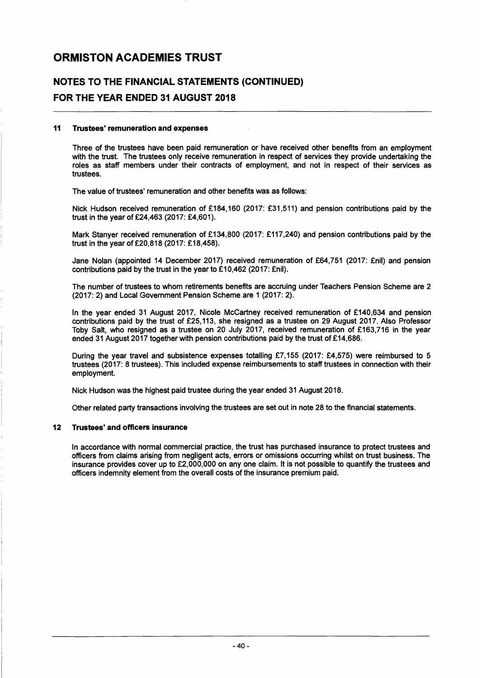### NOTES TO THE FINANCIAL STATEMENTS (CONTINUED) FOR THE YEAR ENDED 31 AUGUST 2018

#### 11 Trustees· remuneration and expenses

Three of the trustees have been paid remuneration or have received other benefits from an employment with the trust. The trustees only receive remuneration in respect of services they provide undertaking the roles as staff members under their contracts of employment, and not in respect of their services as trustees.

The value of trustees' remuneration and other benefits was as follows:

Nick Hudson received remuneration of £184,160 (2017: £31,511) and pension contributions paid by the trust in the year of £24,463 (2017: £4,601).

Mark Stanyer received remuneration of £134,800 (2017: £117,240) and pension contributions paid by the trust in the year of £20,818 (2017: £18,458).

Jane Nolan (appointed 14 December 2017) received remuneration of £64,751 (2017: £nil) and pension contributions paid by the trust in the year to £10,462 (2017: £nil).

The number of trustees to whom retirements benefits are accruing under Teachers Pension Scheme are 2 (2017: 2) and Local Government Pension Scheme are 1 (2017: 2).

In the year ended 31 August 2017, Nicole McCartney received remuneration of £140,634 and pension contributions paid by the trust of £25,113, she resigned as a trustee on 29 August 2017. Also Professor Toby Salt, who resigned as a trustee on 20 July 2017, received remuneration of £163,716 in the year ended 31 August 2017 together with pension contributions paid by the trust of £14,686.

During the year travel and subsistence expenses totalling £7,155 (2017: £4,575) were reimbursed to 5 trustees (2017: 8 trustees). This included expense reimbursements to staff trustees in connection with their employment.

Nick Hudson was the highest paid trustee during the year ended 31 August 2018.

Other related party transactions involving the trustees are set out in note 28 to the financial statements.

#### 12 Trustees· and officers insurance

In accordance with normal commercial practice, the trust has purchased insurance to protect trustees and officers from claims arising from negligent acts, errors or omissions occurring whilst on trust business. The insurance provides cover up to £2,000,000 on anyone claim. It is not possible to quantify the trustees and officers indemnity element from the overall costs of the insurance premium paid.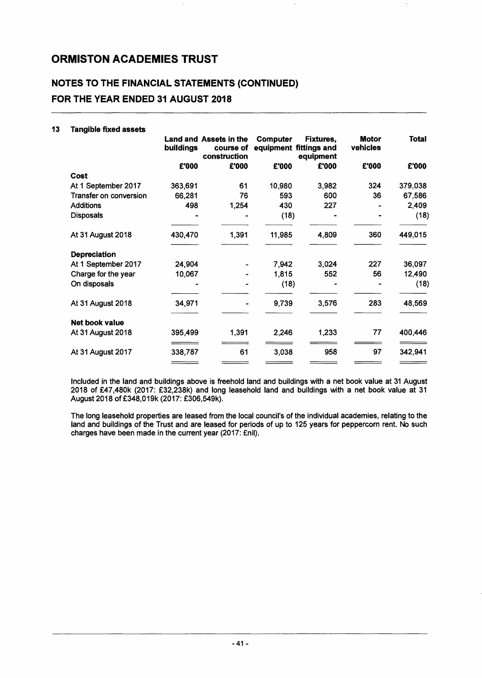## NOTES TO THE FINANCIAL STATEMENTS (CONTINUED)

FOR THE YEAR ENDED 31 AUGUST 2018

|                        | buildings | <b>Land and Assets in the</b><br>course of<br>construction | Computer | <b>Fixtures,</b><br>equipment fittings and<br>equipment | <b>Motor</b><br>vehicles | Total   |
|------------------------|-----------|------------------------------------------------------------|----------|---------------------------------------------------------|--------------------------|---------|
|                        | £'000     | £'000                                                      | £'000    | £'000                                                   | £'000                    | £'000   |
| Cost                   |           |                                                            |          |                                                         |                          |         |
| At 1 September 2017    | 363,691   | 61                                                         | 10,980   | 3,982                                                   | 324                      | 379,038 |
| Transfer on conversion | 66,281    | 76                                                         | 593      | 600                                                     | 36                       | 67,586  |
| <b>Additions</b>       | 498       | 1,254                                                      | 430      | 227                                                     |                          | 2,409   |
| <b>Disposals</b>       |           |                                                            | (18)     |                                                         |                          | (18)    |
| At 31 August 2018      | 430,470   | 1,391                                                      | 11,985   | 4,809                                                   | 360                      | 449,015 |
| <b>Depreciation</b>    |           |                                                            |          |                                                         |                          |         |
| At 1 September 2017    | 24,904    |                                                            | 7,942    | 3,024                                                   | 227                      | 36,097  |
| Charge for the year    | 10,067    |                                                            | 1,815    | 552                                                     | 56                       | 12,490  |
| On disposals           |           |                                                            | (18)     |                                                         |                          | (18)    |
| At 31 August 2018      | 34,971    |                                                            | 9,739    | 3,576                                                   | 283                      | 48,569  |
| Net book value         |           |                                                            |          |                                                         |                          |         |
| At 31 August 2018      | 395,499   | 1,391                                                      | 2,246    | 1,233                                                   | 77                       | 400,446 |
| At 31 August 2017      | 338,787   | 61                                                         | 3,038    | 958                                                     | 97                       | 342,941 |
|                        |           |                                                            |          |                                                         |                          |         |

Included in the land and buildings above is freehold land and buildings with a net book value at 31 August 2018 of £47,480k (2017: £32,238k) and long leasehold land and buildings with a net book value at 31 August 2018 of £348,019k (2017: £306,549k).

The long leasehold properties are leased from the local council's of the individual academies, relating to the land and buildings of the Trust and are leased for periods of up to 125 years for peppercorn rent. No such charges have been made in the current year (2017: £nil).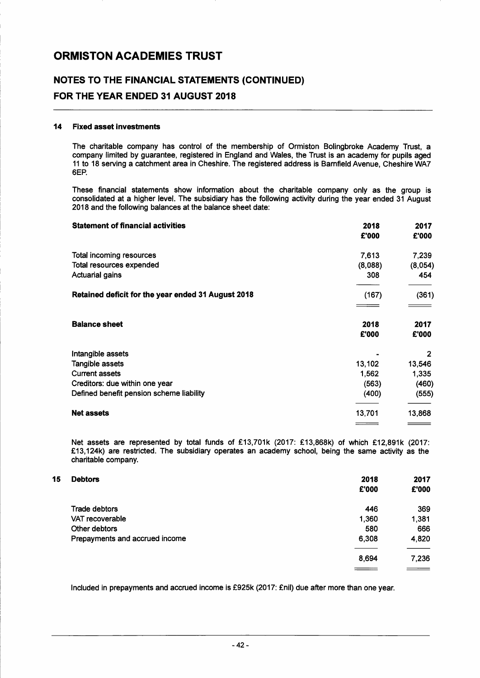### NOTES TO THE FINANCIAL STATEMENTS (CONTINUED) FOR THE YEAR ENDED 31 AUGUST 2018

#### 14 Fixed asset investments

The charitable company has control of the membership of Ormiston Bolingbroke Academy Trust, a company limited by guarantee, registered in England and Wales, the Trust is an academy for pupils aged 11 to 18 serving a catchment area in Cheshire. The registered address is Barnfield Avenue, Cheshire WA7 6EP.

These financial statements show information about the charitable company only as the group is consolidated at a higher level. The subsidiary has the following activity during the year ended 31 August 2018 and the following balances at the balance sheet date:

| <b>Statement of financial activities</b>           | 2018<br>£'000 | 2017<br>£'000 |
|----------------------------------------------------|---------------|---------------|
| Total incoming resources                           | 7,613         | 7,239         |
| Total resources expended                           | (8,088)       | (8,054)       |
| <b>Actuarial gains</b>                             | 308           | 454           |
| Retained deficit for the year ended 31 August 2018 | (167)         | (361)         |
| <b>Balance sheet</b>                               | 2018<br>£'000 | 2017<br>£'000 |
| Intangible assets                                  |               | 2             |
| Tangible assets                                    | 13,102        | 13,546        |
| <b>Current assets</b>                              | 1,562         | 1,335         |
| Creditors: due within one year                     | (563)         | (460)         |
| Defined benefit pension scheme liability           | (400)         | (555)         |
| <b>Net assets</b>                                  | 13,701        | 13,868        |
|                                                    |               |               |

Net assets are represented by total funds of £13,701k (2017: £13,868k) of which £12,891k (2017: £13,124k) are restricted. The subsidiary operates an academy school, being the same activity as the charitable company.

| 15<br><b>Debtors</b>           | 2018<br>£'000 | 2017<br>£'000 |
|--------------------------------|---------------|---------------|
| Trade debtors                  | 446           | 369           |
| VAT recoverable                | 1,360         | 1,381         |
| Other debtors                  | 580           | 666           |
| Prepayments and accrued income | 6,308         | 4,820         |
|                                | 8,694         | 7,236         |
|                                |               |               |

Included in prepayments and accrued income is £925k (2017: £nil) due after more than one year.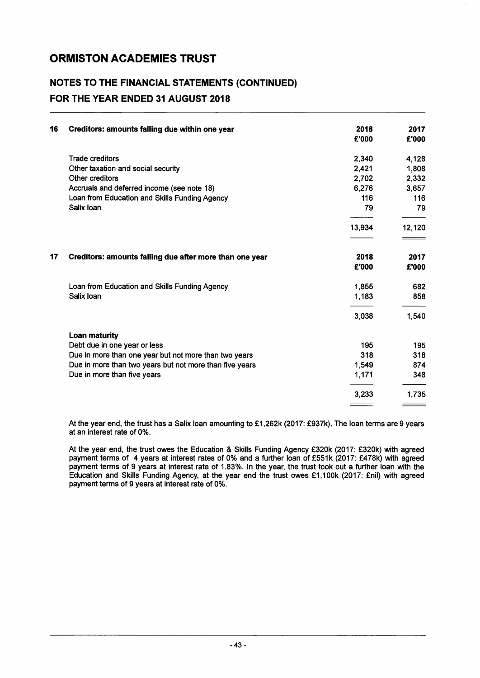### NOTES TO THE FINANCIAL STATEMENTS (CONTINUED) FOR THE YEAR ENDED 31 AUGUST 2018

| 16 | Creditors: amounts falling due within one year          | 2018<br>£'000  | 2017<br>£'000 |
|----|---------------------------------------------------------|----------------|---------------|
|    | <b>Trade creditors</b>                                  | 2,340          | 4,128         |
|    | Other taxation and social security                      | 2,421          | 1,808         |
|    | <b>Other creditors</b>                                  | 2,702          | 2,332         |
|    | Accruals and deferred income (see note 18)              | 6,276          | 3,657         |
|    | Loan from Education and Skills Funding Agency           | 116            | 116           |
|    | Salix Ioan                                              | 79             | 79            |
|    |                                                         | 13,934<br>____ | 12,120        |
| 17 | Creditors: amounts falling due after more than one year | 2018<br>£'000  | 2017<br>£'000 |
|    | Loan from Education and Skills Funding Agency           | 1,855          | 682           |
|    | Salix Ioan                                              | 1,183          | 858           |
|    |                                                         | 3,038          | 1,540         |
|    | <b>Loan maturity</b>                                    |                |               |
|    | Debt due in one year or less                            | 195            | 195           |
|    | Due in more than one year but not more than two years   | 318            | 318           |
|    | Due in more than two years but not more than five years | 1,549          | 874           |
|    | Due in more than five years                             | 1,171          | 348           |
|    |                                                         | 3,233          | 1,735         |

At the year end, the trust has a Salix loan amounting to £1,262k (2017: £937k). The loan terms are 9 years at an interest rate of 0%.

At the year end, the trust owes the Education & Skills Funding Agency £320k (2017: £320k) with agreed payment terms of 4 years at interest rates of 0% and a further loan of £551k (2017: £478k) with agreed payment terms of 9 years at interest rate of 1.83%. In the year, the trust took out a further loan with the Education and Skills Funding Agency, at the year end the trust owes £1,1 OOk (2017: £nil) with agreed payment terms of 9 years at interest rate of 0%.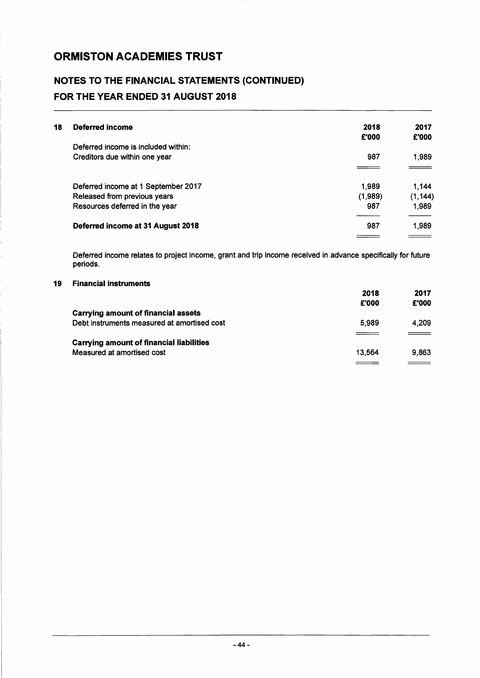### NOTES TO THE FINANCIAL STATEMENTS (CONTINUED) FOR THE YEAR ENDED 31 AUGUST 2018

| 18 | Deferred income                     | 2018    | 2017     |
|----|-------------------------------------|---------|----------|
|    |                                     | £'000   | £'000    |
|    | Deferred income is included within: |         |          |
|    | Creditors due within one year       | 987     | 1,989    |
|    |                                     |         |          |
|    | Deferred income at 1 September 2017 | 1.989   | 1.144    |
|    | Released from previous years        | (1,989) | (1, 144) |
|    | Resources deferred in the year      | 987     | 1,989    |
|    | Deferred income at 31 August 2018   | 987     | 1,989    |
|    |                                     |         |          |

Deferred income relates to project income, grant and trip income received in advance specifically for future periods.

#### 19 Financial instruments

|                                                 | 2018<br>£'000 | 2017<br>£'000 |
|-------------------------------------------------|---------------|---------------|
| Carrying amount of financial assets             |               |               |
| Debt instruments measured at amortised cost     | 5.989         | 4.209         |
|                                                 |               | $\equiv$      |
| <b>Carrying amount of financial liabilities</b> |               |               |
| Measured at amortised cost                      | 13.564        | 9.863         |
|                                                 |               |               |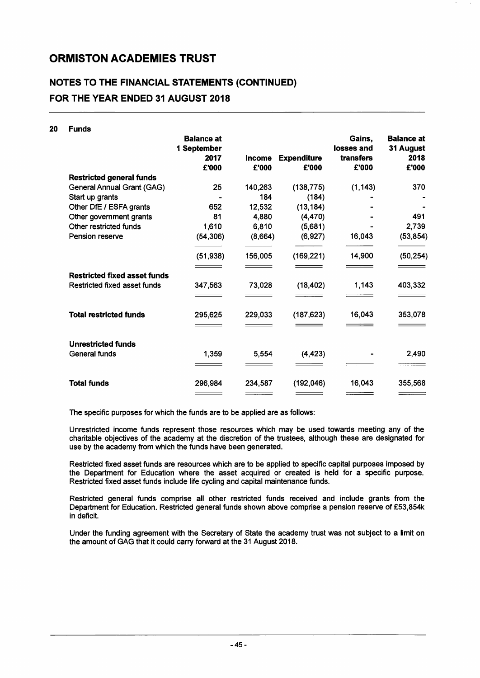$20$ 

### NOTES TO THE FINANCIAL STATEMENTS (CONTINUED) FOR THE YEAR ENDED 31 AUGUST 2018

| <b>Funds</b>                        |                                          |         |                    |                                   |                                        |
|-------------------------------------|------------------------------------------|---------|--------------------|-----------------------------------|----------------------------------------|
|                                     | <b>Balance at</b><br>1 September<br>2017 | Income  | <b>Expenditure</b> | Gains,<br>losses and<br>transfers | <b>Balance at</b><br>31 August<br>2018 |
|                                     | £'000                                    | £'000   | £'000              | £'000                             | £'000                                  |
| <b>Restricted general funds</b>     |                                          |         |                    |                                   |                                        |
| General Annual Grant (GAG)          | 25                                       | 140,263 | (138, 775)         | (1, 143)                          | 370                                    |
| Start up grants                     |                                          | 184     | (184)              |                                   |                                        |
| Other DfE / ESFA grants             | 652                                      | 12,532  | (13, 184)          |                                   |                                        |
| Other government grants             | 81                                       | 4,880   | (4, 470)           |                                   | 491                                    |
| Other restricted funds              | 1,610                                    | 6,810   | (5,681)            |                                   | 2,739                                  |
| Pension reserve                     | (54, 306)                                | (8,664) | (6, 927)           | 16,043                            | (53, 854)                              |
|                                     | (51, 938)                                | 156,005 | (169, 221)         | 14,900                            | (50, 254)                              |
|                                     |                                          |         |                    |                                   |                                        |
| <b>Restricted fixed asset funds</b> |                                          |         |                    |                                   |                                        |
| Restricted fixed asset funds        | 347,563                                  | 73,028  | (18, 402)          | 1,143                             | 403,332                                |
|                                     |                                          |         |                    |                                   |                                        |
| <b>Total restricted funds</b>       | 295,625                                  | 229,033 | (187, 623)         | 16,043                            | 353,078                                |
|                                     |                                          |         |                    |                                   |                                        |
| <b>Unrestricted funds</b>           |                                          |         |                    |                                   |                                        |
| <b>General funds</b>                | 1,359                                    | 5,554   | (4, 423)           |                                   | 2,490                                  |
|                                     |                                          |         |                    |                                   |                                        |
| <b>Total funds</b>                  | 296,984                                  | 234,587 | (192,046)          | 16,043                            | 355,568                                |
|                                     |                                          |         |                    |                                   |                                        |

The specific purposes for which the funds are to be applied are as follows:

Unrestricted income funds represent those resources which may be used towards meeting any of the charitable objectives of the academy at the discretion of the trustees, although these are designated for use by the academy from which the funds have been generated.

Restricted fixed asset funds are resources which are to be applied to specific capital purposes imposed by the Department for Education where the asset acquired or created is held for a specific purpose. Restricted fixed asset funds include life cycling and capital maintenance funds.

Restricted general funds comprise all other restricted funds received and include grants from the Department for Education. Restricted general funds shown above comprise a pension reserve of £53,854k in deficit.

Under the funding agreement with the Secretary of State the academy trust was not subject to a limit on the amount of GAG that it could carry forward at the 31 August 2018.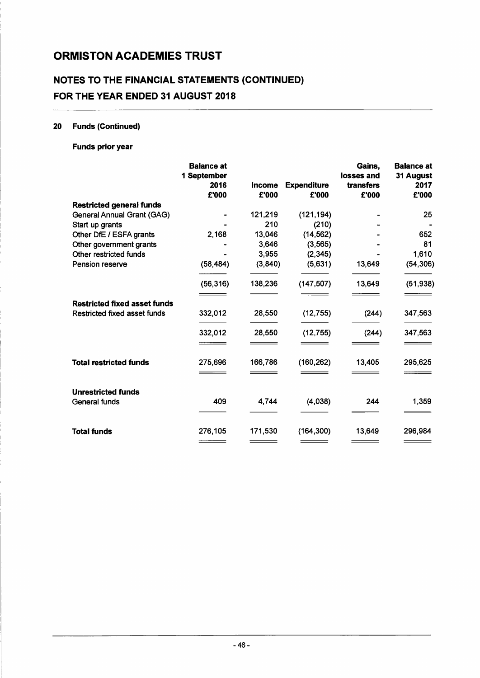### **NOTES TO THE FINANCIAL STATEMENTS (CONTINUED) FOR THE YEAR ENDED 31 AUGUST 2018**

#### 20 Funds (Continued)

#### Funds prior year

|                                     | <b>Balance at</b><br>1 September<br>2016<br>£'000 | <b>Income</b><br>£'000 | <b>Expenditure</b><br>£'000 | Gains,<br>losses and<br>transfers<br>£'000 | <b>Balance at</b><br>31 August<br>2017<br>£'000 |
|-------------------------------------|---------------------------------------------------|------------------------|-----------------------------|--------------------------------------------|-------------------------------------------------|
| <b>Restricted general funds</b>     |                                                   |                        |                             |                                            |                                                 |
| <b>General Annual Grant (GAG)</b>   |                                                   | 121,219                | (121, 194)                  |                                            | 25                                              |
| Start up grants                     |                                                   | 210                    | (210)                       |                                            |                                                 |
| Other DfE / ESFA grants             | 2,168                                             | 13,046                 | (14, 562)                   |                                            | 652                                             |
| Other government grants             |                                                   | 3,646                  | (3, 565)                    |                                            | 81                                              |
| Other restricted funds              |                                                   | 3,955                  | (2, 345)                    |                                            | 1,610                                           |
| Pension reserve                     | (58, 484)                                         | (3, 840)               | (5,631)                     | 13,649                                     | (54, 306)                                       |
|                                     | (56, 316)                                         | 138,236                | (147, 507)                  | 13,649                                     | (51, 938)                                       |
| <b>Restricted fixed asset funds</b> |                                                   |                        |                             |                                            |                                                 |
| Restricted fixed asset funds        | 332,012                                           | 28,550                 | (12, 755)                   | (244)                                      | 347,563                                         |
|                                     | 332,012                                           | 28,550                 | (12, 755)                   | (244)                                      | 347,563                                         |
|                                     |                                                   |                        |                             |                                            |                                                 |
| <b>Total restricted funds</b>       | 275,696                                           | 166,786                | (160, 262)                  | 13,405                                     | 295,625                                         |
|                                     |                                                   |                        |                             |                                            |                                                 |
| <b>Unrestricted funds</b>           |                                                   |                        |                             |                                            |                                                 |
| <b>General funds</b>                | 409                                               | 4,744                  | (4,038)                     | 244                                        | 1,359                                           |
|                                     |                                                   |                        |                             |                                            |                                                 |
| <b>Total funds</b>                  | 276,105                                           | 171,530                | (164, 300)                  | 13,649                                     | 296,984                                         |
|                                     |                                                   |                        |                             |                                            |                                                 |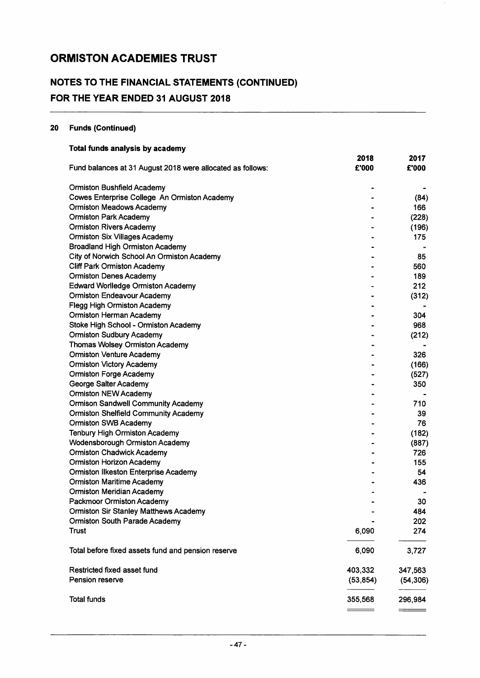### NOTES TO THE FINANCIAL STATEMENTS (CONTINUED) FOR THE YEAR ENDED 31 AUGUST 2018

### 20 Funds (Continued)

| Total funds analysis by academy                            |           |           |
|------------------------------------------------------------|-----------|-----------|
|                                                            | 2018      | 2017      |
| Fund balances at 31 August 2018 were allocated as follows: | £'000     | £'000     |
| <b>Ormiston Bushfield Academy</b>                          |           |           |
| Cowes Enterprise College An Ormiston Academy               |           | (84)      |
| <b>Ormiston Meadows Academy</b>                            |           | 166       |
| <b>Ormiston Park Academy</b>                               |           | (228)     |
| <b>Ormiston Rivers Academy</b>                             |           | (196)     |
| <b>Ormiston Six Villages Academy</b>                       |           | 175       |
| <b>Broadland High Ormiston Academy</b>                     |           |           |
| City of Norwich School An Ormiston Academy                 |           | 85        |
| <b>Cliff Park Ormiston Academy</b>                         |           | 560       |
| <b>Ormiston Denes Academy</b>                              |           | 189       |
| <b>Edward Worlledge Ormiston Academy</b>                   |           | 212       |
| <b>Ormiston Endeavour Academy</b>                          |           | (312)     |
| <b>Flegg High Ormiston Academy</b>                         |           |           |
| <b>Ormiston Herman Academy</b>                             |           | 304       |
| Stoke High School - Ormiston Academy                       |           | 968       |
| <b>Ormiston Sudbury Academy</b>                            |           | (212)     |
| <b>Thomas Wolsey Ormiston Academy</b>                      |           |           |
| <b>Ormiston Venture Academy</b>                            |           | 326       |
| <b>Ormiston Victory Academy</b>                            |           | (166)     |
| <b>Ormiston Forge Academy</b>                              |           | (527)     |
| George Salter Academy                                      |           | 350       |
| <b>Ormiston NEW Academy</b>                                |           |           |
| <b>Ormison Sandwell Community Academy</b>                  |           | 710       |
| <b>Ormiston Shelfield Community Academy</b>                |           | 39        |
| <b>Ormiston SWB Academy</b>                                |           | 76        |
| <b>Tenbury High Ormiston Academy</b>                       |           | (182)     |
| <b>Wodensborough Ormiston Academy</b>                      |           | (887)     |
| <b>Ormiston Chadwick Academy</b>                           |           | 726       |
| <b>Ormiston Horizon Academy</b>                            |           | 155       |
| <b>Ormiston Ilkeston Enterprise Academy</b>                |           | 54        |
| <b>Ormiston Maritime Academy</b>                           |           | 436       |
| <b>Ormiston Meridian Academy</b>                           |           |           |
| Packmoor Ormiston Academy                                  |           | 30        |
| <b>Ormiston Sir Stanley Matthews Academy</b>               |           | 484       |
| Ormiston South Parade Academy                              |           | 202       |
| <b>Trust</b>                                               | 6,090     | 274       |
| Total before fixed assets fund and pension reserve         | 6,090     | 3,727     |
| Restricted fixed asset fund                                | 403,332   | 347,563   |
| Pension reserve                                            | (53, 854) | (54, 306) |
| <b>Total funds</b>                                         | 355,568   | 296,984   |
|                                                            |           |           |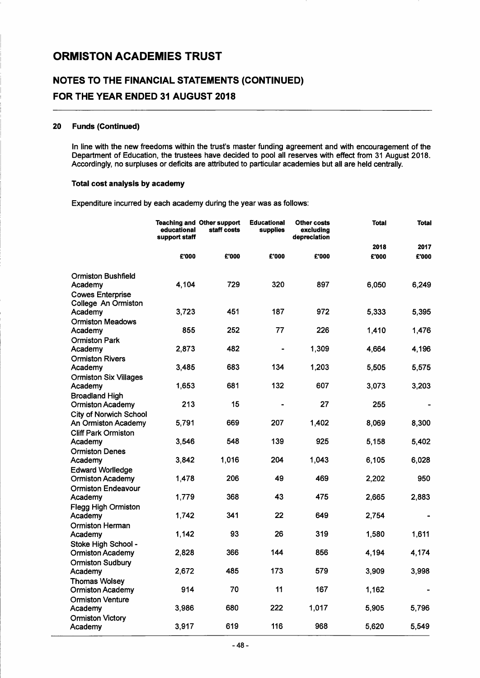### NOTES TO THE FINANCIAL STATEMENTS (CONTINUED) FOR THE YEAR ENDED 31 AUGUST 2018

#### 20 Funds (Continued)

In line with the new freedoms within the trust's master funding agreement and with encouragement of the Department of Education, the trustees have decided to pool all reserves with effect from 31 August 2018. Accordingly, no surpluses or deficits are attributed to particular academies but all are held centrally.

#### Total cost analysis by academy

Expenditure incurred by each academy during the year was as follows:

|                                                                                 | educational<br>support staff | <b>Teaching and Other support</b><br>staff costs | <b>Educational</b><br>supplies | Other costs<br>excluding<br>depreciation | <b>Total</b> | <b>Total</b> |
|---------------------------------------------------------------------------------|------------------------------|--------------------------------------------------|--------------------------------|------------------------------------------|--------------|--------------|
|                                                                                 |                              |                                                  |                                |                                          | 2018         | 2017         |
|                                                                                 | £'000                        | £'000                                            | £'000                          | £'000                                    | £'000        | £'000        |
| <b>Ormiston Bushfield</b><br>Academy<br><b>Cowes Enterprise</b>                 | 4,104                        | 729                                              | 320                            | 897                                      | 6,050        | 6,249        |
| College An Ormiston<br>Academy<br><b>Ormiston Meadows</b>                       | 3,723                        | 451                                              | 187                            | 972                                      | 5,333        | 5,395        |
| Academy                                                                         | 855                          | 252                                              | 77                             | 226                                      | 1,410        | 1,476        |
| <b>Ormiston Park</b><br>Academy<br><b>Ormiston Rivers</b>                       | 2,873                        | 482                                              |                                | 1,309                                    | 4,664        | 4,196        |
| Academy                                                                         | 3,485                        | 683                                              | 134                            | 1,203                                    | 5,505        | 5,575        |
| <b>Ormiston Six Villages</b><br>Academy                                         | 1,653                        | 681                                              | 132                            | 607                                      | 3,073        | 3,203        |
| <b>Broadland High</b><br>Ormiston Academy                                       | 213                          | 15                                               |                                | 27                                       | 255          |              |
| City of Norwich School<br>An Ormiston Academy                                   | 5,791                        | 669                                              | 207                            | 1,402                                    | 8,069        | 8,300        |
| <b>Cliff Park Ormiston</b><br>Academy                                           | 3,546                        | 548                                              | 139                            | 925                                      | 5,158        | 5,402        |
| <b>Ormiston Denes</b><br>Academy                                                | 3,842                        | 1,016                                            | 204                            | 1,043                                    | 6,105        | 6,028        |
| <b>Edward Worlledge</b><br><b>Ormiston Academy</b><br><b>Ormiston Endeavour</b> | 1,478                        | 206                                              | 49                             | 469                                      | 2,202        | 950          |
| Academy                                                                         | 1,779                        | 368                                              | 43                             | 475                                      | 2,665        | 2,883        |
| <b>Flegg High Ormiston</b><br>Academy<br>Ormiston Herman                        | 1,742                        | 341                                              | 22                             | 649                                      | 2,754        |              |
| Academy                                                                         | 1,142                        | 93                                               | 26                             | 319                                      | 1,580        | 1,611        |
| Stoke High School -<br><b>Ormiston Academy</b>                                  | 2,828                        | 366                                              | 144                            | 856                                      | 4,194        | 4,174        |
| <b>Ormiston Sudbury</b><br>Academy                                              | 2,672                        | 485                                              | 173                            | 579                                      | 3,909        | 3,998        |
| <b>Thomas Wolsey</b><br><b>Ormiston Academy</b>                                 | 914                          | 70                                               | 11                             | 167                                      | 1,162        |              |
| <b>Ormiston Venture</b><br>Academy<br><b>Ormiston Victory</b>                   | 3,986                        | 680                                              | 222                            | 1,017                                    | 5,905        | 5.796        |
| Academy                                                                         | 3,917                        | 619                                              | 116                            | 968                                      | 5,620        | 5,549        |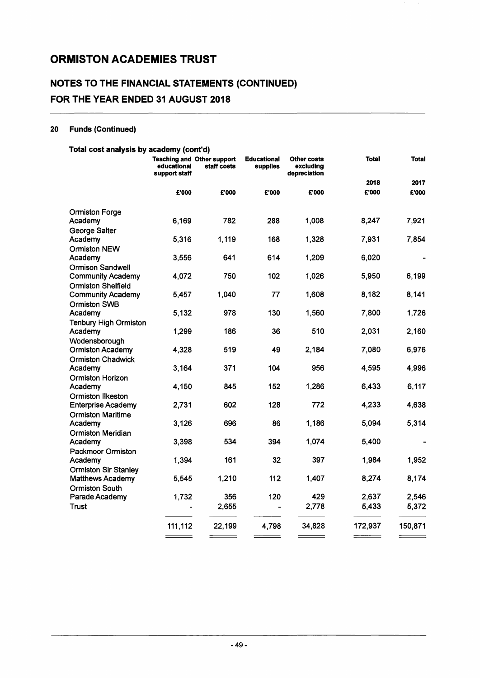### NOTES TO THE FINANCIAL STATEMENTS (CONTINUED) FOR THE YEAR ENDED 31 AUGUST 2018

#### 20 Funds (Continued)

#### Total cost analysis by academy (cont'd)

|                                                        | educational<br>support staff | <b>Teaching and Other support</b><br>staff costs | <b>Educational</b><br>supplies | <b>Other costs</b><br>excluding<br>depreciation | <b>Total</b>     | <b>Total</b> |
|--------------------------------------------------------|------------------------------|--------------------------------------------------|--------------------------------|-------------------------------------------------|------------------|--------------|
|                                                        |                              |                                                  |                                |                                                 | 2018             | 2017         |
|                                                        | £'000                        | £'000                                            | £'000                          | £'000                                           | £'000            | £'000        |
| <b>Ormiston Forge</b>                                  |                              |                                                  |                                |                                                 |                  |              |
| Academy<br>George Salter                               | 6,169                        | 782                                              | 288                            | 1,008                                           | 8,247            | 7,921        |
| Academy                                                | 5,316                        | 1,119                                            | 168                            | 1,328                                           | 7,931            | 7,854        |
| <b>Ormiston NEW</b>                                    |                              |                                                  |                                |                                                 |                  |              |
| Academy<br><b>Ormison Sandwell</b>                     | 3,556                        | 641                                              | 614                            | 1,209                                           | 6,020            |              |
| <b>Community Academy</b>                               | 4,072                        | 750                                              | 102                            | 1,026                                           | 5,950            | 6,199        |
| <b>Ormiston Shelfield</b>                              | 5,457                        | 1,040                                            | 77                             | 1,608                                           | 8,182            | 8,141        |
| <b>Community Academy</b><br><b>Ormiston SWB</b>        |                              |                                                  |                                |                                                 |                  |              |
| Academy                                                | 5,132                        | 978                                              | 130                            | 1,560                                           | 7,800            | 1,726        |
| Tenbury High Ormiston<br>Academy                       | 1,299                        | 186                                              | 36                             | 510                                             | 2,031            | 2,160        |
| Wodensborough                                          |                              |                                                  |                                |                                                 |                  |              |
| <b>Ormiston Academy</b>                                | 4,328                        | 519                                              | 49                             | 2,184                                           | 7,080            | 6,976        |
| <b>Ormiston Chadwick</b><br>Academy                    | 3,164                        | 371                                              | 104                            | 956                                             | 4,595            | 4,996        |
| Ormiston Horizon                                       |                              |                                                  |                                |                                                 |                  |              |
| Academy                                                | 4,150                        | 845                                              | 152                            | 1,286                                           | 6,433            | 6,117        |
| <b>Ormiston Ilkeston</b><br><b>Enterprise Academy</b>  | 2,731                        | 602                                              | 128                            | 772                                             | 4,233            | 4,638        |
| <b>Ormiston Maritime</b>                               |                              |                                                  |                                |                                                 |                  |              |
| Academy                                                | 3,126                        | 696                                              | 86                             | 1,186                                           | 5,094            | 5,314        |
| <b>Ormiston Meridian</b><br>Academy                    | 3,398                        | 534                                              | 394                            | 1,074                                           | 5,400            |              |
| <b>Packmoor Ormiston</b>                               |                              |                                                  |                                |                                                 |                  |              |
| Academy                                                | 1,394                        | 161                                              | 32                             | 397                                             | 1,984            | 1,952        |
| <b>Ormiston Sir Stanley</b><br><b>Matthews Academy</b> | 5,545                        | 1,210                                            | 112                            | 1,407                                           | 8,274            | 8,174        |
| <b>Ormiston South</b>                                  |                              |                                                  |                                |                                                 |                  |              |
| Parade Academy                                         | 1,732                        | 356                                              | 120                            | 429                                             | 2,637            | 2,546        |
| Trust                                                  |                              | 2,655                                            |                                | 2,778                                           | 5,433            | 5,372        |
|                                                        | 111,112                      | 22,199                                           | 4,798                          | 34,828                                          | 172,937<br>_____ | 150,871      |

 $\sim$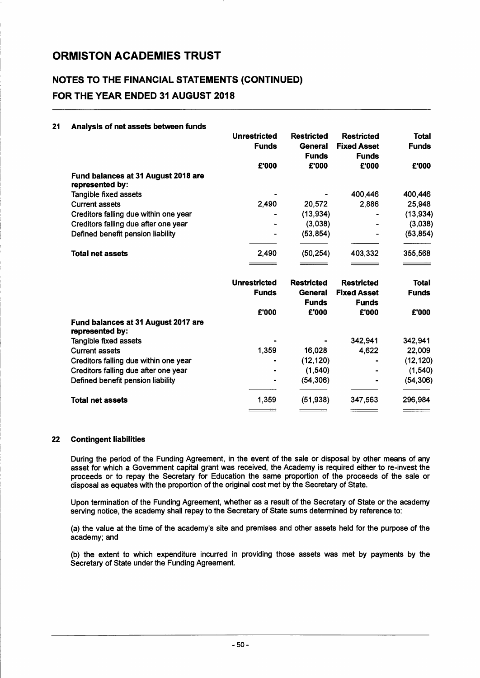### NOTES TO THE FINANCIAL STATEMENTS (CONTINUED) FOR THE YEAR ENDED 31 AUGUST 2018

| 21 | Analysis of net assets between funds                   |                     |                         |                                    |              |
|----|--------------------------------------------------------|---------------------|-------------------------|------------------------------------|--------------|
|    |                                                        | <b>Unrestricted</b> | <b>Restricted</b>       | <b>Restricted</b>                  | <b>Total</b> |
|    |                                                        | <b>Funds</b>        | General                 | <b>Fixed Asset</b>                 | <b>Funds</b> |
|    |                                                        |                     | <b>Funds</b>            | <b>Funds</b>                       |              |
|    |                                                        | £'000               | £'000                   | £'000                              | £'000        |
|    | Fund balances at 31 August 2018 are<br>represented by: |                     |                         |                                    |              |
|    | Tangible fixed assets                                  |                     |                         | 400,446                            | 400,446      |
|    | <b>Current assets</b>                                  | 2,490               | 20,572                  | 2,886                              | 25,948       |
|    | Creditors falling due within one year                  |                     | (13, 934)               |                                    | (13, 934)    |
|    | Creditors falling due after one year                   |                     | (3,038)                 |                                    | (3,038)      |
|    | Defined benefit pension liability                      |                     | (53, 854)               |                                    | (53, 854)    |
|    | <b>Total net assets</b>                                | 2,490               | (50, 254)               | 403,332                            | 355,568      |
|    |                                                        |                     |                         |                                    |              |
|    |                                                        | <b>Unrestricted</b> | <b>Restricted</b>       | <b>Restricted</b>                  | <b>Total</b> |
|    |                                                        | <b>Funds</b>        | General<br><b>Funds</b> | <b>Fixed Asset</b><br><b>Funds</b> | <b>Funds</b> |
|    |                                                        | £'000               | £'000                   | £'000                              | £'000        |
|    | Fund balances at 31 August 2017 are<br>represented by: |                     |                         |                                    |              |
|    | Tangible fixed assets                                  |                     |                         | 342,941                            | 342,941      |
|    | <b>Current assets</b>                                  | 1,359               | 16,028                  | 4,622                              | 22,009       |
|    | Creditors falling due within one year                  |                     | (12, 120)               |                                    | (12, 120)    |
|    | Creditors falling due after one year                   |                     | (1, 540)                |                                    | (1, 540)     |
|    | Defined benefit pension liability                      |                     | (54, 306)               |                                    | (54, 306)    |
|    | <b>Total net assets</b>                                | 1,359               | (51, 938)               | 347,563                            | 296,984      |
|    |                                                        |                     |                         |                                    |              |

#### 22 Contingent liabilities

During the period of the Funding Agreement, in the event of the sale or disposal by other means of any asset for which a Government capital grant was received, the Academy is required either to re-invest the proceeds or to repay the Secretary for Education the same proportion of the proceeds of the sale or disposal as equates with the proportion of the original cost met by the Secretary of State.

Upon termination of the Funding Agreement, whether as a result of the Secretary of State or the academy serving notice, the academy shall repay to the Secretary of State sums determined by reference to:

(a) the value at the time of the academy's site and premises and other assets held for the purpose of the academy; and

(b) the extent to which expenditure incurred in providing those assets was met by payments by the Secretary of State under the Funding Agreement.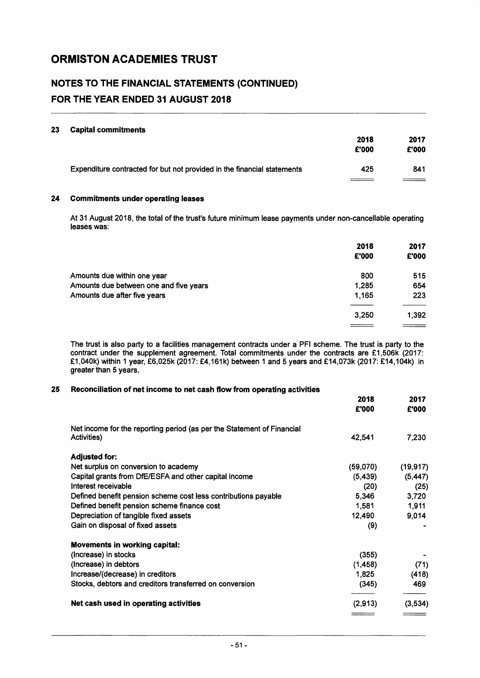### NOTES TO THE FINANCIAL STATEMENTS (CONTINUED) FOR THE YEAR ENDED 31 AUGUST 2018

#### 23 Capital commitments

|                                                                         | 2018<br>£'000 | 2017<br>£'000 |
|-------------------------------------------------------------------------|---------------|---------------|
| Expenditure contracted for but not provided in the financial statements | 425           | 841           |
|                                                                         |               |               |

#### 24 Commitments under operating leases

At 31 August 2018, the total of the trust's future minimum lease payments under non-cancellable operating leases was:

|                                        | 2018<br>£'000 | 2017<br>£'000 |
|----------------------------------------|---------------|---------------|
| Amounts due within one year            | 800           | 515           |
| Amounts due between one and five years | 1,285         | 654           |
| Amounts due after five years           | 1,165         | 223           |
|                                        |               |               |
|                                        | 3,250         | 1.392         |
|                                        |               |               |

The trust is also party to a facilities management contracts under a PFI scheme. The trust is party to the contract under the supplement agreement. Total commitments under the contracts are £1,506k (2017: £1,040k) within 1 year, £6,025k (2017: £4,161 k) between 1 and 5 years and £14,073k (2017: £14,104k) in greater than 5 years.

#### 25 Reconciliation of net income to net cash flow from operating activities

|                                                                        | 2018<br>£'000 | 2017<br>£'000 |
|------------------------------------------------------------------------|---------------|---------------|
| Net income for the reporting period (as per the Statement of Financial |               |               |
| Activities)                                                            | 42,541        | 7,230         |
| <b>Adjusted for:</b>                                                   |               |               |
| Net surplus on conversion to academy                                   | (59,070)      | (19, 917)     |
| Capital grants from DfE/ESFA and other capital income                  | (5, 439)      | (5, 447)      |
| Interest receivable                                                    | (20)          | (25)          |
| Defined benefit pension scheme cost less contributions payable         | 5,346         | 3,720         |
| Defined benefit pension scheme finance cost                            | 1,581         | 1,911         |
| Depreciation of tangible fixed assets                                  | 12,490        | 9,014         |
| Gain on disposal of fixed assets                                       | (9)           |               |
| <b>Movements in working capital:</b>                                   |               |               |
| (Increase) in stocks                                                   | (355)         |               |
| (Increase) in debtors                                                  | (1,458)       | (71)          |
| Increase/(decrease) in creditors                                       | 1,825         | (418)         |
| Stocks, debtors and creditors transferred on conversion                | (345)         | 469           |
| Net cash used in operating activities                                  | (2,913)       | (3,534)       |
|                                                                        |               |               |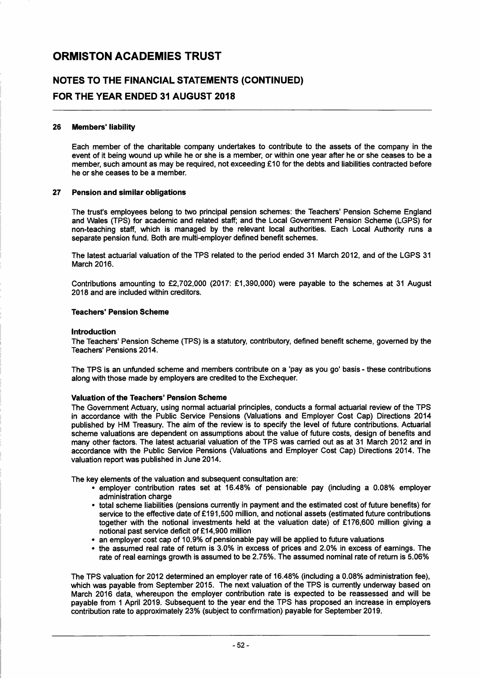### **NOTES TO THE FINANCIAL STATEMENTS (CONTINUED) FOR THE YEAR ENDED 31 AUGUST 2018**

#### 26 Members' liability

Each member of the charitable company undertakes to contribute to the assets of the company in the event of it being wound up while he or she is a member, or within one year after he or she ceases to be a member, such amount as may be required, not exceeding £10 for the debts and liabilities contracted before he or she ceases to be a member.

#### 27 Pension and similar obligations

The trust's employees belong to two principal pension schemes: the Teachers' Pension Scheme England and Wales (TPS) for academic and related staff; and the Local Government Pension Scheme (LGPS) for non-teaching staff, which is managed by the relevant local authorities. Each Local Authority runs a separate pension fund. Both are multi-employer defined benefit schemes.

The latest actuarial valuation of the TPS related to the period ended 31 March 2012, and of the LGPS 31 March 2016.

Contributions amounting to £2,702,000 (2017: £1,390,000) were payable to the schemes at 31 August 2018 and are included within creditors.

#### Teachers' Pension Scheme

#### Introduction

The Teachers' Pension Scheme (TPS) is a statutory, contributory, defined benefit scheme, governed by the Teachers' Pensions 2014.

The TPS is an unfunded scheme and members contribute on a 'pay as you go' basis - these contributions along with those made by employers are credited to the Exchequer.

#### Valuation of the Teachers' Pension Scheme

The Government Actuary, using normal actuarial principles, conducts a formal actuarial review of the TPS in accordance with the Public Service Pensions (Valuations and Employer Cost Cap) Directions 2014 published by HM Treasury. The aim of the review is to specify the level of future contributions. Actuarial scheme valuations are dependent on assumptions about the value of future costs, design of benefits and many other factors. The latest actuarial valuation of the TPS was carried out as at 31 March 2012 and in accordance with the Public Service Pensions (Valuations and Employer Cost Cap) Directions 2014. The valuation report was published in June 2014.

The key elements of the valuation and subsequent consultation are:

- $\cdot$  employer contribution rates set at 16.48% of pensionable pay (including a 0.08% employer administration charge
- total scheme liabilities (pensions currently in payment and the estimated cost of future benefits) for service to the effective date of £191,500 million, and notional assets (estimated future contributions together with the notional investments held at the valuation date) of £176,600 million giving a notional past service deficit of £14,900 million
- an employer cost cap of 10.9% of pensionable pay will be applied to future valuations
- the assumed real rate of return is 3.0% in excess of prices and 2.0% in excess of earnings. The rate of real earnings growth is assumed to be 2.75%. The assumed nominal rate of return is 5.06%

The TPS valuation for 2012 determined an employer rate of 16.48% (including a 0.08% administration fee), which was payable from September 2015. The next valuation of the TPS is currently underway based on March 2016 data, whereupon the employer contribution rate is expected to be reassessed and will be payable from 1 April 2019. Subsequent to the year end the TPS has proposed an increase in employers contribution rate to approximately 23% (subject to confirmation) payable for September 2019.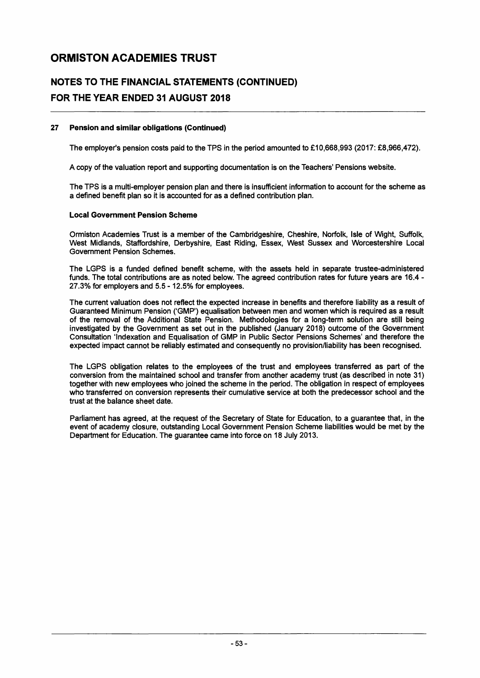### **NOTES TO THE FINANCIAL STATEMENTS (CONTINUED) FOR THE YEAR ENDED 31 AUGUST 2018**

#### 27 Pension and similar obligations (Continued)

The employer's pension costs paid to the TPS in the period amounted to £10,668,993 (2017: £8,966,472).

A copy of the valuation report and supporting documentation is on the Teachers' Pensions website.

The TPS is a multi-employer pension plan and there is insufficient information to account for the scheme as a defined benefit plan so it is accounted for as a defined contribution plan.

#### Local Government Pension Scheme

Ormiston Academies Trust is a member of the Cambridgeshire, Cheshire, Norfolk, Isle of Wight, Suffolk, West Midlands, Staffordshire, Derbyshire, East Riding, Essex, West Sussex and Worcestershire Local Government Pension Schemes.

The LGPS is a funded defined benefit scheme, with the assets held in separate trustee-administered funds. The total contributions are as noted below. The agreed contribution rates for future years are 16.4 - 27.3% for employers and 5.5 - 12.5% for employees.

The current valuation does not reflect the expected increase in benefits and therefore liability as a result of Guaranteed Minimum Pension ('GMP') equalisation between men and women which is required as a result of the removal of the Additional State Pension. Methodologies for a long-term solution are still being investigated by the Government as set out in the published (January 2018) outcome of the Government Consultation 'Indexation and Equalisation of GMP in Public Sector Pensions Schemes' and therefore the expected impact cannot be reliably estimated and consequently no provision/liability has been recognised.

The LGPS obligation relates to the employees of the trust and employees transferred as part of the conversion from the maintained school and transfer from another academy trust (as described in note 31) together with new employees who joined the scheme in the period. The obligation in respect of employees who transferred on conversion represents their cumulative service at both the predecessor school and the trust at the balance sheet date.

Parliament has agreed, at the request of the Secretary of State for Education, to a guarantee that, in the event of academy closure, outstanding Local Government Pension Scheme liabilities would be met by the Department for Education. The guarantee came into force on 18 July 2013.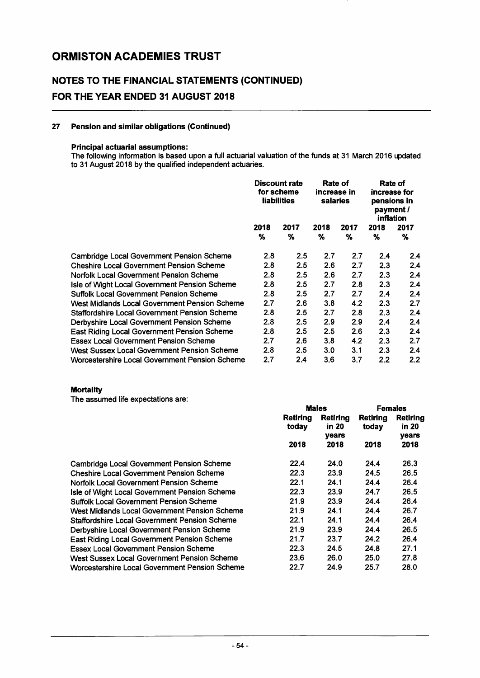### NOTES TO THE FINANCIAL STATEMENTS (CONTINUED) FOR THE YEAR ENDED 31 AUGUST 2018

#### 27 Pension and similar obligations (Continued)

#### Principal actuarial assumptions:

The following information is based upon a full actuarial valuation of the funds at 31 March 2016 updated to 31 August 2018 by the qualified independent actuaries.

|                                                      | <b>Discount rate</b><br>for scheme<br><b>liabilities</b> |                  | Rate of<br>increase in<br>salaries |      | Rate of<br>increase for<br>pensions in<br>payment /<br>inflation |         |  |
|------------------------------------------------------|----------------------------------------------------------|------------------|------------------------------------|------|------------------------------------------------------------------|---------|--|
|                                                      | 2018                                                     | 2017<br>2018     |                                    | 2017 | 2018                                                             | 2017    |  |
|                                                      | $\%$                                                     | ℅                | %                                  | %    | %                                                                | ℅       |  |
| Cambridge Local Government Pension Scheme            | 2.8                                                      | $2.5\phantom{0}$ | 2.7                                | 2.7  | 2.4                                                              | 2.4     |  |
| <b>Cheshire Local Government Pension Scheme</b>      | 2.8                                                      | 2.5              | 2.6                                | 2.7  | 2.3                                                              | 2.4     |  |
| <b>Norfolk Local Government Pension Scheme</b>       | 2.8                                                      | 2.5              | 2.6                                | 2.7  | 2.3                                                              | 2.4     |  |
| Isle of Wight Local Government Pension Scheme        | 2.8                                                      | 2.5              | 2.7                                | 2.8  | 2.3                                                              | 2.4     |  |
| <b>Suffolk Local Government Pension Scheme</b>       | 2.8                                                      | 2.5              | 2.7                                | 2.7  | 2.4                                                              | 2.4     |  |
| West Midlands Local Government Pension Scheme        | 2.7                                                      | 2.6              | 3.8                                | 4.2  | 2.3                                                              | 2.7     |  |
| <b>Staffordshire Local Government Pension Scheme</b> | 2.8                                                      | 2.5              | 2.7                                | 2.8  | 2.3                                                              | 2.4     |  |
| Derbyshire Local Government Pension Scheme           | 2.8                                                      | 2.5              | 2.9                                | 2.9  | 2.4                                                              | 2.4     |  |
| <b>East Riding Local Government Pension Scheme</b>   | 2.8                                                      | 2.5              | 2.5                                | 2.6  | 2.3                                                              | 2.4     |  |
| <b>Essex Local Government Pension Scheme</b>         | 2.7                                                      | 2.6              | 3.8                                | 4.2  | 2.3                                                              | 2.7     |  |
| West Sussex Local Government Pension Scheme          | 2.8                                                      | $2.5\,$          | 3.0                                | 3.1  | 2.3                                                              | 2.4     |  |
| Worcestershire Local Government Pension Scheme       | 2.7                                                      | 2.4              | 3.6                                | 3.7  | 2.2                                                              | $2.2\,$ |  |

#### **Mortality**

The assumed life expectations are:

|                                                      |                          | <b>Males</b>                      | <b>Females</b>    |                            |
|------------------------------------------------------|--------------------------|-----------------------------------|-------------------|----------------------------|
|                                                      | <b>Retiring</b><br>today | Retirina<br>in 20<br><b>vears</b> | Retirina<br>today | Retiring<br>in 20<br>vears |
|                                                      | 2018                     | 2018                              | 2018              | 2018                       |
| Cambridge Local Government Pension Scheme            | 22.4                     | 24.0                              | 24.4              | 26.3                       |
| <b>Cheshire Local Government Pension Scheme</b>      | 22.3                     | 23.9                              | 24.5              | 26.5                       |
| <b>Norfolk Local Government Pension Scheme</b>       | 22.1                     | 24.1                              | 24.4              | 26.4                       |
| Isle of Wight Local Government Pension Scheme        | 22.3                     | 23.9                              | 24.7              | 26.5                       |
| <b>Suffolk Local Government Pension Scheme</b>       | 21.9                     | 23.9                              | 24.4              | 26.4                       |
| West Midlands Local Government Pension Scheme        | 21.9                     | 24.1                              | 24.4              | 26.7                       |
| <b>Staffordshire Local Government Pension Scheme</b> | 22.1                     | 24.1                              | 24.4              | 26.4                       |
| Derbyshire Local Government Pension Scheme           | 21.9                     | 23.9                              | 24.4              | 26.5                       |
| <b>East Riding Local Government Pension Scheme</b>   | 21.7                     | 23.7                              | 24.2              | 26.4                       |
| <b>Essex Local Government Pension Scheme</b>         | 22.3                     | 24.5                              | 24.8              | 27.1                       |
| West Sussex Local Government Pension Scheme          | 23.6                     | 26.0                              | 25.0              | 27.8                       |
| Worcestershire Local Government Pension Scheme       | 22.7                     | 24.9                              | 25.7              | 28.0                       |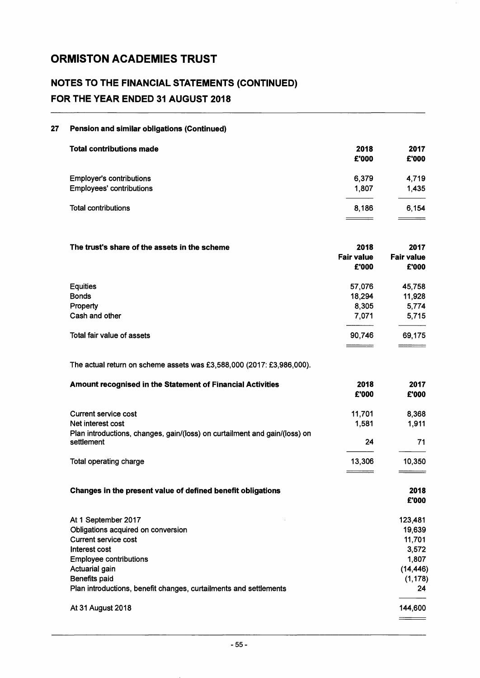### **NOTES TO THE FINANCIAL STATEMENTS (CONTINUED) FOR THE YEAR ENDED 31 AUGUST 2018**

#### **27 Pension and similar obligations (Continued)**

| <b>Total contributions made</b> | 2018<br>£'000 | 2017<br>£'000 |
|---------------------------------|---------------|---------------|
| <b>Employer's contributions</b> | 6,379         | 4,719         |
| <b>Employees' contributions</b> | 1.807         | 1.435         |
| <b>Total contributions</b>      | 8.186         | 6.154         |
|                                 |               |               |

| The trust's share of the assets in the scheme | 2018<br><b>Fair value</b><br>£'000 | 2017<br><b>Fair value</b><br>£'000 |
|-----------------------------------------------|------------------------------------|------------------------------------|
| <b>Equities</b>                               | 57,076                             | 45,758                             |
| <b>Bonds</b>                                  | 18,294                             | 11,928                             |
| Property                                      | 8,305                              | 5,774                              |
| Cash and other                                | 7,071                              | 5,715                              |
| Total fair value of assets                    | 90,746                             | 69,175                             |
|                                               |                                    |                                    |

The actual return on scheme assets was £3,588,000 (2017: £3,986,000).

| Amount recognised in the Statement of Financial Activities                               | 2018<br>£'000 | 2017<br>£'000 |
|------------------------------------------------------------------------------------------|---------------|---------------|
| Current service cost                                                                     | 11,701        | 8,368         |
| Net interest cost                                                                        | 1,581         | 1,911         |
| Plan introductions, changes, gain/(loss) on curtailment and gain/(loss) on<br>settlement | 24            | 71            |
| Total operating charge                                                                   | 13,306        | 10,350        |
| Changes in the present value of defined benefit obligations                              |               | 2018<br>£'000 |
| At 1 September 2017                                                                      |               | 123,481       |
| Obligations acquired on conversion                                                       |               | 19,639        |
| <b>Current service cost</b>                                                              |               | 11,701        |
| Interest cost                                                                            |               | 3,572         |
| <b>Employee contributions</b>                                                            |               | 1,807         |
| Actuarial gain                                                                           |               | (14, 446)     |
| Benefits paid                                                                            |               | (1, 178)      |
| Plan introductions, benefit changes, curtailments and settlements                        |               | 24            |
| At 31 August 2018                                                                        |               | 144,600       |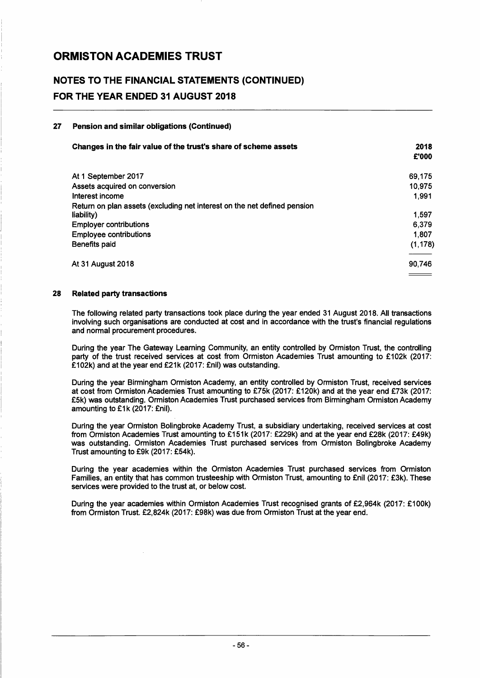### NOTES TO THE FINANCIAL STATEMENTS (CONTINUED) FOR THE YEAR ENDED 31 AUGUST 2018

#### 27 Pension and similar obligations (Continued)

| Changes in the fair value of the trust's share of scheme assets                        | 2018<br>£'000 |
|----------------------------------------------------------------------------------------|---------------|
| At 1 September 2017                                                                    | 69,175        |
| Assets acquired on conversion                                                          | 10.975        |
| Interest income                                                                        | 1.991         |
| Return on plan assets (excluding net interest on the net defined pension<br>liability) | 1.597         |
| <b>Employer contributions</b>                                                          | 6.379         |
| <b>Employee contributions</b>                                                          | 1.807         |
| Benefits paid                                                                          | (1, 178)      |
| <b>At 31 August 2018</b>                                                               | 90.746        |
|                                                                                        |               |

#### 28 Related party transactions

The following related party transactions took place during the year ended 31 August 2018. All transactions involving such organisations are conducted at cost and in accordance with the trust's financial regulations and normal procurement procedures.

During the year The Gateway Learning Community, an entity controlled by Ormiston Trust, the controlling party of the trust received services at cost from Ormiston Academies Trust amounting to £102k (2017: £102k) and at the year end £21k (2017: £nil) was outstanding.

During the year Birmingham Ormiston Academy, an entity controlled by Ormiston Trust, received services at cost from Ormiston Academies Trust amounting to £75k (2017: £120k) and at the year end £73k (2017: £5k) was outstanding. Ormiston Academies Trust purchased services from Birmingham Ormiston Academy amounting to £1k (2017: £nil).

During the year Ormiston Bolingbroke Academy Trust, a subsidiary undertaking, received services at cost from Ormiston Academies Trust amounting to £151k (2017: £229k) and at the year end £28k (2017: £49k) was outstanding. Ormiston Academies Trust purchased services from Ormiston Bolingbroke Academy Trust amounting to £9k (2017: £54k).

During the year academies within the Ormiston Academies Trust purchased services from Ormiston Families, an entity that has common trusteeship with Ormiston Trust, amounting to £nil (2017: £3k). These services were provided to the trust at, or below cost.

During the year academies within Ormiston Academies Trust recognised grants of £2,964k (2017: £100k) from Ormiston Trust. £2,824k (2017: £98k) was due from Ormiston Trust at the year end.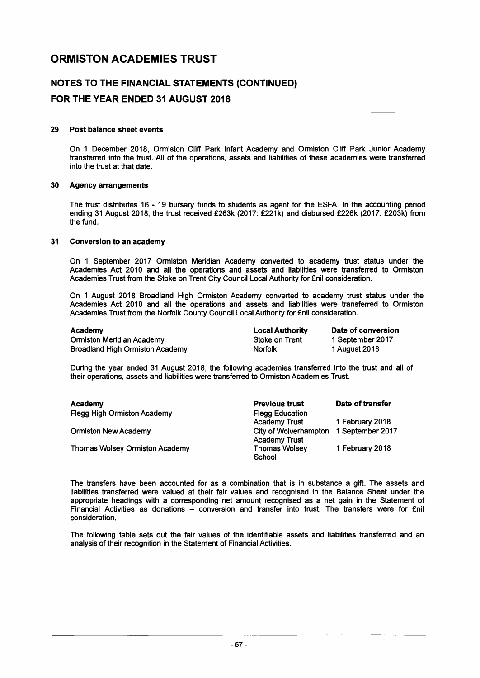### NOTES TO THE FINANCIAL STATEMENTS (CONTINUED) FOR THE YEAR ENDED 31 AUGUST 2018

## 29 Post balance sheet events

On 1 December 2018, Ormiston Cliff Park Infant Academy and Ormiston Cliff Park Junior Academy transferred into the trust. All of the operations, assets and liabilities of these academies were transferred into the trust at that date.

#### 30 Agency arrangements

The trust distributes 16 - 19 bursary funds to students as agent for the ESFA. In the accounting period ending 31 August 2018, the trust received £263k (2017: £221k) and disbursed £226k (2017: £203k) from the fund.

#### 31 Conversion to an academy

On 1 September 2017 Ormiston Meridian Academy converted to academy trust status under the Academies Act 2010 and all the operations and assets and liabilities were transferred to Ormiston Academies Trust from the Stoke on Trent City Council Local Authority for £nil consideration.

On 1 August 2018 Broadland High Ormiston Academy converted to academy trust status under the Academies Act 2010 and all the operations and assets and liabilities were transferred to Ormiston Academies Trust from the Norfolk County Council Local Authority for £nil consideration.

| Academy                         | <b>Local Authority</b> | Date of conversion |  |
|---------------------------------|------------------------|--------------------|--|
| Ormiston Meridian Academy       | Stoke on Trent         | 1 September 2017   |  |
| Broadland High Ormiston Academy | <b>Norfolk</b>         | 1 August 2018      |  |

During the year ended 31 August 2018, the following academies transferred into the trust and all of their operations, assets and liabilities were transferred to Ormiston Academies Trust.

| Academy                               | <b>Previous trust</b>  | Date of transfer |
|---------------------------------------|------------------------|------------------|
| <b>Flegg High Ormiston Academy</b>    | <b>Flegg Education</b> |                  |
|                                       | <b>Academy Trust</b>   | 1 February 2018  |
| <b>Ormiston New Academy</b>           | City of Wolverhampton  | 1 September 2017 |
|                                       | <b>Academy Trust</b>   |                  |
| <b>Thomas Wolsey Ormiston Academy</b> | <b>Thomas Wolsey</b>   | 1 February 2018  |
|                                       | School                 |                  |

The transfers have been accounted for as a combination that is in substance a gift. The assets and liabilities transferred were valued at their fair values and recognised in the Balance Sheet under the appropriate headings with a corresponding net amount recognised as a net gain in the Statement of Financial Activities as donations - conversion and transfer into trust. The transfers were for £nil consideration.

The following table sets out the fair values of the identifiable assets and liabilities transferred and an analysis of their recognition in the Statement of Financial Activities.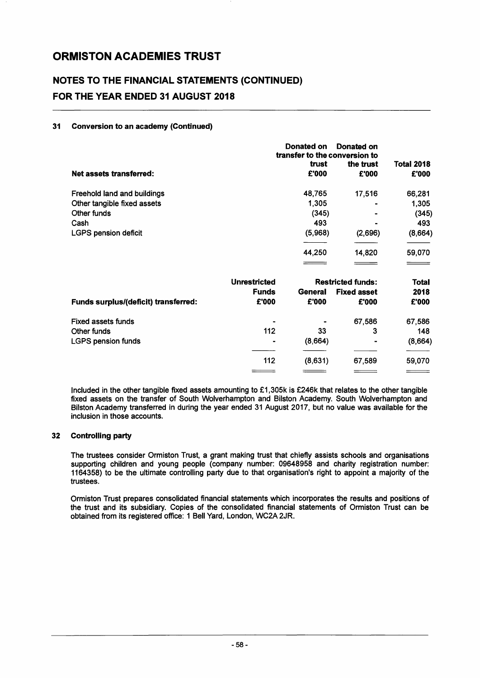### NOTES TO THE FINANCIAL STATEMENTS (CONTINUED) FOR THE YEAR ENDED 31 AUGUST 2018

#### 31 Conversion to an academy (Continued)

|                                      | Donated on<br>Donated on<br>transfer to the conversion to |                |                          |                            |
|--------------------------------------|-----------------------------------------------------------|----------------|--------------------------|----------------------------|
| <b>Net assets transferred:</b>       |                                                           | trust<br>£'000 | the trust<br>£'000       | <b>Total 2018</b><br>£'000 |
| Freehold land and buildings          |                                                           | 48,765         | 17,516                   | 66,281                     |
| Other tangible fixed assets          |                                                           | 1,305          |                          | 1,305                      |
| Other funds                          |                                                           | (345)          |                          | (345)                      |
| Cash                                 |                                                           | 493            |                          | 493                        |
| <b>LGPS pension deficit</b>          |                                                           | (5,968)        | (2,696)                  | (8,664)                    |
|                                      |                                                           | 44,250         | 14,820                   | 59,070                     |
|                                      |                                                           |                |                          |                            |
|                                      | <b>Unrestricted</b>                                       |                | <b>Restricted funds:</b> | <b>Total</b>               |
|                                      | <b>Funds</b>                                              | General        | <b>Fixed asset</b>       | 2018                       |
| Funds surplus/(deficit) transferred: | £'000                                                     | £'000          | £'000                    | £'000                      |
| <b>Fixed assets funds</b>            |                                                           |                | 67,586                   | 67,586                     |
| Other funds                          | 112                                                       | 33             | 3                        | 148                        |
| <b>LGPS pension funds</b>            |                                                           | (8,664)        |                          | (8,664)                    |
|                                      | 112                                                       | (8,631)        | 67,589                   | 59,070                     |
|                                      |                                                           |                |                          |                            |

Included in the other tangible fixed assets amounting to £1,305k is £246k that relates to the other tangible fixed assets on the transfer of South Wolverhampton and Bilston Academy. South Wolverhampton and Bilston Academy transferred in during the year ended 31 August 2017, but no value was available for the inclusion in those accounts.

#### 32 Controlling party

The trustees consider Ormiston Trust, a grant making trust that chiefly assists schools and organisations supporting children and young people (company number: 09648958 and charity registration number: 1164358) to be the ultimate controlling party due to that organisation's right to appoint a majority of the trustees.

Ormiston Trust prepares consolidated financial statements which incorporates the results and positions of the trust and its subsidiary. Copies of the consolidated financial statements of Ormiston Trust can be obtained from its registered office: 1 Bell Yard, London, WC2A 2JR.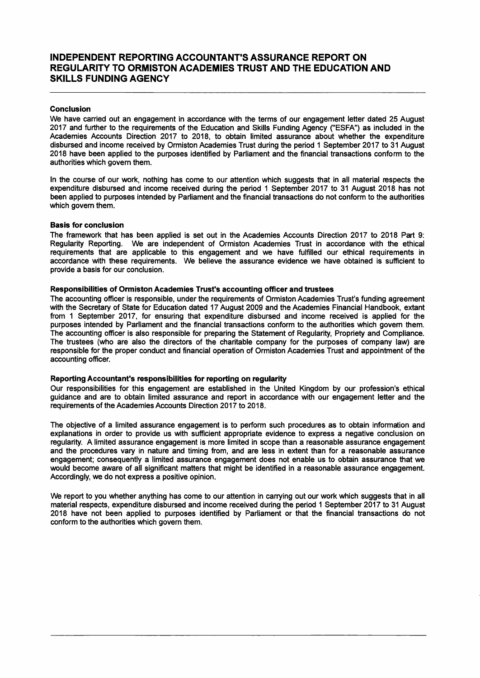#### INDEPENDENT REPORTING ACCOUNTANT'S ASSURANCE REPORT ON REGULARITY TO ORMISTON ACADEMIES TRUST AND THE EDUCATION AND SKILLS FUNDING AGENCY

#### Conclusion

We have carried out an engagement in accordance with the terms of our engagement letter dated 25 August 2017 and further to the requirements of the Education and Skills Funding Agency ("ESFA") as included in the Academies Accounts Direction 2017 to 2018, to obtain limited assurance about whether the expenditure disbursed and income received by Ormiston Academies Trust during the period 1 September 2017 to 31 August 2018 have been applied to the purposes identified by Parliament and the financial transactions conform to the authorities which govern them.

In the course of our work, nothing has come to our attention which suggests that in all material respects the expenditure disbursed and income received during the period 1 September 2017 to 31 August 2018 has not been applied to purposes intended by Parliament and the financial transactions do not conform to the authorities which govern them.

#### Basis for conclusion

The framework that has been applied is set out in the Academies Accounts Direction 2017 to 2018 Part 9: Regularity Reporting. We are independent of Ormiston Academies Trust in accordance with the ethical requirements that are applicable to this engagement and we have fulfilled our ethical requirements in accordance with these requirements. We believe the assurance evidence we have obtained is sufficient to provide a basis for our conclusion.

#### Responsibilities of Ormiston Academies Trust's accounting officer and trustees

The accounting officer is responsible, under the requirements of Ormiston Academies Trust's funding agreement with the Secretary of State for Education dated 17 August 2009 and the Academies Financial Handbook, extant from 1 September 2017, for ensuring that expenditure disbursed and income received is applied for the purposes intended by Parliament and the financial transactions conform to the authorities which govern them. The accounting officer is also responsible for preparing the Statement of Regularity, Propriety and Compliance. The trustees (who are also the directors of the charitable company for the purposes of company law) are responsible for the proper conduct and financial operation of Ormiston Academies Trust and appointment of the accounting officer.

#### Reporting Accountant's responsibilities for reporting on regularity

Our responsibilities for this engagement are established in the United Kingdom by our profession's ethical guidance and are to obtain limited assurance and report in accordance with our engagement letter and the requirements of the Academies Accounts Direction 2017 to 2018.

The objective of a limited assurance engagement is to perform such procedures as to obtain information and explanations in order to provide us with sufficient appropriate evidence to express a negative conclusion on regularity. A limited assurance engagement is more limited in scope than a reasonable assurance engagement and the procedures vary in nature and timing from, and are less in extent than for a reasonable assurance engagement; consequently a limited assurance engagement does not enable us to obtain assurance that we would become aware of all significant matters that might be identified in a reasonable assurance engagement. Accordingly, we do not express a positive opinion.

We report to you whether anything has come to our attention in carrying out our work which suggests that in all material respects, expenditure disbursed and income received during the period 1 September 2017 to 31 August 2018 have not been applied to purposes identified by Parliament or that the financial transactions do not conform to the authorities which govern them.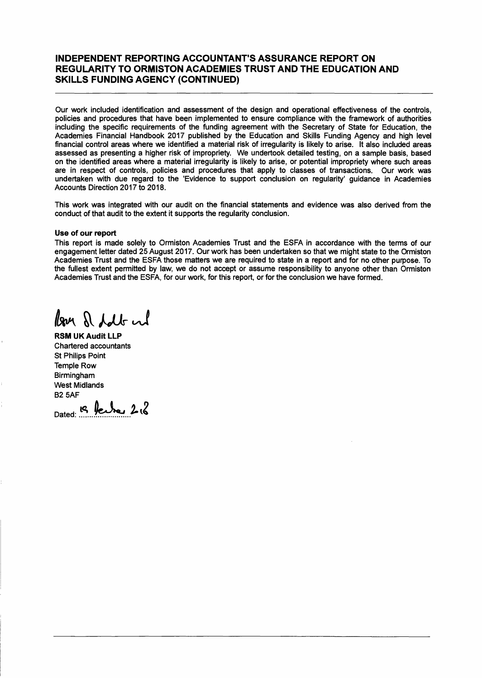#### INDEPENDENT REPORTING ACCOUNTANT'S ASSURANCE REPORT ON REGULARITY TO ORMISTON ACADEMIES TRUST AND THE EDUCATION AND SKILLS FUNDING AGENCY (CONTINUED)

Our work included identification and assessment of the design and operational effectiveness of the controls, policies and procedures that have been implemented to ensure compliance with the framework of authorities including the specific requirements of the funding agreement with the Secretary of State for Education, the Academies Financial Handbook 2017 published by the Education and Skills Funding Agency and high level financial control areas where we identified a material risk of irregularity is likely to arise. It also included areas assessed as presenting a higher risk of impropriety. We undertook detailed testing, on a sample basis, based on the identified areas where a material irregularity is likely to arise, or potential impropriety where such areas are in respect of controls, policies and procedures that apply to classes of transactions. Our work was undertaken with due regard to the 'Evidence to support conclusion on regularity' guidance in Academies Accounts Direction 2017 to 2018.

This work was integrated with our audit on the financial statements and evidence was also derived from the conduct of that audit to the extent it supports the regularity conclusion.

#### Use of our report

This report is made solely to Ormiston Academies Trust and the ESFA in accordance with the terms of our engagement letter dated 25 August 2017. Our work has been undertaken so that we might state to the Ormiston Academies Trust and the ESFA those matters we are required to state in a report and for no other purpose. To the fullest extent permitted by law, we do not accept or assume responsibility to anyone other than Ormiston Academies Trust and the ESFA, for our work, for this report, or for the conclusion we have formed.

lan & follow

RSM UK Audit LLP Chartered accountants St Philips Point Temple Row Birmingham West Midlands **B2 5AF** 

Dated:  $\mathcal{B}$  fector 2 $\mathcal{C}$